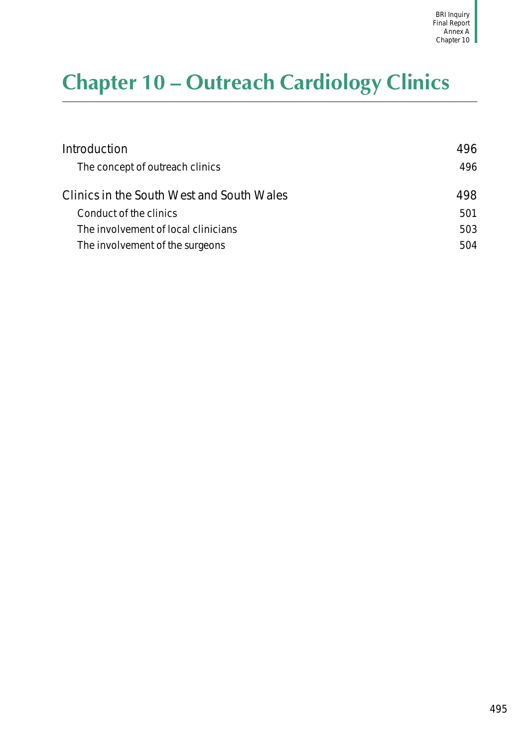# <span id="page-0-0"></span>**Chapter 10 – Outreach Cardiology Clinics**

| Introduction                              | 496 |
|-------------------------------------------|-----|
| The concept of outreach clinics           | 496 |
| Clinics in the South West and South Wales | 498 |
| Conduct of the clinics                    | 501 |
| The involvement of local clinicians       | 503 |
| The involvement of the surgeons           | 504 |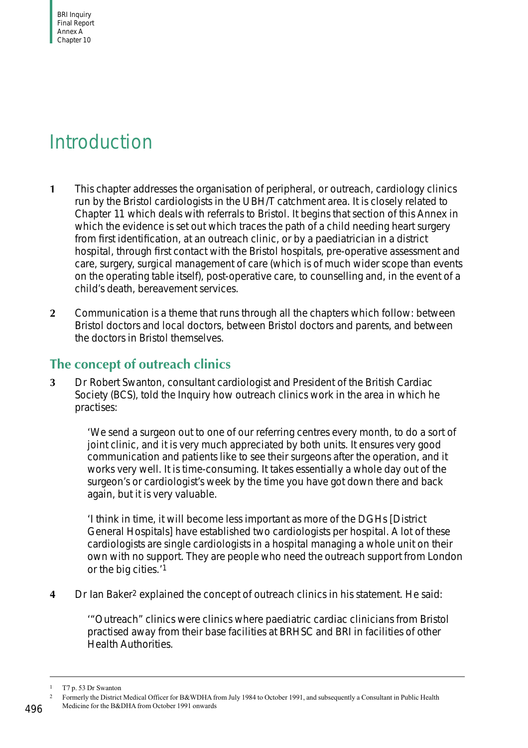BRI Inquiry Final Report Annex A Chapter 10

## <span id="page-1-0"></span>Introduction

- **1** This chapter addresses the organisation of peripheral, or outreach, cardiology clinics run by the Bristol cardiologists in the UBH/T catchment area. It is closely related to [Chapter 11](#page-10-0) which deals with referrals to Bristol. It begins that section of this Annex in which the evidence is set out which traces the path of a child needing heart surgery from first identification, at an outreach clinic, or by a paediatrician in a district hospital, through first contact with the Bristol hospitals, pre-operative assessment and care, surgery, surgical management of care (which is of much wider scope than events on the operating table itself), post-operative care, to counselling and, in the event of a child's death, bereavement services.
- **2** Communication is a theme that runs through all the chapters which follow: between Bristol doctors and local doctors, between Bristol doctors and parents, and between the doctors in Bristol themselves.

### <span id="page-1-1"></span>**The concept of outreach clinics**

**3** Dr Robert Swanton, consultant cardiologist and President of the British Cardiac Society (BCS), told the Inquiry how outreach clinics work in the area in which he practises:

'We send a surgeon out to one of our referring centres every month, to do a sort of joint clinic, and it is very much appreciated by both units. It ensures very good communication and patients like to see their surgeons after the operation, and it works very well. It is time-consuming. It takes essentially a whole day out of the surgeon's or cardiologist's week by the time you have got down there and back again, but it is very valuable.

'I think in time, it will become less important as more of the DGHs [District General Hospitals] have established two cardiologists per hospital. A lot of these cardiologists are single cardiologists in a hospital managing a whole unit on their own with no support. They are people who need the outreach support from London or the big cities.'1

**4** Dr Ian Baker2 explained the concept of outreach clinics in his statement. He said:

'"Outreach" clinics were clinics where paediatric cardiac clinicians from Bristol practised away from their base facilities at BRHSC and BRI in facilities of other Health Authorities.

<sup>1</sup> T7 p. 53 Dr Swanton

<sup>&</sup>lt;sup>2</sup> Formerly the District Medical Officer for B&WDHA from July 1984 to October 1991, and subsequently a Consultant in Public Health Medicine for the B&DHA from October 1991 onwards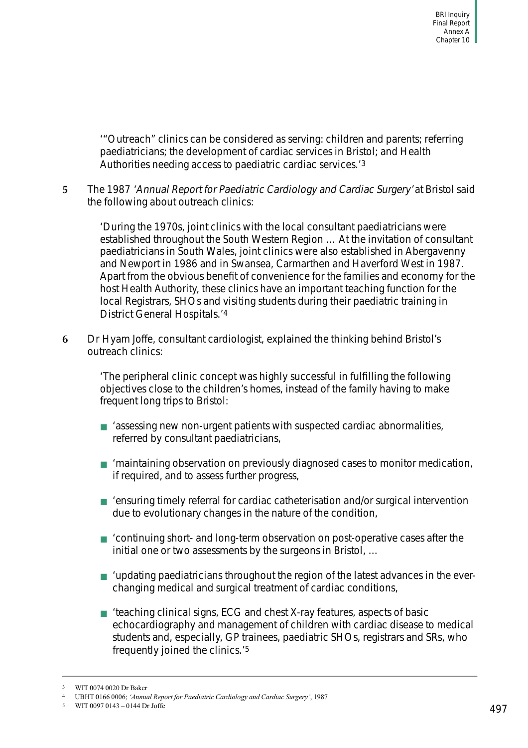'"Outreach" clinics can be considered as serving: children and parents; referring paediatricians; the development of cardiac services in Bristol; and Health Authorities needing access to paediatric cardiac services.'3

**5** The 1987 'Annual Report for Paediatric Cardiology and Cardiac Surgery' at Bristol said the following about outreach clinics:

'During the 1970s, joint clinics with the local consultant paediatricians were established throughout the South Western Region … At the invitation of consultant paediatricians in South Wales, joint clinics were also established in Abergavenny and Newport in 1986 and in Swansea, Carmarthen and Haverford West in 1987. Apart from the obvious benefit of convenience for the families and economy for the host Health Authority, these clinics have an important teaching function for the local Registrars, SHOs and visiting students during their paediatric training in District General Hospitals.'4

**6** Dr Hyam Joffe, consultant cardiologist, explained the thinking behind Bristol's outreach clinics:

> 'The peripheral clinic concept was highly successful in fulfilling the following objectives close to the children's homes, instead of the family having to make frequent long trips to Bristol:

- 'assessing new non-urgent patients with suspected cardiac abnormalities, referred by consultant paediatricians,
- 'maintaining observation on previously diagnosed cases to monitor medication, if required, and to assess further progress,
- 'ensuring timely referral for cardiac catheterisation and/or surgical intervention due to evolutionary changes in the nature of the condition,
- 'continuing short- and long-term observation on post-operative cases after the initial one or two assessments by the surgeons in Bristol, …
- 'updating paediatricians throughout the region of the latest advances in the everchanging medical and surgical treatment of cardiac conditions,
- 'teaching clinical signs, ECG and chest X-ray features, aspects of basic echocardiography and management of children with cardiac disease to medical students and, especially, GP trainees, paediatric SHOs, registrars and SRs, who frequently joined the clinics.'5

<sup>3</sup> WIT 0074 0020 Dr Baker

<sup>4</sup> UBHT 0166 0006; *'Annual Report for Paediatric Cardiology and Cardiac Surgery'*, 1987

<sup>5</sup> WIT 0097 0143 – 0144 Dr Joffe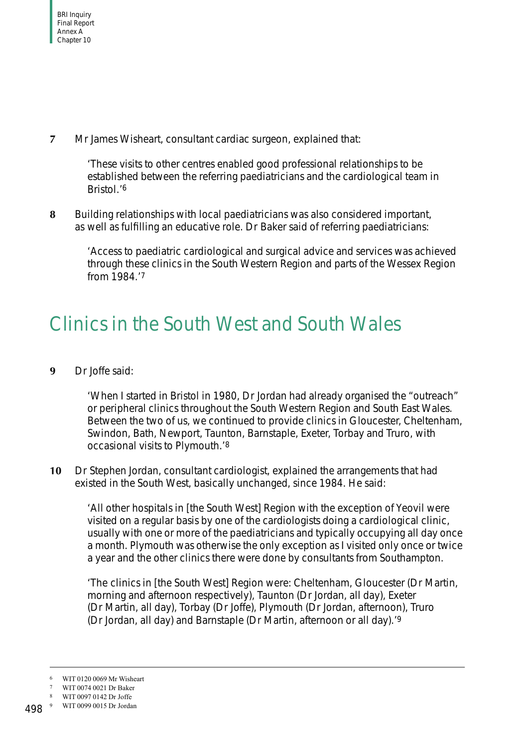**7** Mr James Wisheart, consultant cardiac surgeon, explained that:

'These visits to other centres enabled good professional relationships to be established between the referring paediatricians and the cardiological team in Bristol.'6

**8** Building relationships with local paediatricians was also considered important, as well as fulfilling an educative role. Dr Baker said of referring paediatricians:

'Access to paediatric cardiological and surgical advice and services was achieved through these clinics in the South Western Region and parts of the Wessex Region from 1984.'7

# <span id="page-3-0"></span>Clinics in the South West and South Wales

**9** Dr Joffe said:

'When I started in Bristol in 1980, Dr Jordan had already organised the "outreach" or peripheral clinics throughout the South Western Region and South East Wales. Between the two of us, we continued to provide clinics in Gloucester, Cheltenham, Swindon, Bath, Newport, Taunton, Barnstaple, Exeter, Torbay and Truro, with occasional visits to Plymouth.'8

**10** Dr Stephen Jordan, consultant cardiologist, explained the arrangements that had existed in the South West, basically unchanged, since 1984. He said:

'All other hospitals in [the South West] Region with the exception of Yeovil were visited on a regular basis by one of the cardiologists doing a cardiological clinic, usually with one or more of the paediatricians and typically occupying all day once a month. Plymouth was otherwise the only exception as I visited only once or twice a year and the other clinics there were done by consultants from Southampton.

'The clinics in [the South West] Region were: Cheltenham, Gloucester (Dr Martin, morning and afternoon respectively), Taunton (Dr Jordan, all day), Exeter (Dr Martin, all day), Torbay (Dr Joffe), Plymouth (Dr Jordan, afternoon), Truro (Dr Jordan, all day) and Barnstaple (Dr Martin, afternoon or all day).'9

WIT 0120 0069 Mr Wisheart

<sup>7</sup> WIT 0074 0021 Dr Baker

<sup>8</sup> WIT 0097 0142 Dr Joffe

<sup>9</sup> WIT 0099 0015 Dr Jordan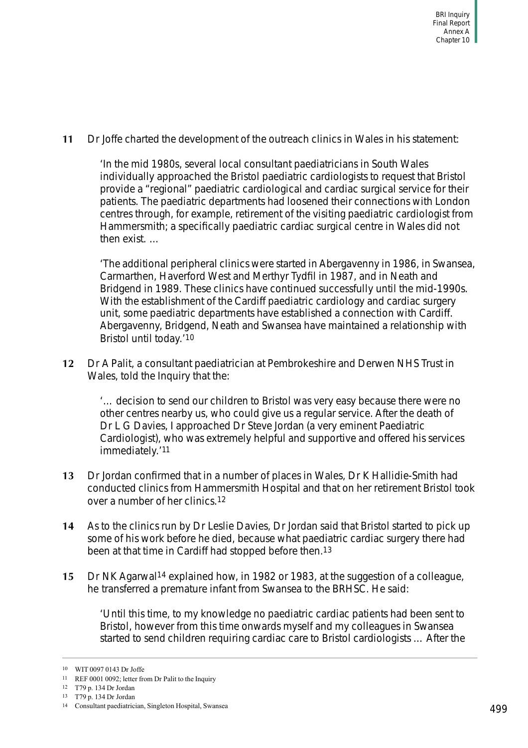**11** Dr Joffe charted the development of the outreach clinics in Wales in his statement:

'In the mid 1980s, several local consultant paediatricians in South Wales individually approached the Bristol paediatric cardiologists to request that Bristol provide a "regional" paediatric cardiological and cardiac surgical service for their patients. The paediatric departments had loosened their connections with London centres through, for example, retirement of the visiting paediatric cardiologist from Hammersmith; a specifically paediatric cardiac surgical centre in Wales did not then exist. …

'The additional peripheral clinics were started in Abergavenny in 1986, in Swansea, Carmarthen, Haverford West and Merthyr Tydfil in 1987, and in Neath and Bridgend in 1989. These clinics have continued successfully until the mid-1990s. With the establishment of the Cardiff paediatric cardiology and cardiac surgery unit, some paediatric departments have established a connection with Cardiff. Abergavenny, Bridgend, Neath and Swansea have maintained a relationship with Bristol until today.'10

**12** Dr A Palit, a consultant paediatrician at Pembrokeshire and Derwen NHS Trust in Wales, told the Inquiry that the:

'… decision to send our children to Bristol was very easy because there were no other centres nearby us, who could give us a regular service. After the death of Dr L G Davies, I approached Dr Steve Jordan (a very eminent Paediatric Cardiologist), who was extremely helpful and supportive and offered his services immediately.'11

- **13** Dr Jordan confirmed that in a number of places in Wales, Dr K Hallidie-Smith had conducted clinics from Hammersmith Hospital and that on her retirement Bristol took over a number of her clinics.12
- **14** As to the clinics run by Dr Leslie Davies, Dr Jordan said that Bristol started to pick up some of his work before he died, because what paediatric cardiac surgery there had been at that time in Cardiff had stopped before then.13
- **15** Dr NK Agarwal14 explained how, in 1982 or 1983, at the suggestion of a colleague, he transferred a premature infant from Swansea to the BRHSC. He said:

'Until this time, to my knowledge no paediatric cardiac patients had been sent to Bristol, however from this time onwards myself and my colleagues in Swansea started to send children requiring cardiac care to Bristol cardiologists … After the

<sup>10</sup> WIT 0097 0143 Dr Joffe

<sup>11</sup> REF 0001 0092; letter from Dr Palit to the Inquiry

<sup>12</sup> T79 p. 134 Dr Jordan

<sup>13</sup> T79 p. 134 Dr Jordan

<sup>14</sup> Consultant paediatrician, Singleton Hospital, Swansea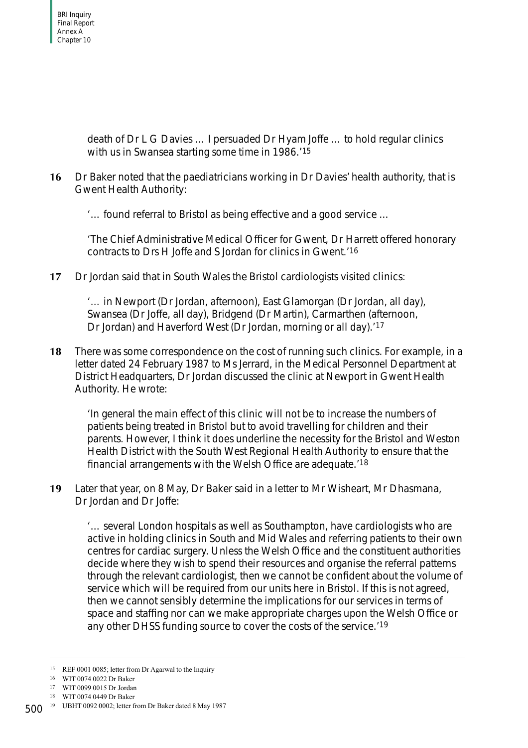death of Dr L G Davies … I persuaded Dr Hyam Joffe … to hold regular clinics with us in Swansea starting some time in 1986.<sup>'15</sup>

**16** Dr Baker noted that the paediatricians working in Dr Davies' health authority, that is Gwent Health Authority:

'… found referral to Bristol as being effective and a good service …

'The Chief Administrative Medical Officer for Gwent, Dr Harrett offered honorary contracts to Drs H Joffe and S Jordan for clinics in Gwent.'16

**17** Dr Jordan said that in South Wales the Bristol cardiologists visited clinics:

'… in Newport (Dr Jordan, afternoon), East Glamorgan (Dr Jordan, all day), Swansea (Dr Joffe, all day), Bridgend (Dr Martin), Carmarthen (afternoon, Dr Jordan) and Haverford West (Dr Jordan, morning or all day).'17

**18** There was some correspondence on the cost of running such clinics. For example, in a letter dated 24 February 1987 to Ms Jerrard, in the Medical Personnel Department at District Headquarters, Dr Jordan discussed the clinic at Newport in Gwent Health Authority. He wrote:

'In general the main effect of this clinic will not be to increase the numbers of patients being treated in Bristol but to avoid travelling for children and their parents. However, I think it does underline the necessity for the Bristol and Weston Health District with the South West Regional Health Authority to ensure that the financial arrangements with the Welsh Office are adequate.'18

**19** Later that year, on 8 May, Dr Baker said in a letter to Mr Wisheart, Mr Dhasmana, Dr Jordan and Dr Joffe:

'… several London hospitals as well as Southampton, have cardiologists who are active in holding clinics in South and Mid Wales and referring patients to their own centres for cardiac surgery. Unless the Welsh Office and the constituent authorities decide where they wish to spend their resources and organise the referral patterns through the relevant cardiologist, then we cannot be confident about the volume of service which will be required from our units here in Bristol. If this is not agreed, then we cannot sensibly determine the implications for our services in terms of space and staffing nor can we make appropriate charges upon the Welsh Office or any other DHSS funding source to cover the costs of the service.'19

<sup>15</sup> REF 0001 0085; letter from Dr Agarwal to the Inquiry

<sup>16</sup> WIT 0074 0022 Dr Baker

<sup>17</sup> WIT 0099 0015 Dr Jordan

<sup>18</sup> WIT 0074 0449 Dr Baker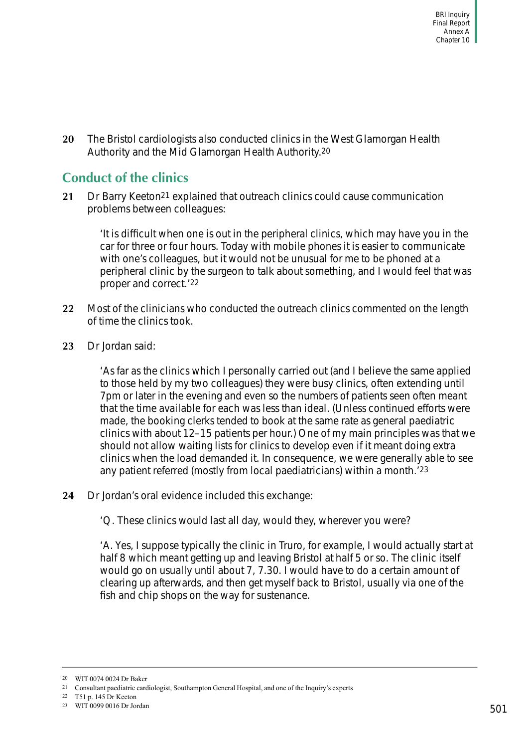**20** The Bristol cardiologists also conducted clinics in the West Glamorgan Health Authority and the Mid Glamorgan Health Authority.20

## <span id="page-6-0"></span>**Conduct of the clinics**

**21** Dr Barry Keeton21 explained that outreach clinics could cause communication problems between colleagues:

'It is difficult when one is out in the peripheral clinics, which may have you in the car for three or four hours. Today with mobile phones it is easier to communicate with one's colleagues, but it would not be unusual for me to be phoned at a peripheral clinic by the surgeon to talk about something, and I would feel that was proper and correct.'22

- **22** Most of the clinicians who conducted the outreach clinics commented on the length of time the clinics took.
- **23** Dr Jordan said:

'As far as the clinics which I personally carried out (and I believe the same applied to those held by my two colleagues) they were busy clinics, often extending until 7pm or later in the evening and even so the numbers of patients seen often meant that the time available for each was less than ideal. (Unless continued efforts were made, the booking clerks tended to book at the same rate as general paediatric clinics with about 12–15 patients per hour.) One of my main principles was that we should not allow waiting lists for clinics to develop even if it meant doing extra clinics when the load demanded it. In consequence, we were generally able to see any patient referred (mostly from local paediatricians) within a month.'23

- **24** Dr Jordan's oral evidence included this exchange:
	- 'Q. These clinics would last all day, would they, wherever you were?

'A. Yes, I suppose typically the clinic in Truro, for example, I would actually start at half 8 which meant getting up and leaving Bristol at half 5 or so. The clinic itself would go on usually until about 7, 7.30. I would have to do a certain amount of clearing up afterwards, and then get myself back to Bristol, usually via one of the fish and chip shops on the way for sustenance.

<sup>20</sup> WIT 0074 0024 Dr Baker

<sup>21</sup> Consultant paediatric cardiologist, Southampton General Hospital, and one of the Inquiry's experts

<sup>22</sup> T51 p. 145 Dr Keeton

<sup>23</sup> WIT 0099 0016 Dr Jordan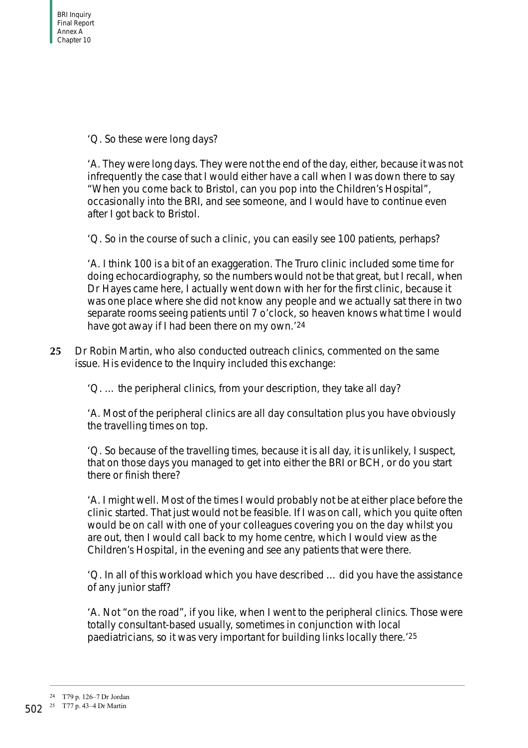'Q. So these were long days?

'A. They were long days. They were not the end of the day, either, because it was not infrequently the case that I would either have a call when I was down there to say "When you come back to Bristol, can you pop into the Children's Hospital", occasionally into the BRI, and see someone, and I would have to continue even after I got back to Bristol.

'Q. So in the course of such a clinic, you can easily see 100 patients, perhaps?

'A. I think 100 is a bit of an exaggeration. The Truro clinic included some time for doing echocardiography, so the numbers would not be that great, but I recall, when Dr Hayes came here, I actually went down with her for the first clinic, because it was one place where she did not know any people and we actually sat there in two separate rooms seeing patients until 7 o'clock, so heaven knows what time I would have got away if I had been there on my own.'24

**25** Dr Robin Martin, who also conducted outreach clinics, commented on the same issue. His evidence to the Inquiry included this exchange:

'Q. … the peripheral clinics, from your description, they take all day?

'A. Most of the peripheral clinics are all day consultation plus you have obviously the travelling times on top.

'Q. So because of the travelling times, because it is all day, it is unlikely, I suspect, that on those days you managed to get into either the BRI or BCH, or do you start there or finish there?

'A. I might well. Most of the times I would probably not be at either place before the clinic started. That just would not be feasible. If I was on call, which you quite often would be on call with one of your colleagues covering you on the day whilst you are out, then I would call back to my home centre, which I would view as the Children's Hospital, in the evening and see any patients that were there.

'Q. In all of this workload which you have described … did you have the assistance of any junior staff?

'A. Not "on the road", if you like, when I went to the peripheral clinics. Those were totally consultant-based usually, sometimes in conjunction with local paediatricians, so it was very important for building links locally there.'25

<sup>24</sup> T79 p. 126–7 Dr Jordan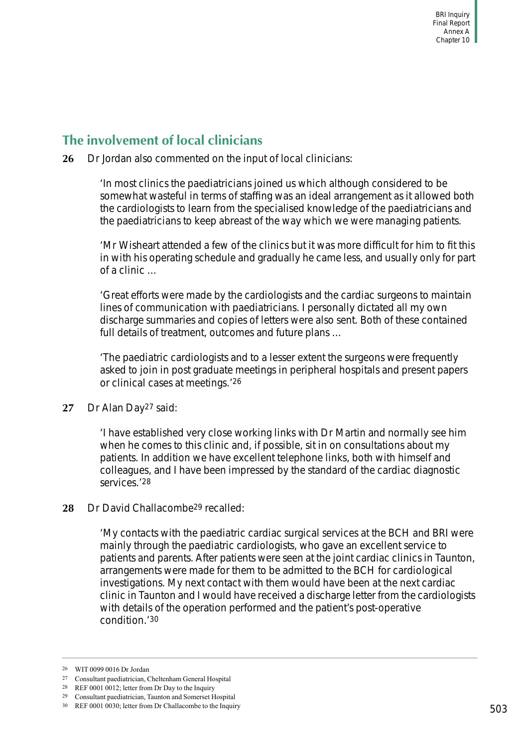## <span id="page-8-0"></span>**The involvement of local clinicians**

**26** Dr Jordan also commented on the input of local clinicians:

'In most clinics the paediatricians joined us which although considered to be somewhat wasteful in terms of staffing was an ideal arrangement as it allowed both the cardiologists to learn from the specialised knowledge of the paediatricians and the paediatricians to keep abreast of the way which we were managing patients.

'Mr Wisheart attended a few of the clinics but it was more difficult for him to fit this in with his operating schedule and gradually he came less, and usually only for part of a clinic …

'Great efforts were made by the cardiologists and the cardiac surgeons to maintain lines of communication with paediatricians. I personally dictated all my own discharge summaries and copies of letters were also sent. Both of these contained full details of treatment, outcomes and future plans …

'The paediatric cardiologists and to a lesser extent the surgeons were frequently asked to join in post graduate meetings in peripheral hospitals and present papers or clinical cases at meetings.'26

#### **27** Dr Alan Day27 said:

'I have established very close working links with Dr Martin and normally see him when he comes to this clinic and, if possible, sit in on consultations about my patients. In addition we have excellent telephone links, both with himself and colleagues, and I have been impressed by the standard of the cardiac diagnostic services.'28

#### 28 Dr David Challacombe<sup>29</sup> recalled:

'My contacts with the paediatric cardiac surgical services at the BCH and BRI were mainly through the paediatric cardiologists, who gave an excellent service to patients and parents. After patients were seen at the joint cardiac clinics in Taunton, arrangements were made for them to be admitted to the BCH for cardiological investigations. My next contact with them would have been at the next cardiac clinic in Taunton and I would have received a discharge letter from the cardiologists with details of the operation performed and the patient's post-operative condition.'30

<sup>26</sup> WIT 0099 0016 Dr Jordan

<sup>27</sup> Consultant paediatrician, Cheltenham General Hospital

<sup>28</sup> REF 0001 0012; letter from Dr Day to the Inquiry

<sup>29</sup> Consultant paediatrician, Taunton and Somerset Hospital

<sup>30</sup> REF 0001 0030; letter from Dr Challacombe to the Inquiry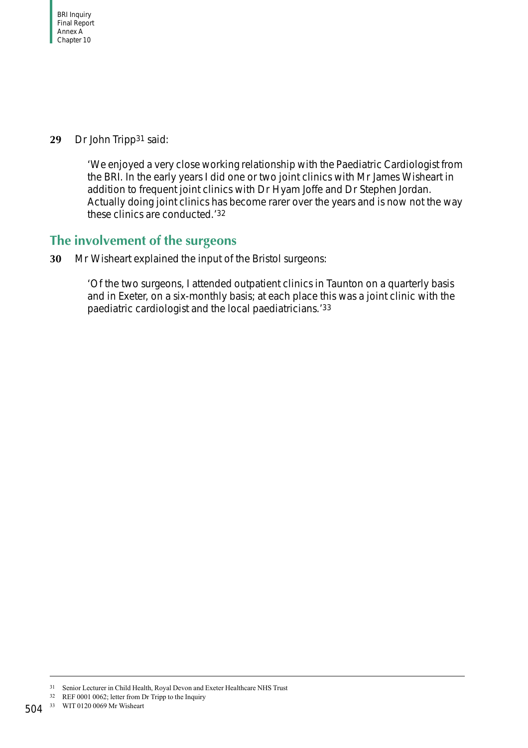**29** Dr John Tripp31 said:

'We enjoyed a very close working relationship with the Paediatric Cardiologist from the BRI. In the early years I did one or two joint clinics with Mr James Wisheart in addition to frequent joint clinics with Dr Hyam Joffe and Dr Stephen Jordan. Actually doing joint clinics has become rarer over the years and is now not the way these clinics are conducted.'32

### <span id="page-9-0"></span>**The involvement of the surgeons**

**30** Mr Wisheart explained the input of the Bristol surgeons:

'Of the two surgeons, I attended outpatient clinics in Taunton on a quarterly basis and in Exeter, on a six-monthly basis; at each place this was a joint clinic with the paediatric cardiologist and the local paediatricians.'33

<sup>31</sup> Senior Lecturer in Child Health, Royal Devon and Exeter Healthcare NHS Trust

<sup>32</sup> REF 0001 0062; letter from Dr Tripp to the Inquiry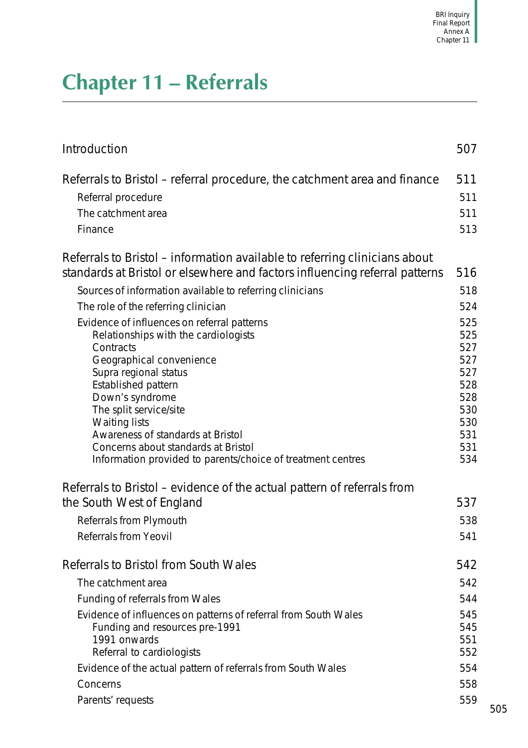# <span id="page-10-0"></span>**Chapter 11 – Referrals**

| Introduction                                                                                                                                              | 507 |
|-----------------------------------------------------------------------------------------------------------------------------------------------------------|-----|
| Referrals to Bristol – referral procedure, the catchment area and finance                                                                                 | 511 |
| Referral procedure                                                                                                                                        | 511 |
| The catchment area                                                                                                                                        | 511 |
| Finance                                                                                                                                                   | 513 |
| Referrals to Bristol – information available to referring clinicians about<br>standards at Bristol or elsewhere and factors influencing referral patterns | 516 |
| Sources of information available to referring clinicians                                                                                                  | 518 |
| The role of the referring clinician                                                                                                                       | 524 |
| Evidence of influences on referral patterns                                                                                                               | 525 |
| Relationships with the cardiologists                                                                                                                      | 525 |
| Contracts                                                                                                                                                 | 527 |
| Geographical convenience                                                                                                                                  | 527 |
| Supra regional status                                                                                                                                     | 527 |
| Established pattern                                                                                                                                       | 528 |
| Down's syndrome                                                                                                                                           | 528 |
| The split service/site                                                                                                                                    | 530 |
| <b>Waiting lists</b>                                                                                                                                      | 530 |
| Awareness of standards at Bristol                                                                                                                         | 531 |
| Concerns about standards at Bristol                                                                                                                       | 531 |
| Information provided to parents/choice of treatment centres                                                                                               | 534 |
| Referrals to Bristol – evidence of the actual pattern of referrals from<br>the South West of England                                                      | 537 |
| Referrals from Plymouth                                                                                                                                   | 538 |
| <b>Referrals from Yeovil</b>                                                                                                                              | 541 |
| Referrals to Bristol from South Wales                                                                                                                     | 542 |
| The catchment area                                                                                                                                        | 542 |
| Funding of referrals from Wales                                                                                                                           | 544 |
| Evidence of influences on patterns of referral from South Wales                                                                                           | 545 |
| Funding and resources pre-1991                                                                                                                            | 545 |
| 1991 onwards                                                                                                                                              | 551 |
| Referral to cardiologists                                                                                                                                 | 552 |
| Evidence of the actual pattern of referrals from South Wales                                                                                              | 554 |
| Concerns                                                                                                                                                  | 558 |
| Parents' requests                                                                                                                                         | 559 |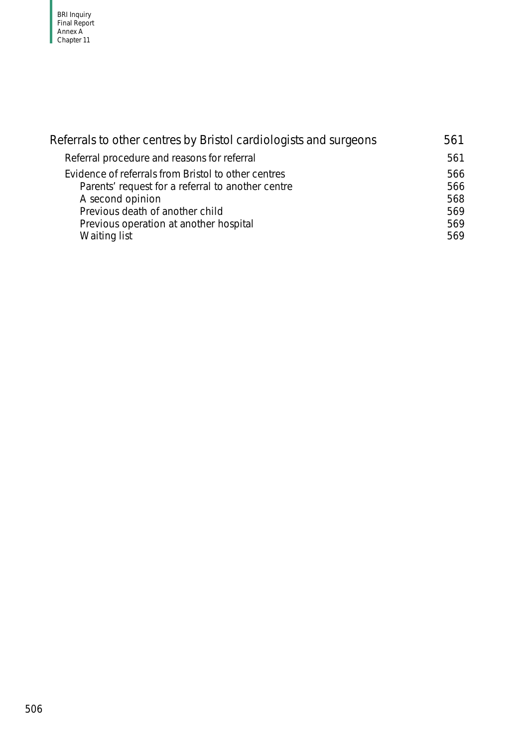| Referrals to other centres by Bristol cardiologists and surgeons | 561 |
|------------------------------------------------------------------|-----|
| Referral procedure and reasons for referral                      | 561 |
| Evidence of referrals from Bristol to other centres              | 566 |
| Parents' request for a referral to another centre                | 566 |
| A second opinion                                                 | 568 |
| Previous death of another child                                  | 569 |
| Previous operation at another hospital                           | 569 |
| Waiting list                                                     | 569 |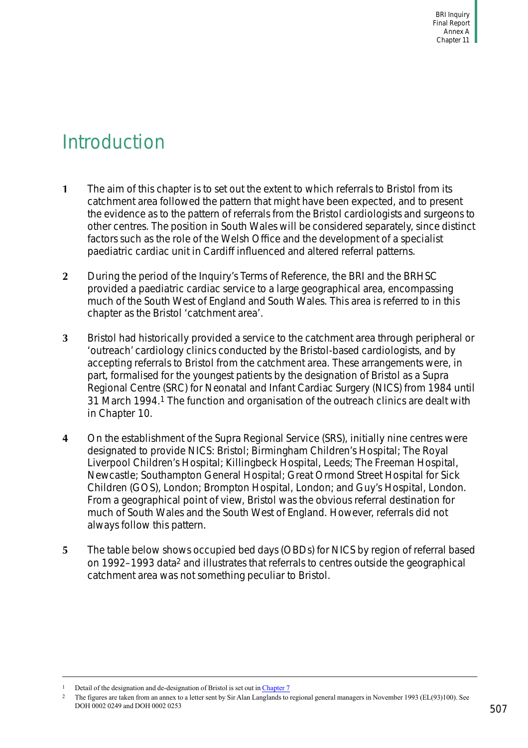# <span id="page-12-0"></span>Introduction

- **1** The aim of this chapter is to set out the extent to which referrals to Bristol from its catchment area followed the pattern that might have been expected, and to present the evidence as to the pattern of referrals from the Bristol cardiologists and surgeons to other centres. The position in South Wales will be considered separately, since distinct factors such as the role of the Welsh Office and the development of a specialist paediatric cardiac unit in Cardiff influenced and altered referral patterns.
- **2** During the period of the Inquiry's Terms of Reference, the BRI and the BRHSC provided a paediatric cardiac service to a large geographical area, encompassing much of the South West of England and South Wales. This area is referred to in this chapter as the Bristol 'catchment area'.
- **3** Bristol had historically provided a service to the catchment area through peripheral or 'outreach' cardiology clinics conducted by the Bristol-based cardiologists, and by accepting referrals to Bristol from the catchment area. These arrangements were, in part, formalised for the youngest patients by the designation of Bristol as a Supra Regional Centre (SRC) for Neonatal and Infant Cardiac Surgery (NICS) from 1984 until 31 March 1994.1 The function and organisation of the outreach clinics are dealt with in [Chapter 10.](#page-0-0)
- **4** On the establishment of the Supra Regional Service (SRS), initially nine centres were designated to provide NICS: Bristol; Birmingham Children's Hospital; The Royal Liverpool Children's Hospital; Killingbeck Hospital, Leeds; The Freeman Hospital, Newcastle; Southampton General Hospital; Great Ormond Street Hospital for Sick Children (GOS), London; Brompton Hospital, London; and Guy's Hospital, London. From a geographical point of view, Bristol was the obvious referral destination for much of South Wales and the South West of England. However, referrals did not always follow this pattern.
- **5** The table below shows occupied bed days (OBDs) for NICS by region of referral based on 1992–1993 data2 and illustrates that referrals to centres outside the geographical catchment area was not something peculiar to Bristol.

Detail of the designation and de-designation of Bristol is set out in Chapter 7

<sup>&</sup>lt;sup>2</sup> The figures are taken from an annex to a letter sent by Sir Alan Langlands to regional general managers in November 1993 (EL(93)100). See DOH 0002 0249 and DOH 0002 0253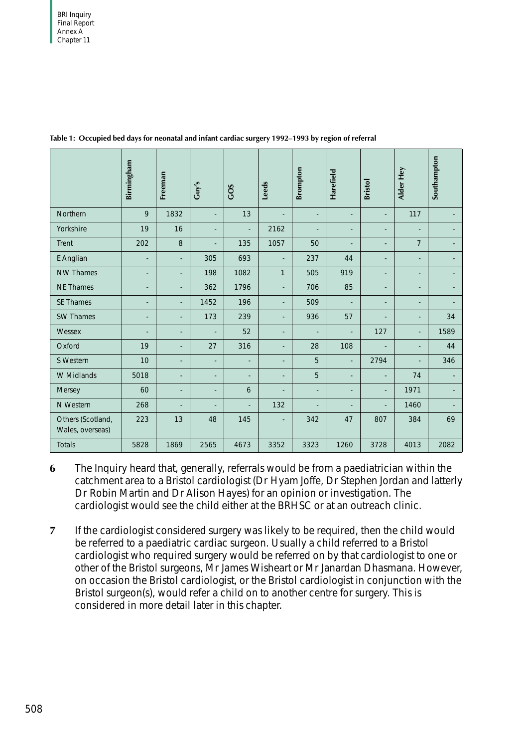|                                       | Birmingham               | Freeman                  | Guy's                    | GOS                      | Leeds                    | <b>Brompton</b> | Harefield                | <b>Bristol</b>           | Alder Hey      | Southampton |
|---------------------------------------|--------------------------|--------------------------|--------------------------|--------------------------|--------------------------|-----------------|--------------------------|--------------------------|----------------|-------------|
| Northern                              | 9                        | 1832                     | $\overline{\phantom{a}}$ | 13                       |                          | $\overline{a}$  |                          | $\overline{\phantom{a}}$ | 117            |             |
| Yorkshire                             | 19                       | 16                       | ÷,                       |                          | 2162                     |                 | L,                       |                          |                |             |
| Trent                                 | 202                      | 8                        | $\overline{\phantom{0}}$ | 135                      | 1057                     | 50              | $\overline{a}$           | $\overline{a}$           | $\overline{7}$ |             |
| E Anglian                             |                          | $\blacksquare$           | 305                      | 693                      | $\overline{\phantom{a}}$ | 237             | 44                       |                          |                |             |
| <b>NW Thames</b>                      |                          | $\overline{a}$           | 198                      | 1082                     | 1                        | 505             | 919                      | $\overline{a}$           |                |             |
| <b>NE Thames</b>                      | $\overline{\phantom{a}}$ | $\overline{\phantom{a}}$ | 362                      | 1796                     | L,                       | 706             | 85                       | $\overline{a}$           | $\overline{a}$ |             |
| <b>SE Thames</b>                      |                          |                          | 1452                     | 196                      | $\overline{a}$           | 509             |                          |                          |                |             |
| <b>SW Thames</b>                      | $\overline{a}$           | $\overline{a}$           | 173                      | 239                      | $\overline{\phantom{a}}$ | 936             | 57                       |                          |                | 34          |
| Wessex                                | $\overline{a}$           | $\overline{\phantom{a}}$ | $\blacksquare$           | 52                       | L,                       | $\overline{a}$  | $\overline{\phantom{a}}$ | 127                      | $\overline{a}$ | 1589        |
| Oxford                                | 19                       | $\overline{a}$           | 27                       | 316                      | L,                       | 28              | 108                      |                          |                | 44          |
| S Western                             | 10                       | $\overline{a}$           | $\overline{\phantom{a}}$ | $\overline{\phantom{a}}$ | ÷,                       | 5               | $\overline{a}$           | 2794                     |                | 346         |
| W Midlands                            | 5018                     | $\overline{a}$           | $\overline{a}$           | $\overline{a}$           | $\overline{a}$           | 5               | $\overline{a}$           |                          | 74             |             |
| Mersey                                | 60                       | $\overline{\phantom{a}}$ | $\overline{\phantom{a}}$ | 6                        | L,                       | $\overline{a}$  | ÷                        |                          | 1971           |             |
| N Western                             | 268                      | $\overline{a}$           | $\overline{a}$           | $\overline{\phantom{a}}$ | 132                      | $\overline{a}$  | $\overline{a}$           |                          | 1460           |             |
| Others (Scotland,<br>Wales, overseas) | 223                      | 13                       | 48                       | 145                      | $\overline{\phantom{a}}$ | 342             | 47                       | 807                      | 384            | 69          |
| <b>Totals</b>                         | 5828                     | 1869                     | 2565                     | 4673                     | 3352                     | 3323            | 1260                     | 3728                     | 4013           | 2082        |

<span id="page-13-0"></span>**Table 1: Occupied bed days for neonatal and infant cardiac surgery 1992–1993 by region of referral**

- **6** The Inquiry heard that, generally, referrals would be from a paediatrician within the catchment area to a Bristol cardiologist (Dr Hyam Joffe, Dr Stephen Jordan and latterly Dr Robin Martin and Dr Alison Hayes) for an opinion or investigation. The cardiologist would see the child either at the BRHSC or at an outreach clinic.
- **7** If the cardiologist considered surgery was likely to be required, then the child would be referred to a paediatric cardiac surgeon. Usually a child referred to a Bristol cardiologist who required surgery would be referred on by that cardiologist to one or other of the Bristol surgeons, Mr James Wisheart or Mr Janardan Dhasmana. However, on occasion the Bristol cardiologist, or the Bristol cardiologist in conjunction with the Bristol surgeon(s), would refer a child on to another centre for surgery. This is considered in more detail later in this chapter.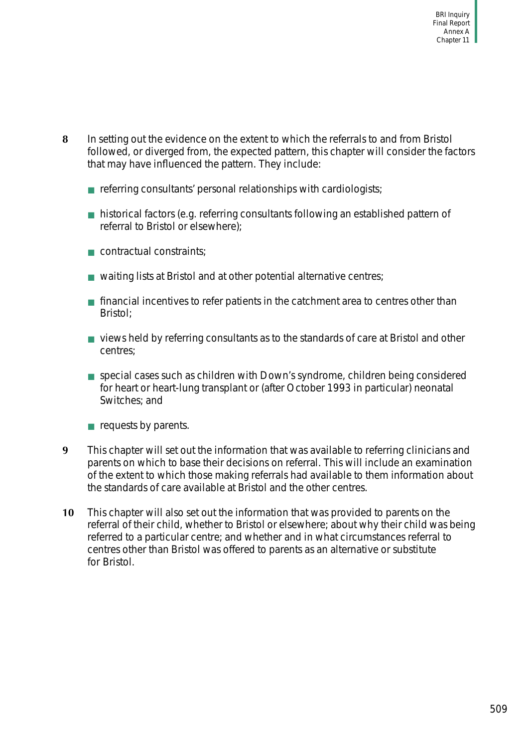- **8** In setting out the evidence on the extent to which the referrals to and from Bristol followed, or diverged from, the expected pattern, this chapter will consider the factors that may have influenced the pattern. They include:
	- $\blacksquare$  referring consultants' personal relationships with cardiologists;
	- historical factors (e.g. referring consultants following an established pattern of referral to Bristol or elsewhere);
	- contractual constraints:
	- waiting lists at Bristol and at other potential alternative centres;
	- financial incentives to refer patients in the catchment area to centres other than Bristol;
	- views held by referring consultants as to the standards of care at Bristol and other centres;
	- special cases such as children with Down's syndrome, children being considered for heart or heart-lung transplant or (after October 1993 in particular) neonatal Switches; and
	- requests by parents.
- **9** This chapter will set out the information that was available to referring clinicians and parents on which to base their decisions on referral. This will include an examination of the extent to which those making referrals had available to them information about the standards of care available at Bristol and the other centres.
- **10** This chapter will also set out the information that was provided to parents on the referral of their child, whether to Bristol or elsewhere; about why their child was being referred to a particular centre; and whether and in what circumstances referral to centres other than Bristol was offered to parents as an alternative or substitute for Bristol.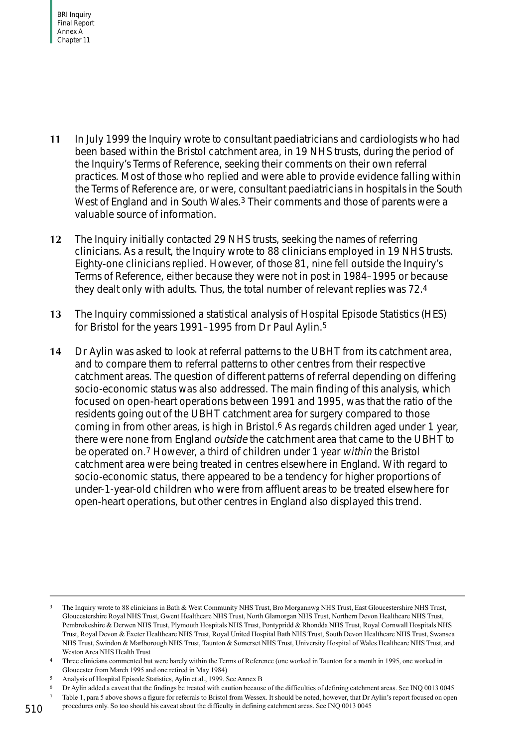- **11** In July 1999 the Inquiry wrote to consultant paediatricians and cardiologists who had been based within the Bristol catchment area, in 19 NHS trusts, during the period of the Inquiry's Terms of Reference, seeking their comments on their own referral practices. Most of those who replied and were able to provide evidence falling within the Terms of Reference are, or were, consultant paediatricians in hospitals in the South West of England and in South Wales.<sup>3</sup> Their comments and those of parents were a valuable source of information.
- **12** The Inquiry initially contacted 29 NHS trusts, seeking the names of referring clinicians. As a result, the Inquiry wrote to 88 clinicians employed in 19 NHS trusts. Eighty-one clinicians replied. However, of those 81, nine fell outside the Inquiry's Terms of Reference, either because they were not in post in 1984–1995 or because they dealt only with adults. Thus, the total number of relevant replies was 72.4
- **13** The Inquiry commissioned a statistical analysis of Hospital Episode Statistics (HES) for Bristol for the years 1991–1995 from Dr Paul Aylin.<sup>5</sup>
- **14** Dr Aylin was asked to look at referral patterns to the UBHT from its catchment area, and to compare them to referral patterns to other centres from their respective catchment areas. The question of different patterns of referral depending on differing socio-economic status was also addressed. The main finding of this analysis, which focused on open-heart operations between 1991 and 1995, was that the ratio of the residents going out of the UBHT catchment area for surgery compared to those coming in from other areas, is high in Bristol.6 As regards children aged under 1 year, there were none from England outside the catchment area that came to the UBHT to be operated on.7 However, a third of children under 1 year within the Bristol catchment area were being treated in centres elsewhere in England. With regard to socio-economic status, there appeared to be a tendency for higher proportions of under-1-year-old children who were from affluent areas to be treated elsewhere for open-heart operations, but other centres in England also displayed this trend.

<sup>3</sup> The Inquiry wrote to 88 clinicians in Bath & West Community NHS Trust, Bro Morgannwg NHS Trust, East Gloucestershire NHS Trust, Gloucestershire Royal NHS Trust, Gwent Healthcare NHS Trust, North Glamorgan NHS Trust, Northern Devon Healthcare NHS Trust, Pembrokeshire & Derwen NHS Trust, Plymouth Hospitals NHS Trust, Pontypridd & Rhondda NHS Trust, Royal Cornwall Hospitals NHS Trust, Royal Devon & Exeter Healthcare NHS Trust, Royal United Hospital Bath NHS Trust, South Devon Healthcare NHS Trust, Swansea NHS Trust, Swindon & Marlborough NHS Trust, Taunton & Somerset NHS Trust, University Hospital of Wales Healthcare NHS Trust, and Weston Area NHS Health Trust

<sup>4</sup> Three clinicians commented but were barely within the Terms of Reference (one worked in Taunton for a month in 1995, one worked in Gloucester from March 1995 and one retired in May 1984)

<sup>5</sup> Analysis of Hospital Episode Statistics, Aylin et al., 1999. See Annex B

<sup>6</sup> Dr Aylin added a caveat that the findings be treated with caution because of the difficulties of defining catchment areas. See INQ 0013 0045

<sup>7</sup> [Table 1,](#page-13-0) para 5 above shows a figure for referrals to Bristol from Wessex. It should be noted, however, that Dr Aylin's report focused on open

procedures only. So too should his caveat about the difficulty in defining catchment areas. See INQ 0013 0045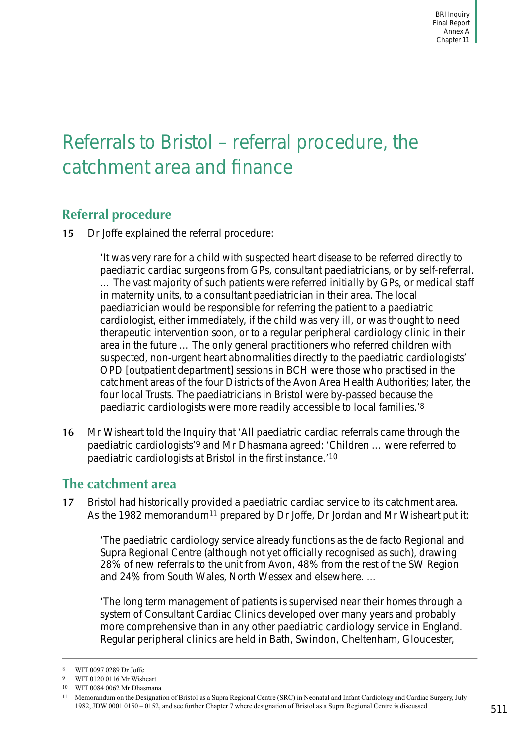# <span id="page-16-0"></span>Referrals to Bristol – referral procedure, the catchment area and finance

## <span id="page-16-1"></span>**Referral procedure**

**15** Dr Joffe explained the referral procedure:

'It was very rare for a child with suspected heart disease to be referred directly to paediatric cardiac surgeons from GPs, consultant paediatricians, or by self-referral. … The vast majority of such patients were referred initially by GPs, or medical staff in maternity units, to a consultant paediatrician in their area. The local paediatrician would be responsible for referring the patient to a paediatric cardiologist, either immediately, if the child was very ill, or was thought to need therapeutic intervention soon, or to a regular peripheral cardiology clinic in their area in the future … The only general practitioners who referred children with suspected, non-urgent heart abnormalities directly to the paediatric cardiologists' OPD [outpatient department] sessions in BCH were those who practised in the catchment areas of the four Districts of the Avon Area Health Authorities; later, the four local Trusts. The paediatricians in Bristol were by-passed because the paediatric cardiologists were more readily accessible to local families.'8

**16** Mr Wisheart told the Inquiry that 'All paediatric cardiac referrals came through the paediatric cardiologists'9 and Mr Dhasmana agreed: 'Children … were referred to paediatric cardiologists at Bristol in the first instance.'10

### <span id="page-16-2"></span>**The catchment area**

**17** Bristol had historically provided a paediatric cardiac service to its catchment area. As the 1982 memorandum<sup>11</sup> prepared by Dr Joffe, Dr Jordan and Mr Wisheart put it:

'The paediatric cardiology service already functions as the de facto Regional and Supra Regional Centre (although not yet officially recognised as such), drawing 28% of new referrals to the unit from Avon, 48% from the rest of the SW Region and 24% from South Wales, North Wessex and elsewhere. …

'The long term management of patients is supervised near their homes through a system of Consultant Cardiac Clinics developed over many years and probably more comprehensive than in any other paediatric cardiology service in England. Regular peripheral clinics are held in Bath, Swindon, Cheltenham, Gloucester,

<sup>8</sup> WIT 0097 0289 Dr Joffe

WIT 0120 0116 Mr Wisheart

<sup>10</sup> WIT 0084 0062 Mr Dhasmana

<sup>11</sup> Memorandum on the Designation of Bristol as a Supra Regional Centre (SRC) in Neonatal and Infant Cardiology and Cardiac Surgery, July 1982, JDW 0001 0150 – 0152, and see further Chapter 7 where designation of Bristol as a Supra Regional Centre is discussed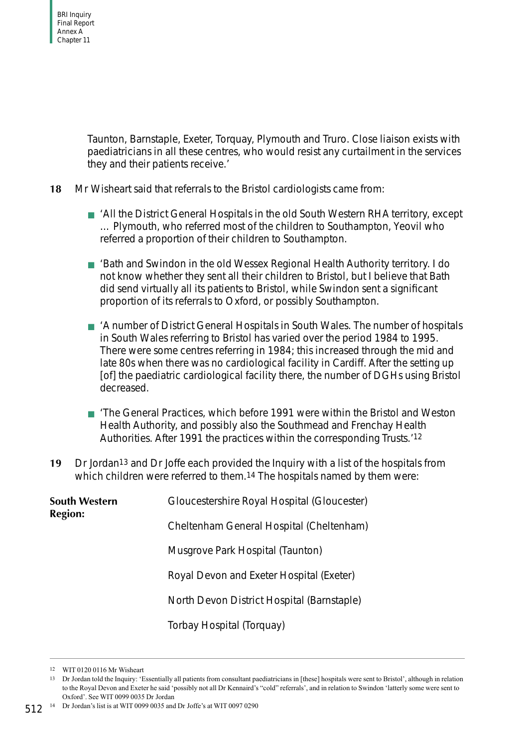Taunton, Barnstaple, Exeter, Torquay, Plymouth and Truro. Close liaison exists with paediatricians in all these centres, who would resist any curtailment in the services they and their patients receive.'

- **18** Mr Wisheart said that referrals to the Bristol cardiologists came from:
	- 'All the District General Hospitals in the old South Western RHA territory, except … Plymouth, who referred most of the children to Southampton, Yeovil who referred a proportion of their children to Southampton.
	- 'Bath and Swindon in the old Wessex Regional Health Authority territory. I do not know whether they sent all their children to Bristol, but I believe that Bath did send virtually all its patients to Bristol, while Swindon sent a significant proportion of its referrals to Oxford, or possibly Southampton.
	- 'A number of District General Hospitals in South Wales. The number of hospitals in South Wales referring to Bristol has varied over the period 1984 to 1995. There were some centres referring in 1984; this increased through the mid and late 80s when there was no cardiological facility in Cardiff. After the setting up [of] the paediatric cardiological facility there, the number of DGHs using Bristol decreased.
	- 'The General Practices, which before 1991 were within the Bristol and Weston Health Authority, and possibly also the Southmead and Frenchay Health Authorities. After 1991 the practices within the corresponding Trusts.'12
- **19** Dr Jordan13 and Dr Joffe each provided the Inquiry with a list of the hospitals from which children were referred to them.14 The hospitals named by them were:

| <b>South Western</b><br><b>Region:</b> | Gloucestershire Royal Hospital (Gloucester) |  |  |  |
|----------------------------------------|---------------------------------------------|--|--|--|
|                                        | Cheltenham General Hospital (Cheltenham)    |  |  |  |
|                                        | Musgrove Park Hospital (Taunton)            |  |  |  |
|                                        | Royal Devon and Exeter Hospital (Exeter)    |  |  |  |
|                                        | North Devon District Hospital (Barnstaple)  |  |  |  |
|                                        | Torbay Hospital (Torquay)                   |  |  |  |

<sup>12</sup> WIT 0120 0116 Mr Wisheart

512<sup>14</sup> Dr Jordan's list is at WIT 0099 0035 and Dr Joffe's at WIT 0097 0290

<sup>13</sup> Dr Jordan told the Inquiry: 'Essentially all patients from consultant paediatricians in [these] hospitals were sent to Bristol', although in relation to the Royal Devon and Exeter he said 'possibly not all Dr Kennaird's "cold" referrals', and in relation to Swindon 'latterly some were sent to Oxford'. See WIT 0099 0035 Dr Jordan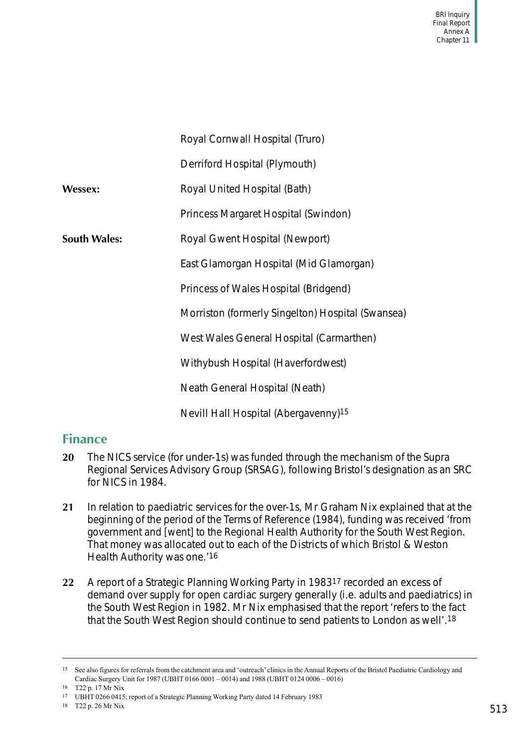|                     | Royal Cornwall Hospital (Truro)                   |
|---------------------|---------------------------------------------------|
|                     | Derriford Hospital (Plymouth)                     |
| Wessex:             | Royal United Hospital (Bath)                      |
|                     | Princess Margaret Hospital (Swindon)              |
| <b>South Wales:</b> | Royal Gwent Hospital (Newport)                    |
|                     | East Glamorgan Hospital (Mid Glamorgan)           |
|                     | Princess of Wales Hospital (Bridgend)             |
|                     | Morriston (formerly Singelton) Hospital (Swansea) |
|                     | West Wales General Hospital (Carmarthen)          |
|                     | Withybush Hospital (Haverfordwest)                |
|                     | Neath General Hospital (Neath)                    |
|                     | Nevill Hall Hospital (Abergavenny) <sup>15</sup>  |

### <span id="page-18-0"></span>**Finance**

- **20** The NICS service (for under-1s) was funded through the mechanism of the Supra Regional Services Advisory Group (SRSAG), following Bristol's designation as an SRC for NICS in 1984.
- **21** In relation to paediatric services for the over-1s, Mr Graham Nix explained that at the beginning of the period of the Terms of Reference (1984), funding was received 'from government and [went] to the Regional Health Authority for the South West Region. That money was allocated out to each of the Districts of which Bristol & Weston Health Authority was one.'16
- **22** A report of a Strategic Planning Working Party in 198317 recorded an excess of demand over supply for open cardiac surgery generally (i.e. adults and paediatrics) in the South West Region in 1982. Mr Nix emphasised that the report 'refers to the fact that the South West Region should continue to send patients to London as well'.18

<sup>&</sup>lt;sup>15</sup> See also figures for referrals from the catchment area and 'outreach' clinics in the Annual Reports of the Bristol Paediatric Cardiology and Cardiac Surgery Unit for 1987 (UBHT 0166 0001 – 0014) and 1988 (UBHT 0124 0006 – 0016)

<sup>16</sup> T22 p. 17 Mr Nix

<sup>17</sup> UBHT 0266 0415; report of a Strategic Planning Working Party dated 14 February 1983

<sup>18</sup> T22 p. 26 Mr Nix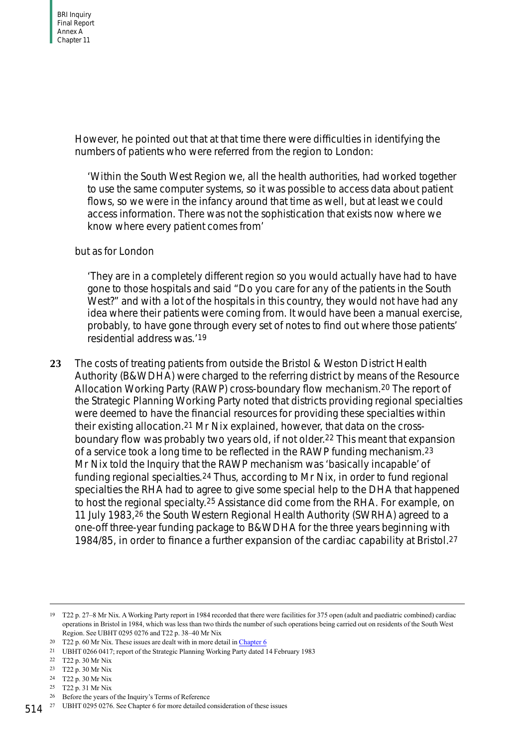However, he pointed out that at that time there were difficulties in identifying the numbers of patients who were referred from the region to London:

'Within the South West Region we, all the health authorities, had worked together to use the same computer systems, so it was possible to access data about patient flows, so we were in the infancy around that time as well, but at least we could access information. There was not the sophistication that exists now where we know where every patient comes from'

#### but as for London

'They are in a completely different region so you would actually have had to have gone to those hospitals and said "Do you care for any of the patients in the South West?" and with a lot of the hospitals in this country, they would not have had any idea where their patients were coming from. It would have been a manual exercise, probably, to have gone through every set of notes to find out where those patients' residential address was.'19

**23** The costs of treating patients from outside the Bristol & Weston District Health Authority (B&WDHA) were charged to the referring district by means of the Resource Allocation Working Party (RAWP) cross-boundary flow mechanism.20 The report of the Strategic Planning Working Party noted that districts providing regional specialties were deemed to have the financial resources for providing these specialties within their existing allocation.21 Mr Nix explained, however, that data on the crossboundary flow was probably two years old, if not older.22 This meant that expansion of a service took a long time to be reflected in the RAWP funding mechanism.23 Mr Nix told the Inquiry that the RAWP mechanism was 'basically incapable' of funding regional specialties.24 Thus, according to Mr Nix, in order to fund regional specialties the RHA had to agree to give some special help to the DHA that happened to host the regional specialty.25 Assistance did come from the RHA. For example, on 11 July 1983,26 the South Western Regional Health Authority (SWRHA) agreed to a one-off three-year funding package to B&WDHA for the three years beginning with 1984/85, in order to finance a further expansion of the cardiac capability at Bristol.27

<sup>19</sup> T22 p. 27–8 Mr Nix. A Working Party report in 1984 recorded that there were facilities for 375 open (adult and paediatric combined) cardiac operations in Bristol in 1984, which was less than two thirds the number of such operations being carried out on residents of the South West Region. See UBHT 0295 0276 and T22 p. 38–40 Mr Nix

<sup>&</sup>lt;sup>20</sup> T22 p. 60 Mr Nix. These issues are dealt with in more detail in Chapter 6

<sup>21</sup> UBHT 0266 0417; report of the Strategic Planning Working Party dated 14 February 1983

<sup>22</sup> T22 p. 30 Mr Nix

<sup>23</sup> T22 p. 30 Mr Nix

<sup>24</sup> T22 p. 30 Mr Nix

<sup>25</sup> T22 p. 31 Mr Nix

<sup>26</sup> Before the years of the Inquiry's Terms of Reference

<sup>514&</sup>lt;sup>27</sup> UBHT 0295 0276. See Chapter 6 for more detailed consideration of these issues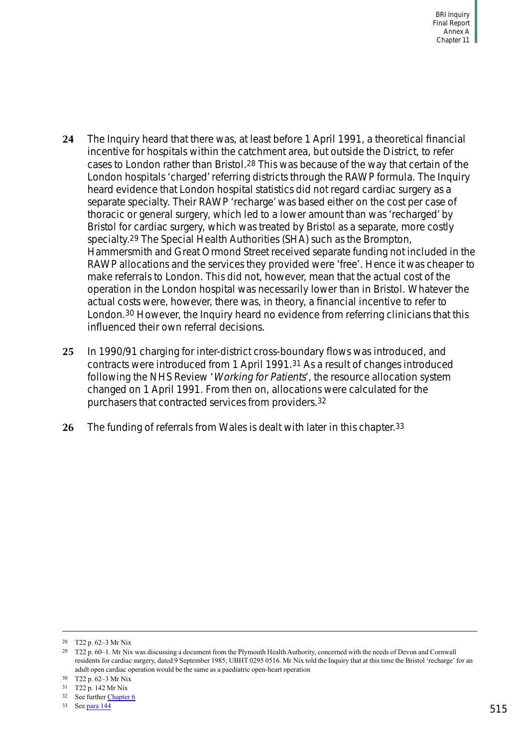- **24** The Inquiry heard that there was, at least before 1 April 1991, a theoretical financial incentive for hospitals within the catchment area, but outside the District, to refer cases to London rather than Bristol.28 This was because of the way that certain of the London hospitals 'charged' referring districts through the RAWP formula. The Inquiry heard evidence that London hospital statistics did not regard cardiac surgery as a separate specialty. Their RAWP 'recharge' was based either on the cost per case of thoracic or general surgery, which led to a lower amount than was 'recharged' by Bristol for cardiac surgery, which was treated by Bristol as a separate, more costly specialty.29 The Special Health Authorities (SHA) such as the Brompton, Hammersmith and Great Ormond Street received separate funding not included in the RAWP allocations and the services they provided were 'free'. Hence it was cheaper to make referrals to London. This did not, however, mean that the actual cost of the operation in the London hospital was necessarily lower than in Bristol. Whatever the actual costs were, however, there was, in theory, a financial incentive to refer to London.30 However, the Inquiry heard no evidence from referring clinicians that this influenced their own referral decisions.
- **25** In 1990/91 charging for inter-district cross-boundary flows was introduced, and contracts were introduced from 1 April 1991.31 As a result of changes introduced following the NHS Review 'Working for Patients', the resource allocation system changed on 1 April 1991. From then on, allocations were calculated for the purchasers that contracted services from providers.32
- **26** The funding of referrals from Wales is dealt with later in this chapter.33

<sup>28</sup> T22 p. 62–3 Mr Nix

<sup>29</sup> T22 p. 60–1. Mr Nix was discussing a document from the Plymouth Health Authority, concerned with the needs of Devon and Cornwall residents for cardiac surgery, dated 9 September 1985; UBHT 0295 0516. Mr Nix told the Inquiry that at this time the Bristol 'recharge' for an adult open cardiac operation would be the same as a paediatric open-heart operation

<sup>30</sup> T22 p. 62–3 Mr Nix

<sup>31</sup> T22 p. 142 Mr Nix

<sup>32</sup> See further Chapter 6

<sup>33</sup> See [para 144](#page-49-1)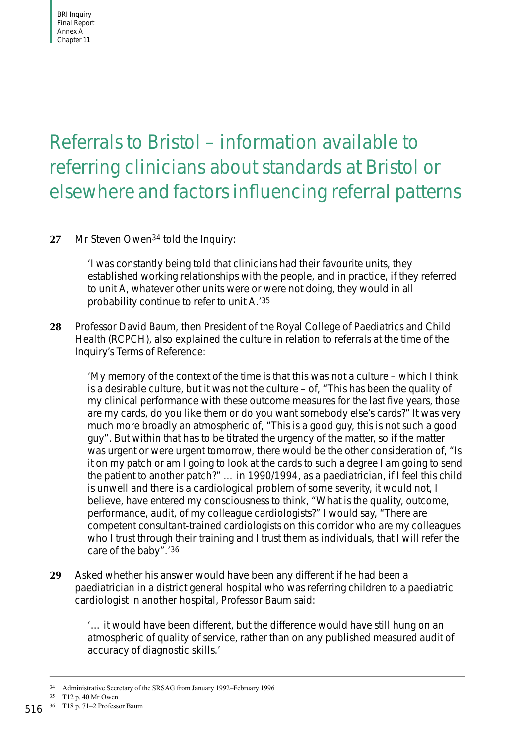# <span id="page-21-0"></span>Referrals to Bristol – information available to referring clinicians about standards at Bristol or elsewhere and factors influencing referral patterns

#### **27** Mr Steven Owen34 told the Inquiry:

'I was constantly being told that clinicians had their favourite units, they established working relationships with the people, and in practice, if they referred to unit A, whatever other units were or were not doing, they would in all probability continue to refer to unit A.'35

**28** Professor David Baum, then President of the Royal College of Paediatrics and Child Health (RCPCH), also explained the culture in relation to referrals at the time of the Inquiry's Terms of Reference:

'My memory of the context of the time is that this was not a culture – which I think is a desirable culture, but it was not the culture – of, "This has been the quality of my clinical performance with these outcome measures for the last five years, those are my cards, do you like them or do you want somebody else's cards?" It was very much more broadly an atmospheric of, "This is a good guy, this is not such a good guy". But within that has to be titrated the urgency of the matter, so if the matter was urgent or were urgent tomorrow, there would be the other consideration of, "Is it on my patch or am I going to look at the cards to such a degree I am going to send the patient to another patch?" … in 1990/1994, as a paediatrician, if I feel this child is unwell and there is a cardiological problem of some severity, it would not, I believe, have entered my consciousness to think, "What is the quality, outcome, performance, audit, of my colleague cardiologists?" I would say, "There are competent consultant-trained cardiologists on this corridor who are my colleagues who I trust through their training and I trust them as individuals, that I will refer the care of the baby".'36

**29** Asked whether his answer would have been any different if he had been a paediatrician in a district general hospital who was referring children to a paediatric cardiologist in another hospital, Professor Baum said:

'… it would have been different, but the difference would have still hung on an atmospheric of quality of service, rather than on any published measured audit of accuracy of diagnostic skills.'

<sup>34</sup> Administrative Secretary of the SRSAG from January 1992–February 1996

<sup>35</sup> T12 p. 40 Mr Owen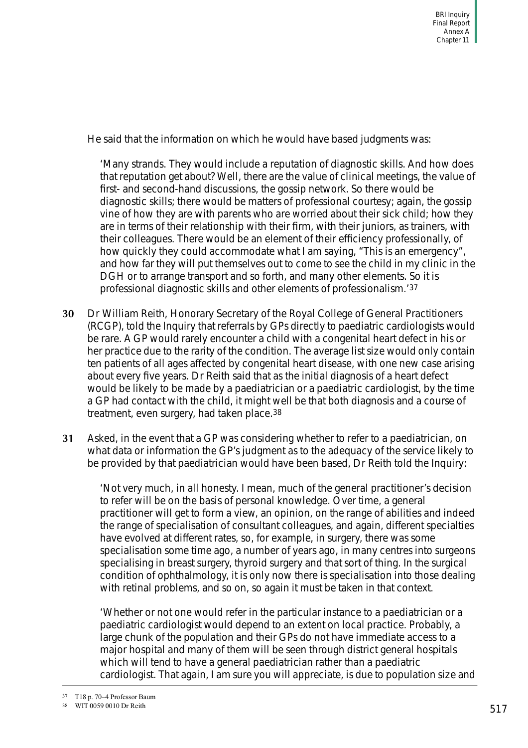He said that the information on which he would have based judgments was:

'Many strands. They would include a reputation of diagnostic skills. And how does that reputation get about? Well, there are the value of clinical meetings, the value of first- and second-hand discussions, the gossip network. So there would be diagnostic skills; there would be matters of professional courtesy; again, the gossip vine of how they are with parents who are worried about their sick child; how they are in terms of their relationship with their firm, with their juniors, as trainers, with their colleagues. There would be an element of their efficiency professionally, of how quickly they could accommodate what I am saying, "This is an emergency", and how far they will put themselves out to come to see the child in my clinic in the DGH or to arrange transport and so forth, and many other elements. So it is professional diagnostic skills and other elements of professionalism.'37

- **30** Dr William Reith, Honorary Secretary of the Royal College of General Practitioners (RCGP), told the Inquiry that referrals by GPs directly to paediatric cardiologists would be rare. A GP would rarely encounter a child with a congenital heart defect in his or her practice due to the rarity of the condition. The average list size would only contain ten patients of all ages affected by congenital heart disease, with one new case arising about every five years. Dr Reith said that as the initial diagnosis of a heart defect would be likely to be made by a paediatrician or a paediatric cardiologist, by the time a GP had contact with the child, it might well be that both diagnosis and a course of treatment, even surgery, had taken place.38
- **31** Asked, in the event that a GP was considering whether to refer to a paediatrician, on what data or information the GP's judgment as to the adequacy of the service likely to be provided by that paediatrician would have been based, Dr Reith told the Inquiry:

'Not very much, in all honesty. I mean, much of the general practitioner's decision to refer will be on the basis of personal knowledge. Over time, a general practitioner will get to form a view, an opinion, on the range of abilities and indeed the range of specialisation of consultant colleagues, and again, different specialties have evolved at different rates, so, for example, in surgery, there was some specialisation some time ago, a number of years ago, in many centres into surgeons specialising in breast surgery, thyroid surgery and that sort of thing. In the surgical condition of ophthalmology, it is only now there is specialisation into those dealing with retinal problems, and so on, so again it must be taken in that context.

'Whether or not one would refer in the particular instance to a paediatrician or a paediatric cardiologist would depend to an extent on local practice. Probably, a large chunk of the population and their GPs do not have immediate access to a major hospital and many of them will be seen through district general hospitals which will tend to have a general paediatrician rather than a paediatric cardiologist. That again, I am sure you will appreciate, is due to population size and

<sup>37</sup> T18 p. 70–4 Professor Baum

<sup>38</sup> WIT 0059 0010 Dr Reith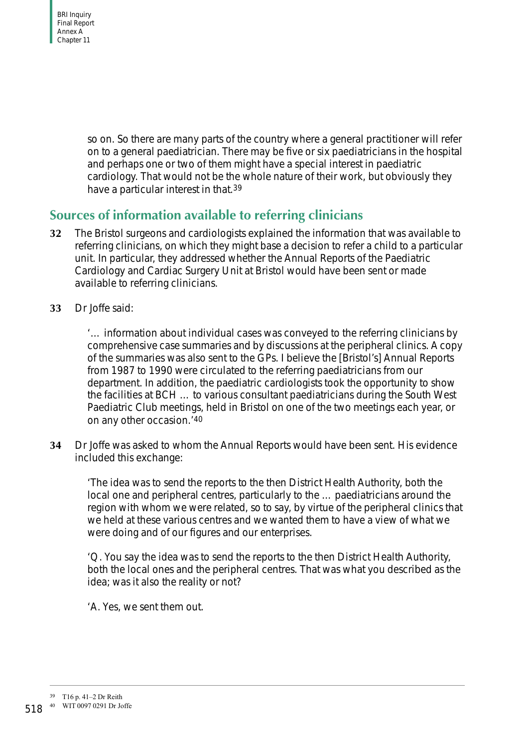so on. So there are many parts of the country where a general practitioner will refer on to a general paediatrician. There may be five or six paediatricians in the hospital and perhaps one or two of them might have a special interest in paediatric cardiology. That would not be the whole nature of their work, but obviously they have a particular interest in that.39

### <span id="page-23-0"></span>**Sources of information available to referring clinicians**

- **32** The Bristol surgeons and cardiologists explained the information that was available to referring clinicians, on which they might base a decision to refer a child to a particular unit. In particular, they addressed whether the Annual Reports of the Paediatric Cardiology and Cardiac Surgery Unit at Bristol would have been sent or made available to referring clinicians.
- **33** Dr Joffe said:

'… information about individual cases was conveyed to the referring clinicians by comprehensive case summaries and by discussions at the peripheral clinics. A copy of the summaries was also sent to the GPs. I believe the [Bristol's] Annual Reports from 1987 to 1990 were circulated to the referring paediatricians from our department. In addition, the paediatric cardiologists took the opportunity to show the facilities at BCH … to various consultant paediatricians during the South West Paediatric Club meetings, held in Bristol on one of the two meetings each year, or on any other occasion.'40

**34** Dr Joffe was asked to whom the Annual Reports would have been sent. His evidence included this exchange:

'The idea was to send the reports to the then District Health Authority, both the local one and peripheral centres, particularly to the … paediatricians around the region with whom we were related, so to say, by virtue of the peripheral clinics that we held at these various centres and we wanted them to have a view of what we were doing and of our figures and our enterprises.

'Q. You say the idea was to send the reports to the then District Health Authority, both the local ones and the peripheral centres. That was what you described as the idea; was it also the reality or not?

'A. Yes, we sent them out.

<sup>39</sup> T16 p. 41–2 Dr Reith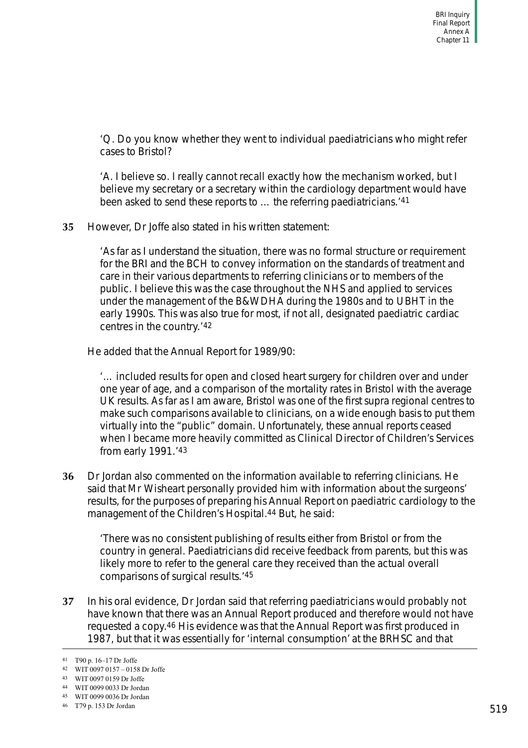'Q. Do you know whether they went to individual paediatricians who might refer cases to Bristol?

'A. I believe so. I really cannot recall exactly how the mechanism worked, but I believe my secretary or a secretary within the cardiology department would have been asked to send these reports to … the referring paediatricians.'41

**35** However, Dr Joffe also stated in his written statement:

'As far as I understand the situation, there was no formal structure or requirement for the BRI and the BCH to convey information on the standards of treatment and care in their various departments to referring clinicians or to members of the public. I believe this was the case throughout the NHS and applied to services under the management of the B&WDHA during the 1980s and to UBHT in the early 1990s. This was also true for most, if not all, designated paediatric cardiac centres in the country.'42

He added that the Annual Report for 1989/90:

'… included results for open and closed heart surgery for children over and under one year of age, and a comparison of the mortality rates in Bristol with the average UK results. As far as I am aware, Bristol was one of the first supra regional centres to make such comparisons available to clinicians, on a wide enough basis to put them virtually into the "public" domain. Unfortunately, these annual reports ceased when I became more heavily committed as Clinical Director of Children's Services from early 1991.'43

**36** Dr Jordan also commented on the information available to referring clinicians. He said that Mr Wisheart personally provided him with information about the surgeons' results, for the purposes of preparing his Annual Report on paediatric cardiology to the management of the Children's Hospital.44 But, he said:

'There was no consistent publishing of results either from Bristol or from the country in general. Paediatricians did receive feedback from parents, but this was likely more to refer to the general care they received than the actual overall comparisons of surgical results.'45

**37** In his oral evidence, Dr Jordan said that referring paediatricians would probably not have known that there was an Annual Report produced and therefore would not have requested a copy.46 His evidence was that the Annual Report was first produced in 1987, but that it was essentially for 'internal consumption' at the BRHSC and that

<sup>41</sup> T90 p. 16–17 Dr Joffe

<sup>42</sup> WIT 0097 0157 – 0158 Dr Joffe

<sup>43</sup> WIT 0097 0159 Dr Joffe

<sup>44</sup> WIT 0099 0033 Dr Jordan

<sup>45</sup> WIT 0099 0036 Dr Jordan

<sup>46</sup> T79 p. 153 Dr Jordan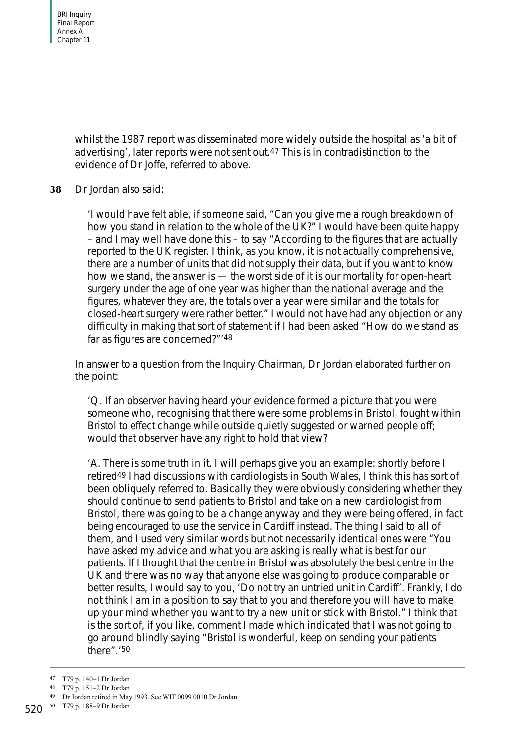whilst the 1987 report was disseminated more widely outside the hospital as 'a bit of advertising', later reports were not sent out.47 This is in contradistinction to the evidence of Dr Joffe, referred to above.

#### **38** Dr Jordan also said:

'I would have felt able, if someone said, "Can you give me a rough breakdown of how you stand in relation to the whole of the UK?" I would have been quite happy – and I may well have done this – to say "According to the figures that are actually reported to the UK register. I think, as you know, it is not actually comprehensive, there are a number of units that did not supply their data, but if you want to know how we stand, the answer is — the worst side of it is our mortality for open-heart surgery under the age of one year was higher than the national average and the figures, whatever they are, the totals over a year were similar and the totals for closed-heart surgery were rather better." I would not have had any objection or any difficulty in making that sort of statement if I had been asked "How do we stand as far as figures are concerned?"'48

In answer to a question from the Inquiry Chairman, Dr Jordan elaborated further on the point:

'Q. If an observer having heard your evidence formed a picture that you were someone who, recognising that there were some problems in Bristol, fought within Bristol to effect change while outside quietly suggested or warned people off; would that observer have any right to hold that view?

'A. There is some truth in it. I will perhaps give you an example: shortly before I retired49 I had discussions with cardiologists in South Wales, I think this has sort of been obliquely referred to. Basically they were obviously considering whether they should continue to send patients to Bristol and take on a new cardiologist from Bristol, there was going to be a change anyway and they were being offered, in fact being encouraged to use the service in Cardiff instead. The thing I said to all of them, and I used very similar words but not necessarily identical ones were "You have asked my advice and what you are asking is really what is best for our patients. If I thought that the centre in Bristol was absolutely the best centre in the UK and there was no way that anyone else was going to produce comparable or better results, I would say to you, 'Do not try an untried unit in Cardiff'. Frankly, I do not think I am in a position to say that to you and therefore you will have to make up your mind whether you want to try a new unit or stick with Bristol." I think that is the sort of, if you like, comment I made which indicated that I was not going to go around blindly saying "Bristol is wonderful, keep on sending your patients there".'50

<sup>47</sup> T79 p. 140–1 Dr Jordan

<sup>48</sup> T79 p. 151–2 Dr Jordan

<sup>49</sup> Dr Jordan retired in May 1993. See WIT 0099 0010 Dr Jordan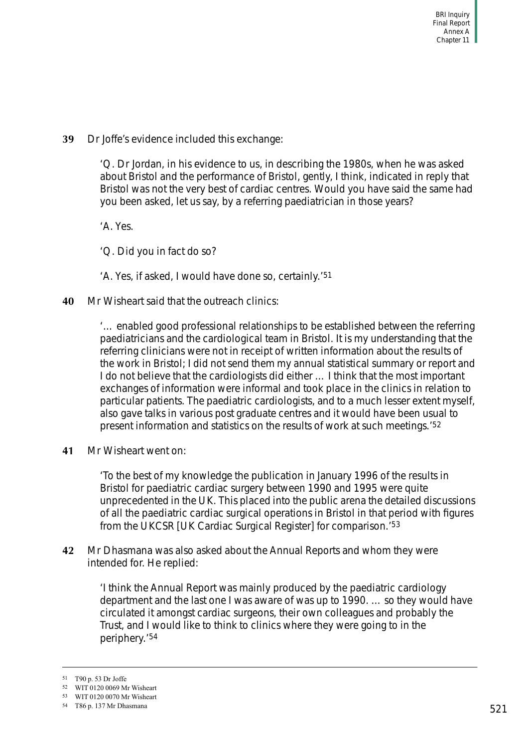**39** Dr Joffe's evidence included this exchange:

'Q. Dr Jordan, in his evidence to us, in describing the 1980s, when he was asked about Bristol and the performance of Bristol, gently, I think, indicated in reply that Bristol was not the very best of cardiac centres. Would you have said the same had you been asked, let us say, by a referring paediatrician in those years?

'A. Yes.

'Q. Did you in fact do so?

- 'A. Yes, if asked, I would have done so, certainly.'51
- **40** Mr Wisheart said that the outreach clinics:

'… enabled good professional relationships to be established between the referring paediatricians and the cardiological team in Bristol. It is my understanding that the referring clinicians were not in receipt of written information about the results of the work in Bristol; I did not send them my annual statistical summary or report and I do not believe that the cardiologists did either … I think that the most important exchanges of information were informal and took place in the clinics in relation to particular patients. The paediatric cardiologists, and to a much lesser extent myself, also gave talks in various post graduate centres and it would have been usual to present information and statistics on the results of work at such meetings.'52

**41** Mr Wisheart went on:

'To the best of my knowledge the publication in January 1996 of the results in Bristol for paediatric cardiac surgery between 1990 and 1995 were quite unprecedented in the UK. This placed into the public arena the detailed discussions of all the paediatric cardiac surgical operations in Bristol in that period with figures from the UKCSR [UK Cardiac Surgical Register] for comparison.'53

**42** Mr Dhasmana was also asked about the Annual Reports and whom they were intended for. He replied:

> 'I think the Annual Report was mainly produced by the paediatric cardiology department and the last one I was aware of was up to 1990. … so they would have circulated it amongst cardiac surgeons, their own colleagues and probably the Trust, and I would like to think to clinics where they were going to in the periphery.'54

<sup>51</sup> T90 p. 53 Dr Joffe

<sup>52</sup> WIT 0120 0069 Mr Wisheart

<sup>53</sup> WIT 0120 0070 Mr Wisheart

<sup>54</sup> T86 p. 137 Mr Dhasmana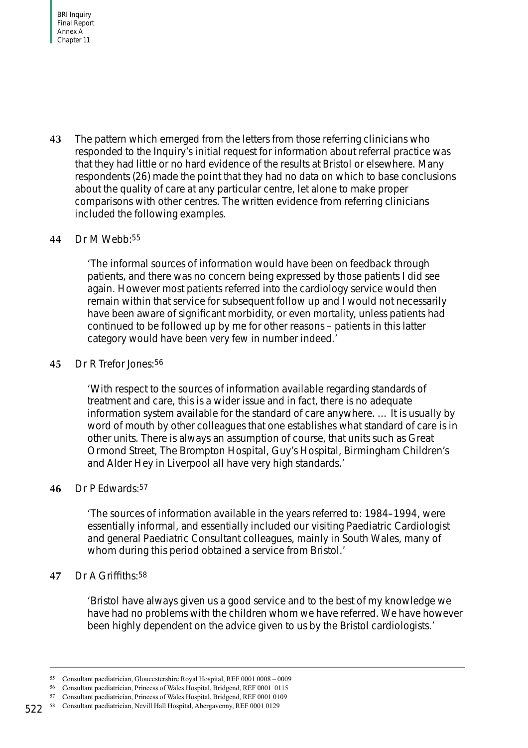**43** The pattern which emerged from the letters from those referring clinicians who responded to the Inquiry's initial request for information about referral practice was that they had little or no hard evidence of the results at Bristol or elsewhere. Many respondents (26) made the point that they had no data on which to base conclusions about the quality of care at any particular centre, let alone to make proper comparisons with other centres. The written evidence from referring clinicians included the following examples.

#### **44** Dr M Webb:55

'The informal sources of information would have been on feedback through patients, and there was no concern being expressed by those patients I did see again. However most patients referred into the cardiology service would then remain within that service for subsequent follow up and I would not necessarily have been aware of significant morbidity, or even mortality, unless patients had continued to be followed up by me for other reasons – patients in this latter category would have been very few in number indeed.'

#### **45** Dr R Trefor Jones:56

'With respect to the sources of information available regarding standards of treatment and care, this is a wider issue and in fact, there is no adequate information system available for the standard of care anywhere. … It is usually by word of mouth by other colleagues that one establishes what standard of care is in other units. There is always an assumption of course, that units such as Great Ormond Street, The Brompton Hospital, Guy's Hospital, Birmingham Children's and Alder Hey in Liverpool all have very high standards.'

#### **46** Dr P Edwards:57

'The sources of information available in the years referred to: 1984–1994, were essentially informal, and essentially included our visiting Paediatric Cardiologist and general Paediatric Consultant colleagues, mainly in South Wales, many of whom during this period obtained a service from Bristol.'

#### **47** Dr A Griffiths:58

'Bristol have always given us a good service and to the best of my knowledge we have had no problems with the children whom we have referred. We have however been highly dependent on the advice given to us by the Bristol cardiologists.'

<sup>55</sup> Consultant paediatrician, Gloucestershire Royal Hospital, REF 0001 0008 – 0009

<sup>56</sup> Consultant paediatrician, Princess of Wales Hospital, Bridgend, REF 0001 0115

<sup>57</sup> Consultant paediatrician, Princess of Wales Hospital, Bridgend, REF 0001 0109

<sup>522</sup> 58 Consultant paediatrician, Nevill Hall Hospital, Abergavenny, REF 0001 0129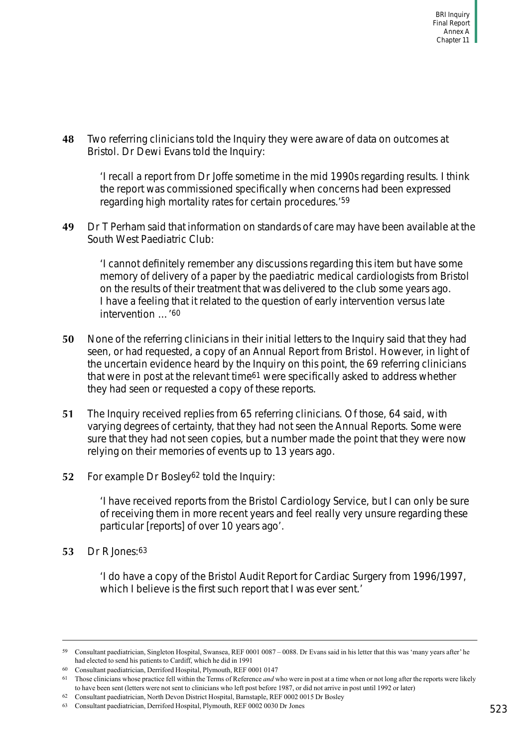**48** Two referring clinicians told the Inquiry they were aware of data on outcomes at Bristol. Dr Dewi Evans told the Inquiry:

'I recall a report from Dr Joffe sometime in the mid 1990s regarding results. I think the report was commissioned specifically when concerns had been expressed regarding high mortality rates for certain procedures.'59

**49** Dr T Perham said that information on standards of care may have been available at the South West Paediatric Club:

'I cannot definitely remember any discussions regarding this item but have some memory of delivery of a paper by the paediatric medical cardiologists from Bristol on the results of their treatment that was delivered to the club some years ago. I have a feeling that it related to the question of early intervention versus late intervention …'60

- **50** None of the referring clinicians in their initial letters to the Inquiry said that they had seen, or had requested, a copy of an Annual Report from Bristol. However, in light of the uncertain evidence heard by the Inquiry on this point, the 69 referring clinicians that were in post at the relevant time61 were specifically asked to address whether they had seen or requested a copy of these reports.
- **51** The Inquiry received replies from 65 referring clinicians. Of those, 64 said, with varying degrees of certainty, that they had not seen the Annual Reports. Some were sure that they had not seen copies, but a number made the point that they were now relying on their memories of events up to 13 years ago.
- **52** For example Dr Bosley62 told the Inquiry:

'I have received reports from the Bristol Cardiology Service, but I can only be sure of receiving them in more recent years and feel really very unsure regarding these particular [reports] of over 10 years ago'.

**53** Dr R Jones:63

'I do have a copy of the Bristol Audit Report for Cardiac Surgery from 1996/1997, which I believe is the first such report that I was ever sent.'

<sup>59</sup> Consultant paediatrician, Singleton Hospital, Swansea, REF 0001 0087 – 0088. Dr Evans said in his letter that this was 'many years after' he had elected to send his patients to Cardiff, which he did in 1991

<sup>60</sup> Consultant paediatrician, Derriford Hospital, Plymouth, REF 0001 0147

<sup>61</sup> Those clinicians whose practice fell within the Terms of Reference *and* who were in post at a time when or not long after the reports were likely to have been sent (letters were not sent to clinicians who left post before 1987, or did not arrive in post until 1992 or later)

<sup>62</sup> Consultant paediatrician, North Devon District Hospital, Barnstaple, REF 0002 0015 Dr Bosley

<sup>63</sup> Consultant paediatrician, Derriford Hospital, Plymouth, REF 0002 0030 Dr Jones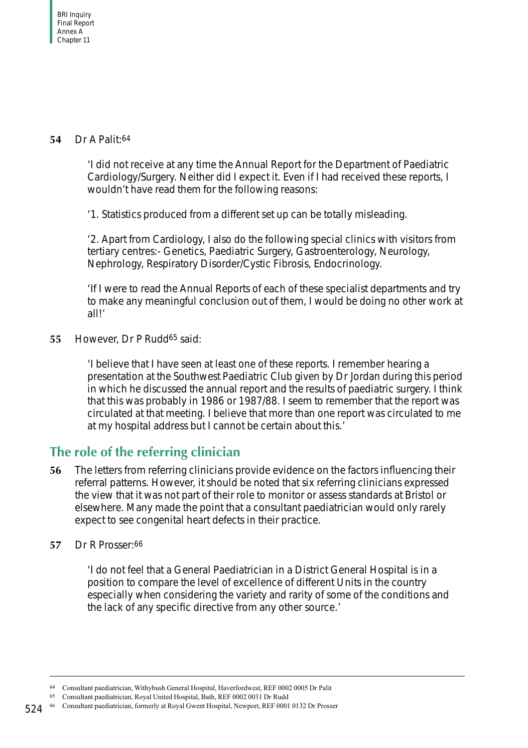#### **54** Dr A Palit:64

'I did not receive at any time the Annual Report for the Department of Paediatric Cardiology/Surgery. Neither did I expect it. Even if I had received these reports, I wouldn't have read them for the following reasons:

'1. Statistics produced from a different set up can be totally misleading.

'2. Apart from Cardiology, I also do the following special clinics with visitors from tertiary centres:- Genetics, Paediatric Surgery, Gastroenterology, Neurology, Nephrology, Respiratory Disorder/Cystic Fibrosis, Endocrinology.

'If I were to read the Annual Reports of each of these specialist departments and try to make any meaningful conclusion out of them, I would be doing no other work at all!'

**55** However, Dr P Rudd65 said:

'I believe that I have seen at least one of these reports. I remember hearing a presentation at the Southwest Paediatric Club given by Dr Jordan during this period in which he discussed the annual report and the results of paediatric surgery. I think that this was probably in 1986 or 1987/88. I seem to remember that the report was circulated at that meeting. I believe that more than one report was circulated to me at my hospital address but I cannot be certain about this.'

## <span id="page-29-0"></span>**The role of the referring clinician**

- **56** The letters from referring clinicians provide evidence on the factors influencing their referral patterns. However, it should be noted that six referring clinicians expressed the view that it was not part of their role to monitor or assess standards at Bristol or elsewhere. Many made the point that a consultant paediatrician would only rarely expect to see congenital heart defects in their practice.
- **57** Dr R Prosser:66

'I do not feel that a General Paediatrician in a District General Hospital is in a position to compare the level of excellence of different Units in the country especially when considering the variety and rarity of some of the conditions and the lack of any specific directive from any other source.'

<sup>64</sup> Consultant paediatrician, Withybush General Hospital, Haverfordwest, REF 0002 0005 Dr Palit

<sup>65</sup> Consultant paediatrician, Royal United Hospital, Bath, REF 0002 0031 Dr Rudd

<sup>66</sup> Consultant paediatrician, formerly at Royal Gwent Hospital, Newport, REF 0001 0132 Dr Prosser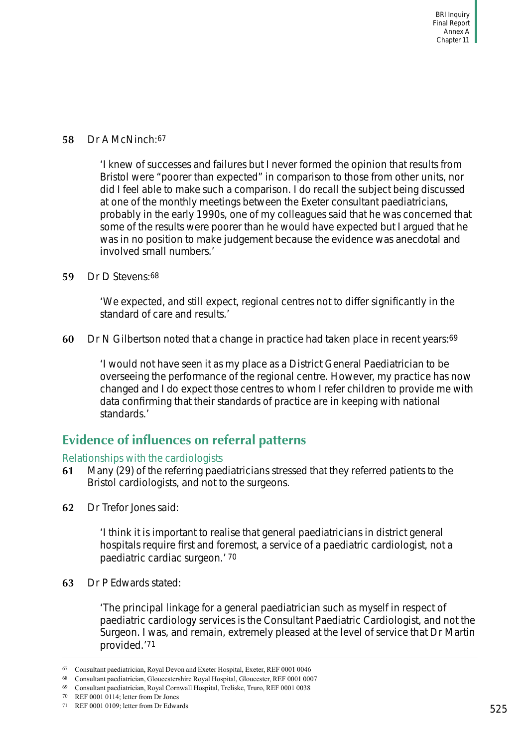#### **58** Dr A McNinch:67

'I knew of successes and failures but I never formed the opinion that results from Bristol were "poorer than expected" in comparison to those from other units, nor did I feel able to make such a comparison. I do recall the subject being discussed at one of the monthly meetings between the Exeter consultant paediatricians, probably in the early 1990s, one of my colleagues said that he was concerned that some of the results were poorer than he would have expected but I argued that he was in no position to make judgement because the evidence was anecdotal and involved small numbers.'

#### **59** Dr D Stevens:68

'We expected, and still expect, regional centres not to differ significantly in the standard of care and results.'

**60** Dr N Gilbertson noted that a change in practice had taken place in recent years:<sup>69</sup>

'I would not have seen it as my place as a District General Paediatrician to be overseeing the performance of the regional centre. However, my practice has now changed and I do expect those centres to whom I refer children to provide me with data confirming that their standards of practice are in keeping with national standards.'

### <span id="page-30-0"></span>**Evidence of influences on referral patterns**

#### <span id="page-30-1"></span>Relationships with the cardiologists

- **61** Many (29) of the referring paediatricians stressed that they referred patients to the Bristol cardiologists, and not to the surgeons.
- **62** Dr Trefor Jones said:

'I think it is important to realise that general paediatricians in district general hospitals require first and foremost, a service of a paediatric cardiologist, not a paediatric cardiac surgeon.' 70

**63** Dr P Edwards stated:

'The principal linkage for a general paediatrician such as myself in respect of paediatric cardiology services is the Consultant Paediatric Cardiologist, and not the Surgeon. I was, and remain, extremely pleased at the level of service that Dr Martin provided.'71

70 REF 0001 0114; letter from Dr Jones

<sup>67</sup> Consultant paediatrician, Royal Devon and Exeter Hospital, Exeter, REF 0001 0046

<sup>68</sup> Consultant paediatrician, Gloucestershire Royal Hospital, Gloucester, REF 0001 0007

<sup>69</sup> Consultant paediatrician, Royal Cornwall Hospital, Treliske, Truro, REF 0001 0038

<sup>71</sup> REF 0001 0109; letter from Dr Edwards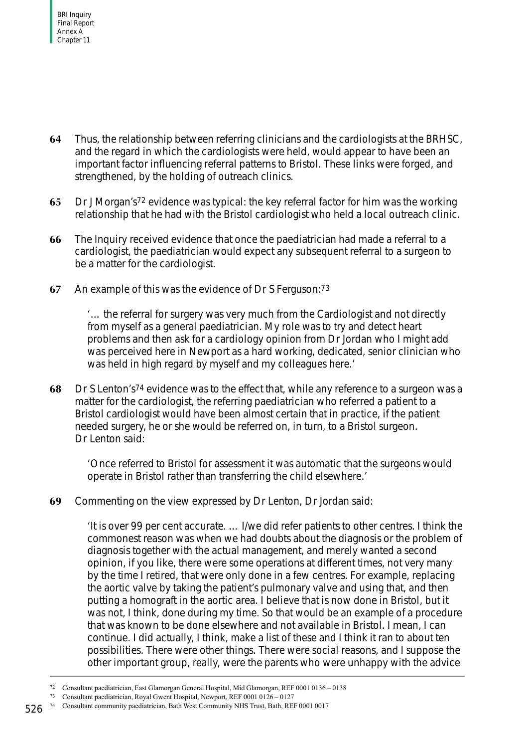- **64** Thus, the relationship between referring clinicians and the cardiologists at the BRHSC, and the regard in which the cardiologists were held, would appear to have been an important factor influencing referral patterns to Bristol. These links were forged, and strengthened, by the holding of outreach clinics.
- **65** Dr J Morgan's72 evidence was typical: the key referral factor for him was the working relationship that he had with the Bristol cardiologist who held a local outreach clinic.
- **66** The Inquiry received evidence that once the paediatrician had made a referral to a cardiologist, the paediatrician would expect any subsequent referral to a surgeon to be a matter for the cardiologist.
- **67** An example of this was the evidence of Dr S Ferguson:73

'… the referral for surgery was very much from the Cardiologist and not directly from myself as a general paediatrician. My role was to try and detect heart problems and then ask for a cardiology opinion from Dr Jordan who I might add was perceived here in Newport as a hard working, dedicated, senior clinician who was held in high regard by myself and my colleagues here.'

**68** Dr S Lenton's74 evidence was to the effect that, while any reference to a surgeon was a matter for the cardiologist, the referring paediatrician who referred a patient to a Bristol cardiologist would have been almost certain that in practice, if the patient needed surgery, he or she would be referred on, in turn, to a Bristol surgeon. Dr Lenton said:

'Once referred to Bristol for assessment it was automatic that the surgeons would operate in Bristol rather than transferring the child elsewhere.'

**69** Commenting on the view expressed by Dr Lenton, Dr Jordan said:

'It is over 99 per cent accurate. … I/we did refer patients to other centres. I think the commonest reason was when we had doubts about the diagnosis or the problem of diagnosis together with the actual management, and merely wanted a second opinion, if you like, there were some operations at different times, not very many by the time I retired, that were only done in a few centres. For example, replacing the aortic valve by taking the patient's pulmonary valve and using that, and then putting a homograft in the aortic area. I believe that is now done in Bristol, but it was not, I think, done during my time. So that would be an example of a procedure that was known to be done elsewhere and not available in Bristol. I mean, I can continue. I did actually, I think, make a list of these and I think it ran to about ten possibilities. There were other things. There were social reasons, and I suppose the other important group, really, were the parents who were unhappy with the advice

<sup>72</sup> Consultant paediatrician, East Glamorgan General Hospital, Mid Glamorgan, REF 0001 0136 – 0138

<sup>73</sup> Consultant paediatrician, Royal Gwent Hospital, Newport, REF 0001 0126 – 0127

<sup>74</sup> Consultant community paediatrician, Bath West Community NHS Trust, Bath, REF 0001 0017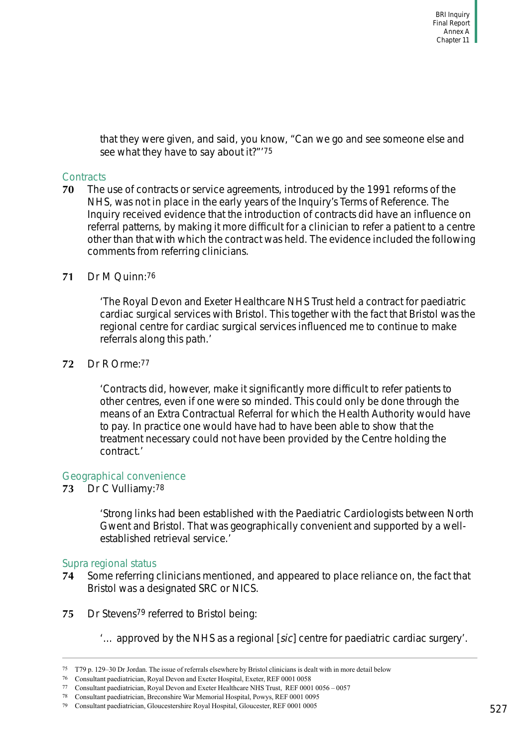that they were given, and said, you know, "Can we go and see someone else and see what they have to say about it?"'75

#### <span id="page-32-0"></span>**Contracts**

**70** The use of contracts or service agreements, introduced by the 1991 reforms of the NHS, was not in place in the early years of the Inquiry's Terms of Reference. The Inquiry received evidence that the introduction of contracts did have an influence on referral patterns, by making it more difficult for a clinician to refer a patient to a centre other than that with which the contract was held. The evidence included the following comments from referring clinicians.

#### **71** Dr M Quinn:76

'The Royal Devon and Exeter Healthcare NHS Trust held a contract for paediatric cardiac surgical services with Bristol. This together with the fact that Bristol was the regional centre for cardiac surgical services influenced me to continue to make referrals along this path.'

**72** Dr R Orme:77

'Contracts did, however, make it significantly more difficult to refer patients to other centres, even if one were so minded. This could only be done through the means of an Extra Contractual Referral for which the Health Authority would have to pay. In practice one would have had to have been able to show that the treatment necessary could not have been provided by the Centre holding the contract.'

#### <span id="page-32-1"></span>Geographical convenience

**73** Dr C Vulliamy:78

'Strong links had been established with the Paediatric Cardiologists between North Gwent and Bristol. That was geographically convenient and supported by a wellestablished retrieval service.'

#### <span id="page-32-2"></span>Supra regional status

- **74** Some referring clinicians mentioned, and appeared to place reliance on, the fact that Bristol was a designated SRC or NICS.
- **75** Dr Stevens79 referred to Bristol being:
	- '… approved by the NHS as a regional [sic] centre for paediatric cardiac surgery'.

<sup>75</sup> T79 p. 129–30 Dr Jordan. The issue of referrals elsewhere by Bristol clinicians is dealt with in more detail below

<sup>76</sup> Consultant paediatrician, Royal Devon and Exeter Hospital, Exeter, REF 0001 0058

<sup>77</sup> Consultant paediatrician, Royal Devon and Exeter Healthcare NHS Trust, REF 0001 0056 – 0057

<sup>78</sup> Consultant paediatrician, Breconshire War Memorial Hospital, Powys, REF 0001 0095

<sup>79</sup> Consultant paediatrician, Gloucestershire Royal Hospital, Gloucester, REF 0001 0005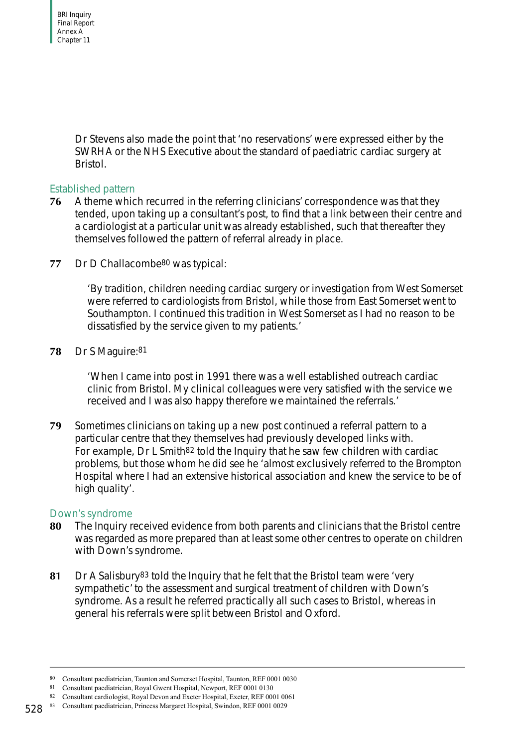Dr Stevens also made the point that 'no reservations' were expressed either by the SWRHA or the NHS Executive about the standard of paediatric cardiac surgery at Bristol.

#### <span id="page-33-0"></span>Established pattern

- **76** A theme which recurred in the referring clinicians' correspondence was that they tended, upon taking up a consultant's post, to find that a link between their centre and a cardiologist at a particular unit was already established, such that thereafter they themselves followed the pattern of referral already in place.
- 77 Dr D Challacombe<sup>80</sup> was typical:

'By tradition, children needing cardiac surgery or investigation from West Somerset were referred to cardiologists from Bristol, while those from East Somerset went to Southampton. I continued this tradition in West Somerset as I had no reason to be dissatisfied by the service given to my patients.'

**78** Dr S Maguire:81

'When I came into post in 1991 there was a well established outreach cardiac clinic from Bristol. My clinical colleagues were very satisfied with the service we received and I was also happy therefore we maintained the referrals.'

**79** Sometimes clinicians on taking up a new post continued a referral pattern to a particular centre that they themselves had previously developed links with. For example, Dr L Smith82 told the Inquiry that he saw few children with cardiac problems, but those whom he did see he 'almost exclusively referred to the Brompton Hospital where I had an extensive historical association and knew the service to be of high quality'.

#### <span id="page-33-1"></span>Down's syndrome

- **80** The Inquiry received evidence from both parents and clinicians that the Bristol centre was regarded as more prepared than at least some other centres to operate on children with Down's syndrome.
- **81** Dr A Salisbury83 told the Inquiry that he felt that the Bristol team were 'very sympathetic' to the assessment and surgical treatment of children with Down's syndrome. As a result he referred practically all such cases to Bristol, whereas in general his referrals were split between Bristol and Oxford.

<sup>80</sup> Consultant paediatrician, Taunton and Somerset Hospital, Taunton, REF 0001 0030

<sup>81</sup> Consultant paediatrician, Royal Gwent Hospital, Newport, REF 0001 0130

<sup>82</sup> Consultant cardiologist, Royal Devon and Exeter Hospital, Exeter, REF 0001 0061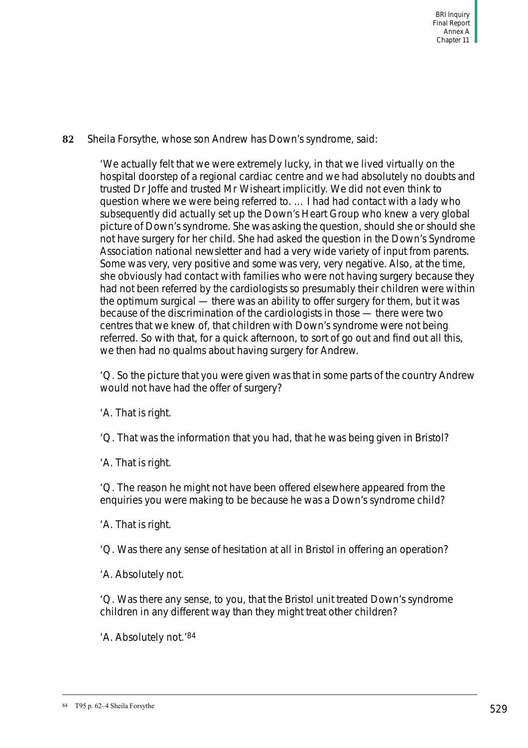#### **82** Sheila Forsythe, whose son Andrew has Down's syndrome, said:

'We actually felt that we were extremely lucky, in that we lived virtually on the hospital doorstep of a regional cardiac centre and we had absolutely no doubts and trusted Dr Joffe and trusted Mr Wisheart implicitly. We did not even think to question where we were being referred to. … I had had contact with a lady who subsequently did actually set up the Down's Heart Group who knew a very global picture of Down's syndrome. She was asking the question, should she or should she not have surgery for her child. She had asked the question in the Down's Syndrome Association national newsletter and had a very wide variety of input from parents. Some was very, very positive and some was very, very negative. Also, at the time, she obviously had contact with families who were not having surgery because they had not been referred by the cardiologists so presumably their children were within the optimum surgical — there was an ability to offer surgery for them, but it was because of the discrimination of the cardiologists in those — there were two centres that we knew of, that children with Down's syndrome were not being referred. So with that, for a quick afternoon, to sort of go out and find out all this, we then had no qualms about having surgery for Andrew.

'Q. So the picture that you were given was that in some parts of the country Andrew would not have had the offer of surgery?

'A. That is right.

'Q. That was the information that you had, that he was being given in Bristol?

'A. That is right.

'Q. The reason he might not have been offered elsewhere appeared from the enquiries you were making to be because he was a Down's syndrome child?

'A. That is right.

'Q. Was there any sense of hesitation at all in Bristol in offering an operation?

'A. Absolutely not.

'Q. Was there any sense, to you, that the Bristol unit treated Down's syndrome children in any different way than they might treat other children?

'A. Absolutely not.'84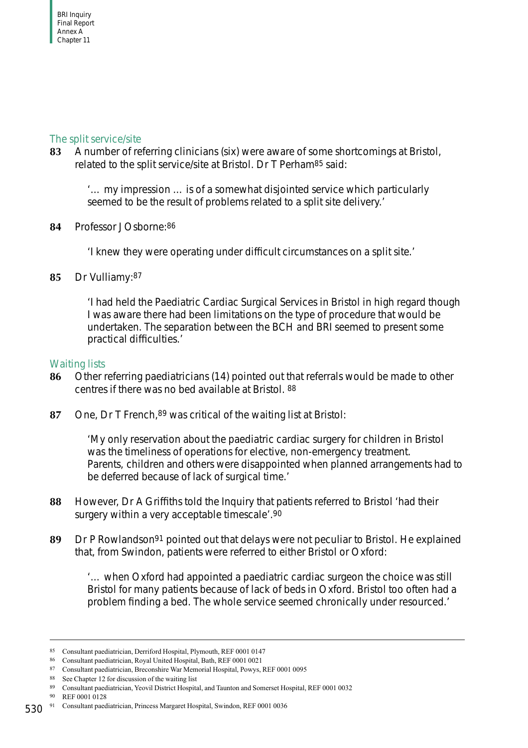#### <span id="page-35-0"></span>The split service/site

**83** A number of referring clinicians (six) were aware of some shortcomings at Bristol, related to the split service/site at Bristol. Dr T Perham85 said:

'… my impression … is of a somewhat disjointed service which particularly seemed to be the result of problems related to a split site delivery.'

**84** Professor J Osborne:86

'I knew they were operating under difficult circumstances on a split site.'

**85** Dr Vulliamy:87

'I had held the Paediatric Cardiac Surgical Services in Bristol in high regard though I was aware there had been limitations on the type of procedure that would be undertaken. The separation between the BCH and BRI seemed to present some practical difficulties.'

#### <span id="page-35-1"></span>Waiting lists

- **86** Other referring paediatricians (14) pointed out that referrals would be made to other centres if there was no bed available at Bristol. 88
- **87** One, Dr T French,89 was critical of the waiting list at Bristol:

'My only reservation about the paediatric cardiac surgery for children in Bristol was the timeliness of operations for elective, non-emergency treatment. Parents, children and others were disappointed when planned arrangements had to be deferred because of lack of surgical time.'

- **88** However, Dr A Griffiths told the Inquiry that patients referred to Bristol 'had their surgery within a very acceptable timescale'.90
- **89** Dr P Rowlandson91 pointed out that delays were not peculiar to Bristol. He explained that, from Swindon, patients were referred to either Bristol or Oxford:

'… when Oxford had appointed a paediatric cardiac surgeon the choice was still Bristol for many patients because of lack of beds in Oxford. Bristol too often had a problem finding a bed. The whole service seemed chronically under resourced.'

90 REF 0001 0128

<sup>85</sup> Consultant paediatrician, Derriford Hospital, Plymouth, REF 0001 0147

<sup>86</sup> Consultant paediatrician, Royal United Hospital, Bath, REF 0001 0021

<sup>87</sup> Consultant paediatrician, Breconshire War Memorial Hospital, Powys, REF 0001 0095

<sup>88</sup> See [Chapter 12](#page-76-0) for discussion of the waiting list

<sup>89</sup> Consultant paediatrician, Yeovil District Hospital, and Taunton and Somerset Hospital, REF 0001 0032

<sup>530</sup> 91 Consultant paediatrician, Princess Margaret Hospital, Swindon, REF 0001 0036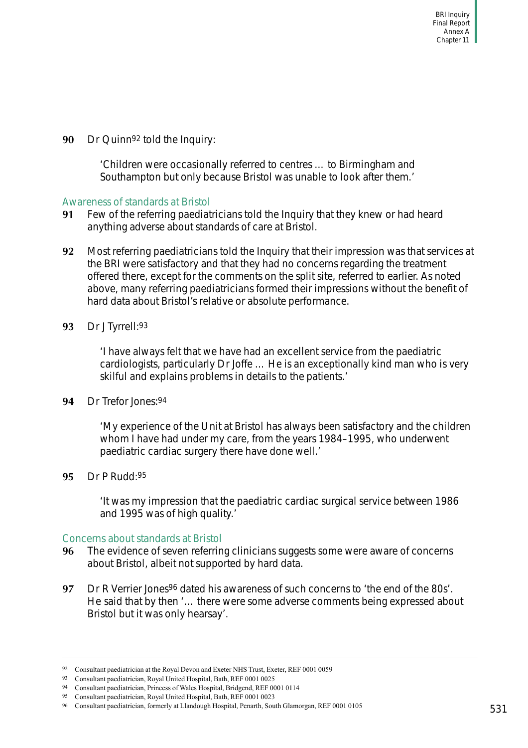**90** Dr Quinn92 told the Inquiry:

'Children were occasionally referred to centres … to Birmingham and Southampton but only because Bristol was unable to look after them.'

#### Awareness of standards at Bristol

- **91** Few of the referring paediatricians told the Inquiry that they knew or had heard anything adverse about standards of care at Bristol.
- **92** Most referring paediatricians told the Inquiry that their impression was that services at the BRI were satisfactory and that they had no concerns regarding the treatment offered there, except for the comments on the split site, referred to earlier. As noted above, many referring paediatricians formed their impressions without the benefit of hard data about Bristol's relative or absolute performance.
- **93** Dr J Tyrrell:93

'I have always felt that we have had an excellent service from the paediatric cardiologists, particularly Dr Joffe … He is an exceptionally kind man who is very skilful and explains problems in details to the patients.'

**94** Dr Trefor Jones:94

'My experience of the Unit at Bristol has always been satisfactory and the children whom I have had under my care, from the years 1984–1995, who underwent paediatric cardiac surgery there have done well.'

**95** Dr P Rudd:95

'It was my impression that the paediatric cardiac surgical service between 1986 and 1995 was of high quality.'

#### Concerns about standards at Bristol

- **96** The evidence of seven referring clinicians suggests some were aware of concerns about Bristol, albeit not supported by hard data.
- **97** Dr R Verrier Jones96 dated his awareness of such concerns to 'the end of the 80s'. He said that by then '… there were some adverse comments being expressed about Bristol but it was only hearsay'.

<sup>92</sup> Consultant paediatrician at the Royal Devon and Exeter NHS Trust, Exeter, REF 0001 0059

<sup>93</sup> Consultant paediatrician, Royal United Hospital, Bath, REF 0001 0025

<sup>94</sup> Consultant paediatrician, Princess of Wales Hospital, Bridgend, REF 0001 0114

<sup>95</sup> Consultant paediatrician, Royal United Hospital, Bath, REF 0001 0023

<sup>96</sup> Consultant paediatrician, formerly at Llandough Hospital, Penarth, South Glamorgan, REF 0001 0105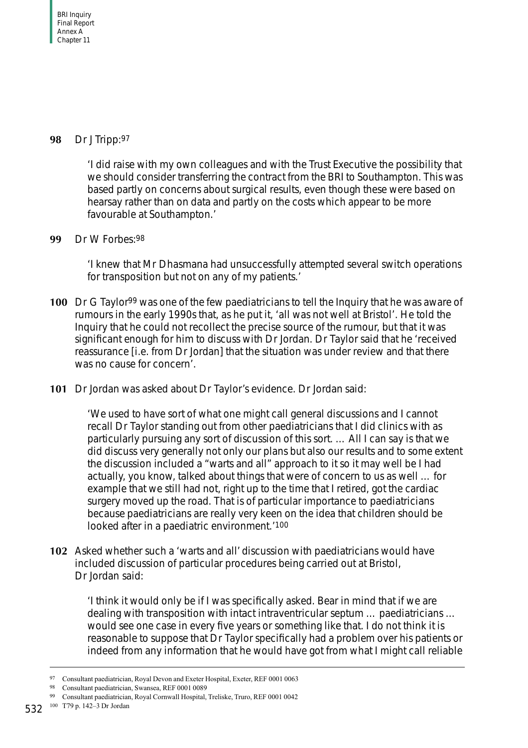### **98** Dr J Tripp:97

'I did raise with my own colleagues and with the Trust Executive the possibility that we should consider transferring the contract from the BRI to Southampton. This was based partly on concerns about surgical results, even though these were based on hearsay rather than on data and partly on the costs which appear to be more favourable at Southampton.'

## **99** Dr W Forbes:98

'I knew that Mr Dhasmana had unsuccessfully attempted several switch operations for transposition but not on any of my patients.'

- **100** Dr G Taylor<sup>99</sup> was one of the few paediatricians to tell the Inquiry that he was aware of rumours in the early 1990s that, as he put it, 'all was not well at Bristol'. He told the Inquiry that he could not recollect the precise source of the rumour, but that it was significant enough for him to discuss with Dr Jordan. Dr Taylor said that he 'received reassurance [i.e. from Dr Jordan] that the situation was under review and that there was no cause for concern'.
- **101** Dr Jordan was asked about Dr Taylor's evidence. Dr Jordan said:

'We used to have sort of what one might call general discussions and I cannot recall Dr Taylor standing out from other paediatricians that I did clinics with as particularly pursuing any sort of discussion of this sort. … All I can say is that we did discuss very generally not only our plans but also our results and to some extent the discussion included a "warts and all" approach to it so it may well be I had actually, you know, talked about things that were of concern to us as well … for example that we still had not, right up to the time that I retired, got the cardiac surgery moved up the road. That is of particular importance to paediatricians because paediatricians are really very keen on the idea that children should be looked after in a paediatric environment.'100

**102** Asked whether such a 'warts and all' discussion with paediatricians would have included discussion of particular procedures being carried out at Bristol, Dr Jordan said:

'I think it would only be if I was specifically asked. Bear in mind that if we are dealing with transposition with intact intraventricular septum … paediatricians … would see one case in every five years or something like that. I do not think it is reasonable to suppose that Dr Taylor specifically had a problem over his patients or indeed from any information that he would have got from what I might call reliable

<sup>97</sup> Consultant paediatrician, Royal Devon and Exeter Hospital, Exeter, REF 0001 0063

<sup>98</sup> Consultant paediatrician, Swansea, REF 0001 0089

<sup>99</sup> Consultant paediatrician, Royal Cornwall Hospital, Treliske, Truro, REF 0001 0042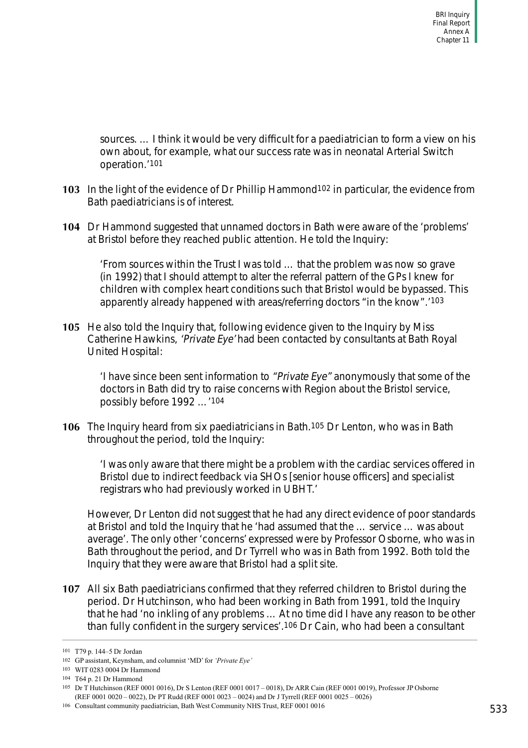sources. … I think it would be very difficult for a paediatrician to form a view on his own about, for example, what our success rate was in neonatal Arterial Switch operation.'101

- **103** In the light of the evidence of Dr Phillip Hammond102 in particular, the evidence from Bath paediatricians is of interest.
- **104** Dr Hammond suggested that unnamed doctors in Bath were aware of the 'problems' at Bristol before they reached public attention. He told the Inquiry:

'From sources within the Trust I was told … that the problem was now so grave (in 1992) that I should attempt to alter the referral pattern of the GPs I knew for children with complex heart conditions such that Bristol would be bypassed. This apparently already happened with areas/referring doctors "in the know".'103

**105** He also told the Inquiry that, following evidence given to the Inquiry by Miss Catherine Hawkins, 'Private Eye' had been contacted by consultants at Bath Royal United Hospital:

'I have since been sent information to "Private Eye" anonymously that some of the doctors in Bath did try to raise concerns with Region about the Bristol service, possibly before 1992 …'104

**106** The Inquiry heard from six paediatricians in Bath.105 Dr Lenton, who was in Bath throughout the period, told the Inquiry:

'I was only aware that there might be a problem with the cardiac services offered in Bristol due to indirect feedback via SHOs [senior house officers] and specialist registrars who had previously worked in UBHT.'

However, Dr Lenton did not suggest that he had any direct evidence of poor standards at Bristol and told the Inquiry that he 'had assumed that the … service … was about average'. The only other 'concerns' expressed were by Professor Osborne, who was in Bath throughout the period, and Dr Tyrrell who was in Bath from 1992. Both told the Inquiry that they were aware that Bristol had a split site.

**107** All six Bath paediatricians confirmed that they referred children to Bristol during the period. Dr Hutchinson, who had been working in Bath from 1991, told the Inquiry that he had 'no inkling of any problems … At no time did I have any reason to be other than fully confident in the surgery services'.106 Dr Cain, who had been a consultant

<sup>101</sup> T79 p. 144–5 Dr Jordan

<sup>102</sup> GP assistant, Keynsham, and columnist 'MD' for *'Private Eye'*

<sup>103</sup> WIT 0283 0004 Dr Hammond

<sup>104</sup> T64 p. 21 Dr Hammond

<sup>105</sup> Dr T Hutchinson (REF 0001 0016), Dr S Lenton (REF 0001 0017 – 0018), Dr ARR Cain (REF 0001 0019), Professor JP Osborne (REF 0001 0020 – 0022), Dr PT Rudd (REF 0001 0023 – 0024) and Dr J Tyrrell (REF 0001 0025 – 0026)

<sup>106</sup> Consultant community paediatrician, Bath West Community NHS Trust, REF 0001 0016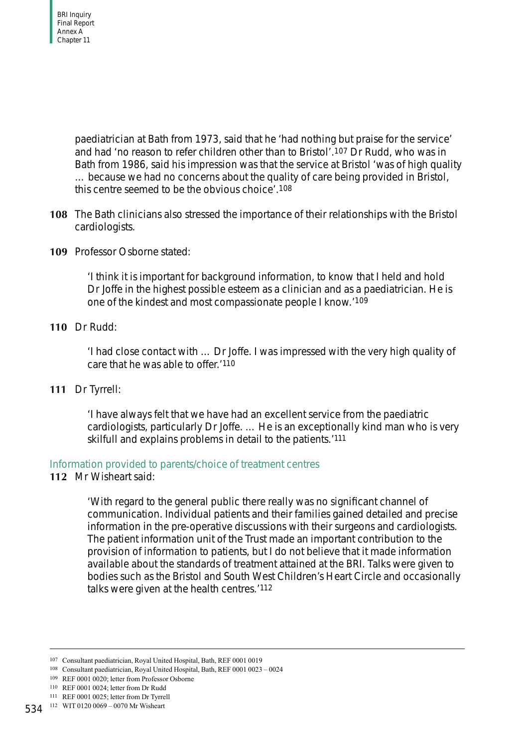paediatrician at Bath from 1973, said that he 'had nothing but praise for the service' and had 'no reason to refer children other than to Bristol'.107 Dr Rudd, who was in Bath from 1986, said his impression was that the service at Bristol 'was of high quality … because we had no concerns about the quality of care being provided in Bristol, this centre seemed to be the obvious choice'.108

- **108** The Bath clinicians also stressed the importance of their relationships with the Bristol cardiologists.
- **109** Professor Osborne stated:

'I think it is important for background information, to know that I held and hold Dr Joffe in the highest possible esteem as a clinician and as a paediatrician. He is one of the kindest and most compassionate people I know.'109

**110** Dr Rudd:

'I had close contact with … Dr Joffe. I was impressed with the very high quality of care that he was able to offer.'110

**111** Dr Tyrrell:

'I have always felt that we have had an excellent service from the paediatric cardiologists, particularly Dr Joffe. … He is an exceptionally kind man who is very skilfull and explains problems in detail to the patients.'111

## Information provided to parents/choice of treatment centres

**112** Mr Wisheart said:

'With regard to the general public there really was no significant channel of communication. Individual patients and their families gained detailed and precise information in the pre-operative discussions with their surgeons and cardiologists. The patient information unit of the Trust made an important contribution to the provision of information to patients, but I do not believe that it made information available about the standards of treatment attained at the BRI. Talks were given to bodies such as the Bristol and South West Children's Heart Circle and occasionally talks were given at the health centres.'112

<sup>107</sup> Consultant paediatrician, Royal United Hospital, Bath, REF 0001 0019

<sup>108</sup> Consultant paediatrician, Royal United Hospital, Bath, REF 0001 0023 – 0024

<sup>109</sup> REF 0001 0020; letter from Professor Osborne

<sup>110</sup> REF 0001 0024; letter from Dr Rudd

<sup>111</sup> REF 0001 0025; letter from Dr Tyrrell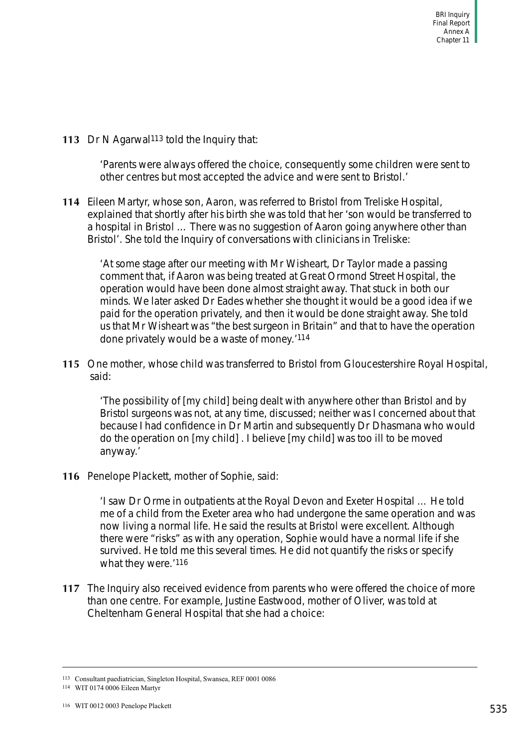**113** Dr N Agarwal<sup>113</sup> told the Inquiry that:

'Parents were always offered the choice, consequently some children were sent to other centres but most accepted the advice and were sent to Bristol.'

**114** Eileen Martyr, whose son, Aaron, was referred to Bristol from Treliske Hospital, explained that shortly after his birth she was told that her 'son would be transferred to a hospital in Bristol … There was no suggestion of Aaron going anywhere other than Bristol'. She told the Inquiry of conversations with clinicians in Treliske:

'At some stage after our meeting with Mr Wisheart, Dr Taylor made a passing comment that, if Aaron was being treated at Great Ormond Street Hospital, the operation would have been done almost straight away. That stuck in both our minds. We later asked Dr Eades whether she thought it would be a good idea if we paid for the operation privately, and then it would be done straight away. She told us that Mr Wisheart was "the best surgeon in Britain" and that to have the operation done privately would be a waste of money.'114

**115** One mother, whose child was transferred to Bristol from Gloucestershire Royal Hospital, said:

'The possibility of [my child] being dealt with anywhere other than Bristol and by Bristol surgeons was not, at any time, discussed; neither was I concerned about that because I had confidence in Dr Martin and subsequently Dr Dhasmana who would do the operation on [my child] . I believe [my child] was too ill to be moved anyway.'

**116** Penelope Plackett, mother of Sophie, said:

'I saw Dr Orme in outpatients at the Royal Devon and Exeter Hospital … He told me of a child from the Exeter area who had undergone the same operation and was now living a normal life. He said the results at Bristol were excellent. Although there were "risks" as with any operation, Sophie would have a normal life if she survived. He told me this several times. He did not quantify the risks or specify what they were.'116

**117** The Inquiry also received evidence from parents who were offered the choice of more than one centre. For example, Justine Eastwood, mother of Oliver, was told at Cheltenham General Hospital that she had a choice:

<sup>113</sup> Consultant paediatrician, Singleton Hospital, Swansea, REF 0001 0086

<sup>114</sup> WIT 0174 0006 Eileen Martyr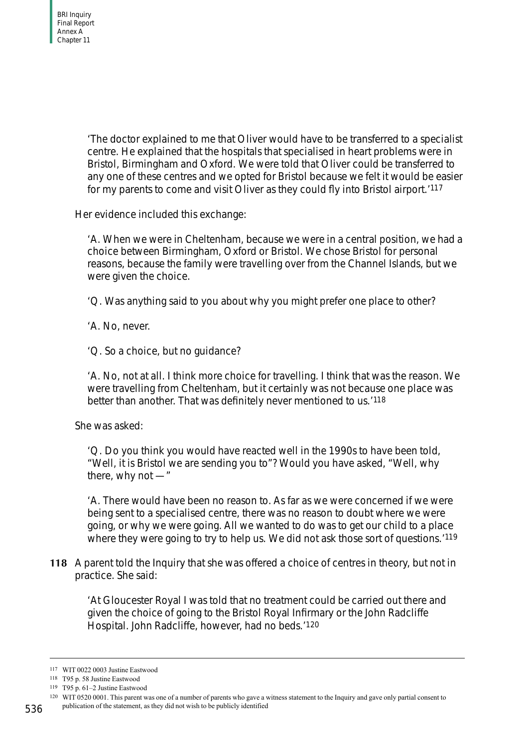'The doctor explained to me that Oliver would have to be transferred to a specialist centre. He explained that the hospitals that specialised in heart problems were in Bristol, Birmingham and Oxford. We were told that Oliver could be transferred to any one of these centres and we opted for Bristol because we felt it would be easier for my parents to come and visit Oliver as they could fly into Bristol airport.'117

Her evidence included this exchange:

'A. When we were in Cheltenham, because we were in a central position, we had a choice between Birmingham, Oxford or Bristol. We chose Bristol for personal reasons, because the family were travelling over from the Channel Islands, but we were given the choice.

'Q. Was anything said to you about why you might prefer one place to other?

'A. No, never.

'Q. So a choice, but no guidance?

'A. No, not at all. I think more choice for travelling. I think that was the reason. We were travelling from Cheltenham, but it certainly was not because one place was better than another. That was definitely never mentioned to us.'118

She was asked:

'Q. Do you think you would have reacted well in the 1990s to have been told, "Well, it is Bristol we are sending you to"? Would you have asked, "Well, why there, why not —"

'A. There would have been no reason to. As far as we were concerned if we were being sent to a specialised centre, there was no reason to doubt where we were going, or why we were going. All we wanted to do was to get our child to a place where they were going to try to help us. We did not ask those sort of questions.<sup>'119</sup>

**118** A parent told the Inquiry that she was offered a choice of centres in theory, but not in practice. She said:

'At Gloucester Royal I was told that no treatment could be carried out there and given the choice of going to the Bristol Royal Infirmary or the John Radcliffe Hospital. John Radcliffe, however, had no beds.'120

<sup>117</sup> WIT 0022 0003 Justine Eastwood

<sup>118</sup> T95 p. 58 Justine Eastwood

<sup>119</sup> T95 p. 61–2 Justine Eastwood

<sup>120</sup> WIT 0520 0001. This parent was one of a number of parents who gave a witness statement to the Inquiry and gave only partial consent to

publication of the statement, as they did not wish to be publicly identified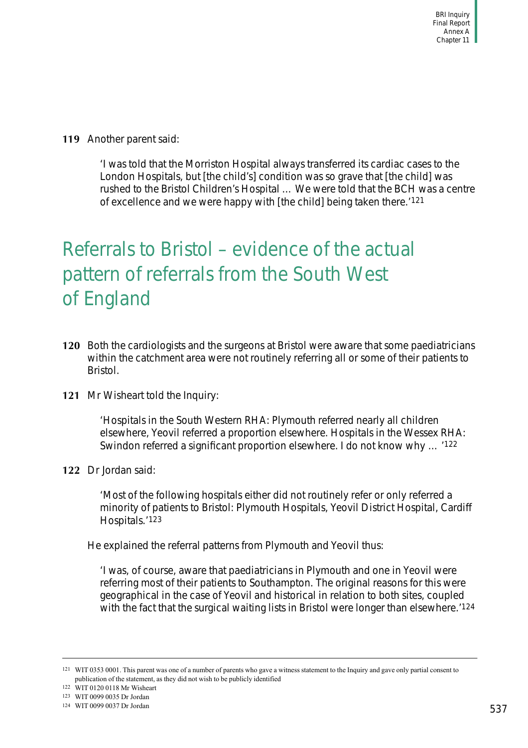**119** Another parent said:

'I was told that the Morriston Hospital always transferred its cardiac cases to the London Hospitals, but [the child's] condition was so grave that [the child] was rushed to the Bristol Children's Hospital … We were told that the BCH was a centre of excellence and we were happy with [the child] being taken there.'121

# Referrals to Bristol – evidence of the actual pattern of referrals from the South West of England

- **120** Both the cardiologists and the surgeons at Bristol were aware that some paediatricians within the catchment area were not routinely referring all or some of their patients to Bristol.
- **121** Mr Wisheart told the Inquiry:

'Hospitals in the South Western RHA: Plymouth referred nearly all children elsewhere, Yeovil referred a proportion elsewhere. Hospitals in the Wessex RHA: Swindon referred a significant proportion elsewhere. I do not know why … '122

**122** Dr Jordan said:

'Most of the following hospitals either did not routinely refer or only referred a minority of patients to Bristol: Plymouth Hospitals, Yeovil District Hospital, Cardiff Hospitals.'123

He explained the referral patterns from Plymouth and Yeovil thus:

'I was, of course, aware that paediatricians in Plymouth and one in Yeovil were referring most of their patients to Southampton. The original reasons for this were geographical in the case of Yeovil and historical in relation to both sites, coupled with the fact that the surgical waiting lists in Bristol were longer than elsewhere.<sup>'124</sup>

<sup>121</sup> WIT 0353 0001. This parent was one of a number of parents who gave a witness statement to the Inquiry and gave only partial consent to publication of the statement, as they did not wish to be publicly identified

<sup>122</sup> WIT 0120 0118 Mr Wisheart

<sup>123</sup> WIT 0099 0035 Dr Jordan

<sup>124</sup> WIT 0099 0037 Dr Jordan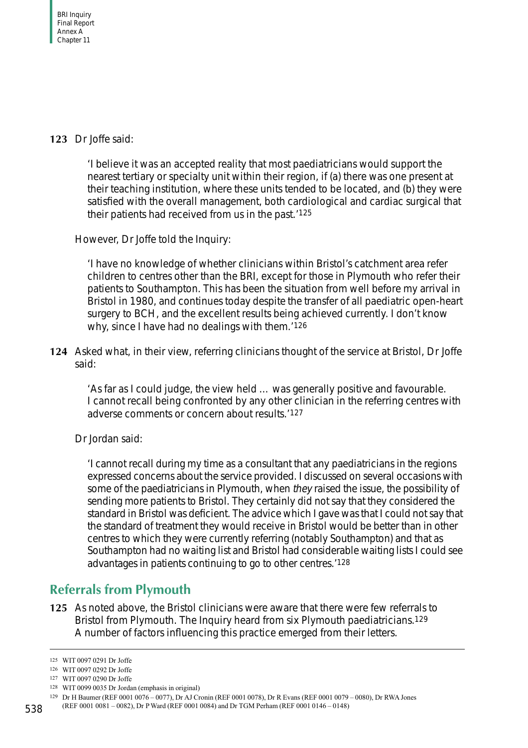## **123** Dr Joffe said:

'I believe it was an accepted reality that most paediatricians would support the nearest tertiary or specialty unit within their region, if (a) there was one present at their teaching institution, where these units tended to be located, and (b) they were satisfied with the overall management, both cardiological and cardiac surgical that their patients had received from us in the past.'125

However, Dr Joffe told the Inquiry:

'I have no knowledge of whether clinicians within Bristol's catchment area refer children to centres other than the BRI, except for those in Plymouth who refer their patients to Southampton. This has been the situation from well before my arrival in Bristol in 1980, and continues today despite the transfer of all paediatric open-heart surgery to BCH, and the excellent results being achieved currently. I don't know why, since I have had no dealings with them.<sup>'126</sup>

**124** Asked what, in their view, referring clinicians thought of the service at Bristol, Dr Joffe said:

'As far as I could judge, the view held … was generally positive and favourable. I cannot recall being confronted by any other clinician in the referring centres with adverse comments or concern about results.'127

Dr Jordan said:

'I cannot recall during my time as a consultant that any paediatricians in the regions expressed concerns about the service provided. I discussed on several occasions with some of the paediatricians in Plymouth, when they raised the issue, the possibility of sending more patients to Bristol. They certainly did not say that they considered the standard in Bristol was deficient. The advice which I gave was that I could not say that the standard of treatment they would receive in Bristol would be better than in other centres to which they were currently referring (notably Southampton) and that as Southampton had no waiting list and Bristol had considerable waiting lists I could see advantages in patients continuing to go to other centres.'128

# **Referrals from Plymouth**

**125** As noted above, the Bristol clinicians were aware that there were few referrals to Bristol from Plymouth. The Inquiry heard from six Plymouth paediatricians.129 A number of factors influencing this practice emerged from their letters.

128 WIT 0099 0035 Dr Jordan (emphasis in original)

<sup>125</sup> WIT 0097 0291 Dr Joffe

<sup>126</sup> WIT 0097 0292 Dr Joffe

<sup>127</sup> WIT 0097 0290 Dr Joffe

<sup>129</sup> Dr H Baumer (REF 0001 0076 – 0077), Dr AJ Cronin (REF 0001 0078), Dr R Evans (REF 0001 0079 – 0080), Dr RWA Jones

<sup>(</sup>REF 0001 0081 – 0082), Dr P Ward (REF 0001 0084) and Dr TGM Perham (REF 0001 0146 – 0148)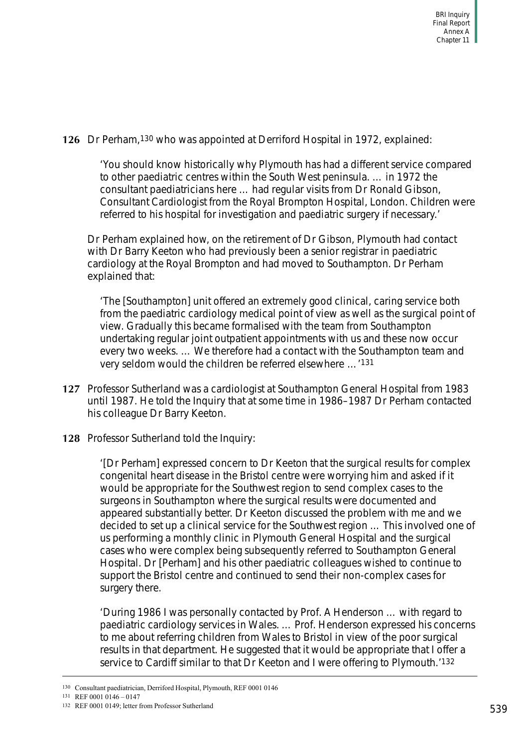## **126** Dr Perham,130 who was appointed at Derriford Hospital in 1972, explained:

'You should know historically why Plymouth has had a different service compared to other paediatric centres within the South West peninsula. … in 1972 the consultant paediatricians here … had regular visits from Dr Ronald Gibson, Consultant Cardiologist from the Royal Brompton Hospital, London. Children were referred to his hospital for investigation and paediatric surgery if necessary.'

Dr Perham explained how, on the retirement of Dr Gibson, Plymouth had contact with Dr Barry Keeton who had previously been a senior registrar in paediatric cardiology at the Royal Brompton and had moved to Southampton. Dr Perham explained that:

'The [Southampton] unit offered an extremely good clinical, caring service both from the paediatric cardiology medical point of view as well as the surgical point of view. Gradually this became formalised with the team from Southampton undertaking regular joint outpatient appointments with us and these now occur every two weeks. … We therefore had a contact with the Southampton team and very seldom would the children be referred elsewhere …'131

- **127** Professor Sutherland was a cardiologist at Southampton General Hospital from 1983 until 1987. He told the Inquiry that at some time in 1986–1987 Dr Perham contacted his colleague Dr Barry Keeton.
- **128** Professor Sutherland told the Inquiry:

'[Dr Perham] expressed concern to Dr Keeton that the surgical results for complex congenital heart disease in the Bristol centre were worrying him and asked if it would be appropriate for the Southwest region to send complex cases to the surgeons in Southampton where the surgical results were documented and appeared substantially better. Dr Keeton discussed the problem with me and we decided to set up a clinical service for the Southwest region … This involved one of us performing a monthly clinic in Plymouth General Hospital and the surgical cases who were complex being subsequently referred to Southampton General Hospital. Dr [Perham] and his other paediatric colleagues wished to continue to support the Bristol centre and continued to send their non-complex cases for surgery there.

'During 1986 I was personally contacted by Prof. A Henderson … with regard to paediatric cardiology services in Wales. … Prof. Henderson expressed his concerns to me about referring children from Wales to Bristol in view of the poor surgical results in that department. He suggested that it would be appropriate that I offer a service to Cardiff similar to that Dr Keeton and I were offering to Plymouth.'132

131 REF 0001 0146 – 0147

<sup>130</sup> Consultant paediatrician, Derriford Hospital, Plymouth, REF 0001 0146

<sup>132</sup> REF 0001 0149; letter from Professor Sutherland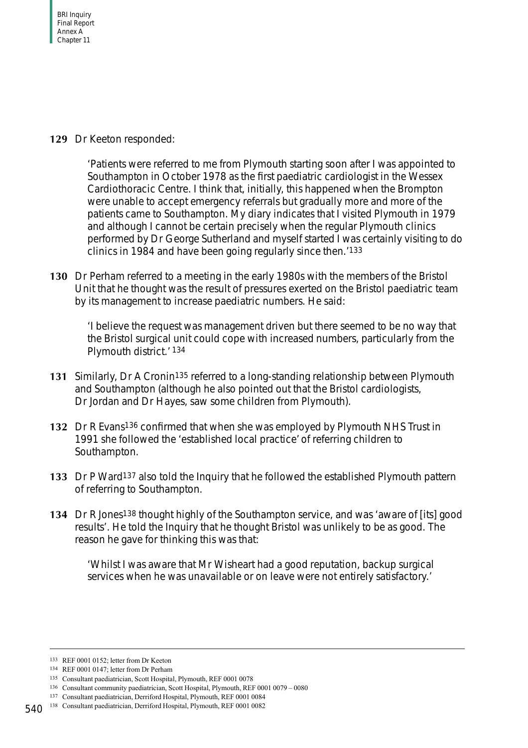## **129** Dr Keeton responded:

'Patients were referred to me from Plymouth starting soon after I was appointed to Southampton in October 1978 as the first paediatric cardiologist in the Wessex Cardiothoracic Centre. I think that, initially, this happened when the Brompton were unable to accept emergency referrals but gradually more and more of the patients came to Southampton. My diary indicates that I visited Plymouth in 1979 and although I cannot be certain precisely when the regular Plymouth clinics performed by Dr George Sutherland and myself started I was certainly visiting to do clinics in 1984 and have been going regularly since then.'133

**130** Dr Perham referred to a meeting in the early 1980s with the members of the Bristol Unit that he thought was the result of pressures exerted on the Bristol paediatric team by its management to increase paediatric numbers. He said:

'I believe the request was management driven but there seemed to be no way that the Bristol surgical unit could cope with increased numbers, particularly from the Plymouth district.' 134

- **131** Similarly, Dr A Cronin135 referred to a long-standing relationship between Plymouth and Southampton (although he also pointed out that the Bristol cardiologists, Dr Jordan and Dr Hayes, saw some children from Plymouth).
- **132** Dr R Evans136 confirmed that when she was employed by Plymouth NHS Trust in 1991 she followed the 'established local practice' of referring children to Southampton.
- **133** Dr P Ward<sup>137</sup> also told the Inquiry that he followed the established Plymouth pattern of referring to Southampton.
- **134** Dr R Jones138 thought highly of the Southampton service, and was 'aware of [its] good results'. He told the Inquiry that he thought Bristol was unlikely to be as good. The reason he gave for thinking this was that:

'Whilst I was aware that Mr Wisheart had a good reputation, backup surgical services when he was unavailable or on leave were not entirely satisfactory.'

<sup>133</sup> REF 0001 0152; letter from Dr Keeton

<sup>134</sup> REF 0001 0147; letter from Dr Perham

<sup>135</sup> Consultant paediatrician, Scott Hospital, Plymouth, REF 0001 0078

<sup>136</sup> Consultant community paediatrician, Scott Hospital, Plymouth, REF 0001 0079 – 0080

<sup>137</sup> Consultant paediatrician, Derriford Hospital, Plymouth, REF 0001 0084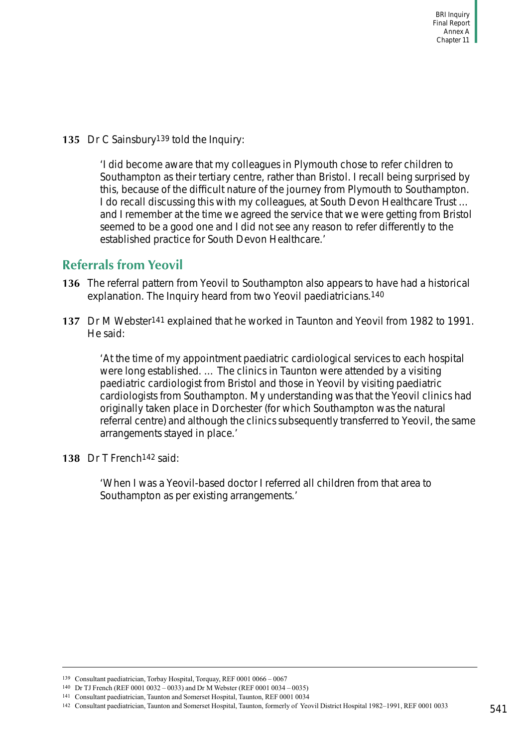**135** Dr C Sainsbury139 told the Inquiry:

'I did become aware that my colleagues in Plymouth chose to refer children to Southampton as their tertiary centre, rather than Bristol. I recall being surprised by this, because of the difficult nature of the journey from Plymouth to Southampton. I do recall discussing this with my colleagues, at South Devon Healthcare Trust ... and I remember at the time we agreed the service that we were getting from Bristol seemed to be a good one and I did not see any reason to refer differently to the established practice for South Devon Healthcare.'

# **Referrals from Yeovil**

- **136** The referral pattern from Yeovil to Southampton also appears to have had a historical explanation. The Inquiry heard from two Yeovil paediatricians.140
- **137** Dr M Webster141 explained that he worked in Taunton and Yeovil from 1982 to 1991. He said:

'At the time of my appointment paediatric cardiological services to each hospital were long established. … The clinics in Taunton were attended by a visiting paediatric cardiologist from Bristol and those in Yeovil by visiting paediatric cardiologists from Southampton. My understanding was that the Yeovil clinics had originally taken place in Dorchester (for which Southampton was the natural referral centre) and although the clinics subsequently transferred to Yeovil, the same arrangements stayed in place.'

**138** Dr T French142 said:

'When I was a Yeovil-based doctor I referred all children from that area to Southampton as per existing arrangements.'

<sup>139</sup> Consultant paediatrician, Torbay Hospital, Torquay, REF 0001 0066 – 0067

<sup>140</sup> Dr TJ French (REF 0001 0032 – 0033) and Dr M Webster (REF 0001 0034 – 0035)

<sup>141</sup> Consultant paediatrician, Taunton and Somerset Hospital, Taunton, REF 0001 0034

<sup>142</sup> Consultant paediatrician, Taunton and Somerset Hospital, Taunton, formerly of Yeovil District Hospital 1982–1991, REF 0001 0033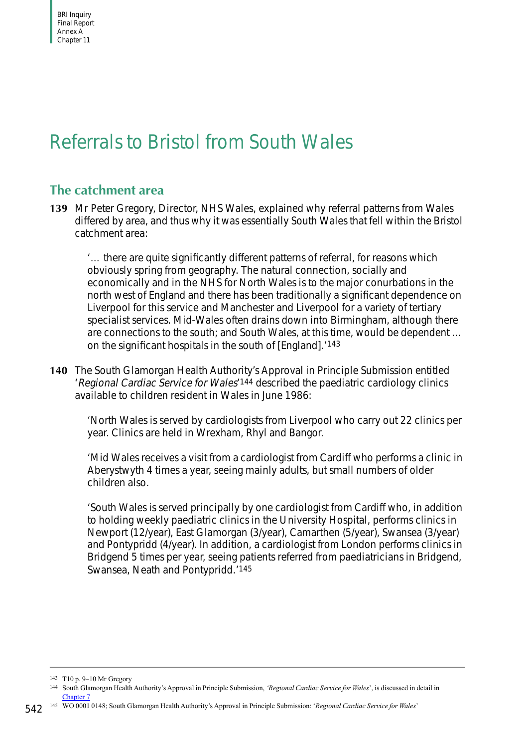# Referrals to Bristol from South Wales

# **The catchment area**

**139** Mr Peter Gregory, Director, NHS Wales, explained why referral patterns from Wales differed by area, and thus why it was essentially South Wales that fell within the Bristol catchment area:

'… there are quite significantly different patterns of referral, for reasons which obviously spring from geography. The natural connection, socially and economically and in the NHS for North Wales is to the major conurbations in the north west of England and there has been traditionally a significant dependence on Liverpool for this service and Manchester and Liverpool for a variety of tertiary specialist services. Mid-Wales often drains down into Birmingham, although there are connections to the south; and South Wales, at this time, would be dependent … on the significant hospitals in the south of [England].'143

**140** The South Glamorgan Health Authority's Approval in Principle Submission entitled 'Regional Cardiac Service for Wales'144 described the paediatric cardiology clinics available to children resident in Wales in June 1986:

'North Wales is served by cardiologists from Liverpool who carry out 22 clinics per year. Clinics are held in Wrexham, Rhyl and Bangor.

'Mid Wales receives a visit from a cardiologist from Cardiff who performs a clinic in Aberystwyth 4 times a year, seeing mainly adults, but small numbers of older children also.

'South Wales is served principally by one cardiologist from Cardiff who, in addition to holding weekly paediatric clinics in the University Hospital, performs clinics in Newport (12/year), East Glamorgan (3/year), Camarthen (5/year), Swansea (3/year) and Pontypridd (4/year). In addition, a cardiologist from London performs clinics in Bridgend 5 times per year, seeing patients referred from paediatricians in Bridgend, Swansea, Neath and Pontypridd.'145

<sup>143</sup> T10 p. 9–10 Mr Gregory

<sup>144</sup> South Glamorgan Health Authority's Approval in Principle Submission, *'Regional Cardiac Service for Wales*', is discussed in detail in Chapter 7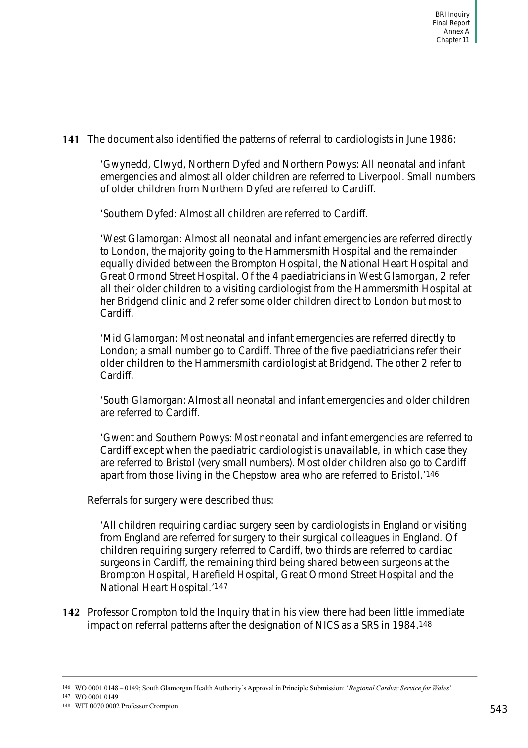**141** The document also identified the patterns of referral to cardiologists in June 1986:

'Gwynedd, Clwyd, Northern Dyfed and Northern Powys: All neonatal and infant emergencies and almost all older children are referred to Liverpool. Small numbers of older children from Northern Dyfed are referred to Cardiff.

'Southern Dyfed: Almost all children are referred to Cardiff.

'West Glamorgan: Almost all neonatal and infant emergencies are referred directly to London, the majority going to the Hammersmith Hospital and the remainder equally divided between the Brompton Hospital, the National Heart Hospital and Great Ormond Street Hospital. Of the 4 paediatricians in West Glamorgan, 2 refer all their older children to a visiting cardiologist from the Hammersmith Hospital at her Bridgend clinic and 2 refer some older children direct to London but most to Cardiff.

'Mid Glamorgan: Most neonatal and infant emergencies are referred directly to London; a small number go to Cardiff. Three of the five paediatricians refer their older children to the Hammersmith cardiologist at Bridgend. The other 2 refer to Cardiff.

'South Glamorgan: Almost all neonatal and infant emergencies and older children are referred to Cardiff.

'Gwent and Southern Powys: Most neonatal and infant emergencies are referred to Cardiff except when the paediatric cardiologist is unavailable, in which case they are referred to Bristol (very small numbers). Most older children also go to Cardiff apart from those living in the Chepstow area who are referred to Bristol.'146

Referrals for surgery were described thus:

'All children requiring cardiac surgery seen by cardiologists in England or visiting from England are referred for surgery to their surgical colleagues in England. Of children requiring surgery referred to Cardiff, two thirds are referred to cardiac surgeons in Cardiff, the remaining third being shared between surgeons at the Brompton Hospital, Harefield Hospital, Great Ormond Street Hospital and the National Heart Hospital.'147

**142** Professor Crompton told the Inquiry that in his view there had been little immediate impact on referral patterns after the designation of NICS as a SRS in 1984.148

147 WO 0001 0149

<sup>146</sup> WO 0001 0148 – 0149; South Glamorgan Health Authority's Approval in Principle Submission: '*Regional Cardiac Service for Wales*'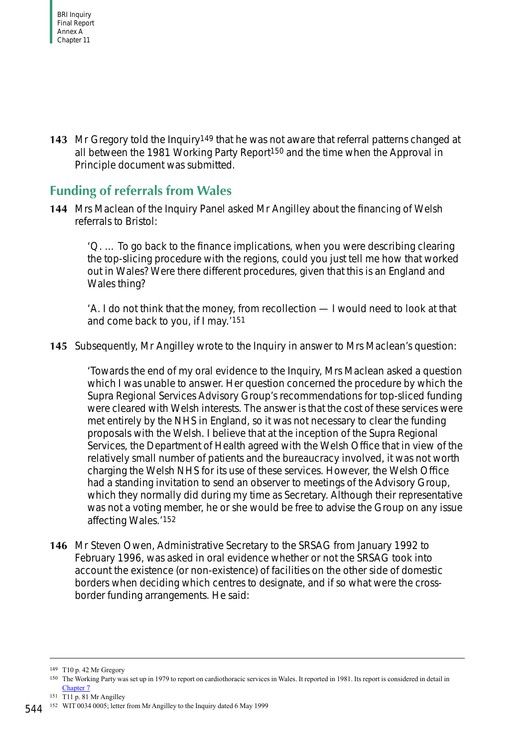**143** Mr Gregory told the Inquiry149 that he was not aware that referral patterns changed at all between the 1981 Working Party Report150 and the time when the Approval in Principle document was submitted.

## **Funding of referrals from Wales**

**144** Mrs Maclean of the Inquiry Panel asked Mr Angilley about the financing of Welsh referrals to Bristol:

'Q. … To go back to the finance implications, when you were describing clearing the top-slicing procedure with the regions, could you just tell me how that worked out in Wales? Were there different procedures, given that this is an England and Wales thing?

'A. I do not think that the money, from recollection — I would need to look at that and come back to you, if I may.'151

**145** Subsequently, Mr Angilley wrote to the Inquiry in answer to Mrs Maclean's question:

'Towards the end of my oral evidence to the Inquiry, Mrs Maclean asked a question which I was unable to answer. Her question concerned the procedure by which the Supra Regional Services Advisory Group's recommendations for top-sliced funding were cleared with Welsh interests. The answer is that the cost of these services were met entirely by the NHS in England, so it was not necessary to clear the funding proposals with the Welsh. I believe that at the inception of the Supra Regional Services, the Department of Health agreed with the Welsh Office that in view of the relatively small number of patients and the bureaucracy involved, it was not worth charging the Welsh NHS for its use of these services. However, the Welsh Office had a standing invitation to send an observer to meetings of the Advisory Group, which they normally did during my time as Secretary. Although their representative was not a voting member, he or she would be free to advise the Group on any issue affecting Wales.'152

**146** Mr Steven Owen, Administrative Secretary to the SRSAG from January 1992 to February 1996, was asked in oral evidence whether or not the SRSAG took into account the existence (or non-existence) of facilities on the other side of domestic borders when deciding which centres to designate, and if so what were the crossborder funding arrangements. He said:

151 T11 p. 81 Mr Angilley

<sup>149</sup> T10 p. 42 Mr Gregory

<sup>150</sup> The Working Party was set up in 1979 to report on cardiothoracic services in Wales. It reported in 1981. Its report is considered in detail in Chapter 7

<sup>152</sup> WIT 0034 0005; letter from Mr Angilley to the Inquiry dated 6 May 1999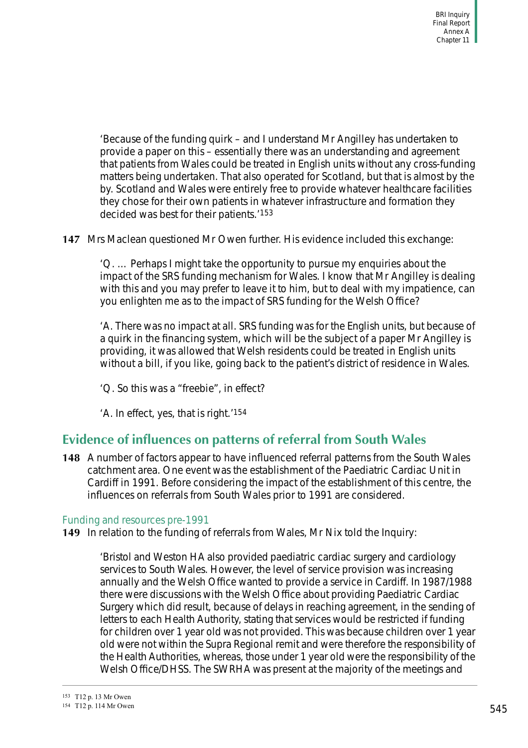'Because of the funding quirk – and I understand Mr Angilley has undertaken to provide a paper on this – essentially there was an understanding and agreement that patients from Wales could be treated in English units without any cross-funding matters being undertaken. That also operated for Scotland, but that is almost by the by. Scotland and Wales were entirely free to provide whatever healthcare facilities they chose for their own patients in whatever infrastructure and formation they decided was best for their patients.'153

**147** Mrs Maclean questioned Mr Owen further. His evidence included this exchange:

'Q. … Perhaps I might take the opportunity to pursue my enquiries about the impact of the SRS funding mechanism for Wales. I know that Mr Angilley is dealing with this and you may prefer to leave it to him, but to deal with my impatience, can you enlighten me as to the impact of SRS funding for the Welsh Office?

'A. There was no impact at all. SRS funding was for the English units, but because of a quirk in the financing system, which will be the subject of a paper Mr Angilley is providing, it was allowed that Welsh residents could be treated in English units without a bill, if you like, going back to the patient's district of residence in Wales.

'Q. So this was a "freebie", in effect?

'A. In effect, yes, that is right.'154

## **Evidence of influences on patterns of referral from South Wales**

**148** A number of factors appear to have influenced referral patterns from the South Wales catchment area. One event was the establishment of the Paediatric Cardiac Unit in Cardiff in 1991. Before considering the impact of the establishment of this centre, the influences on referrals from South Wales prior to 1991 are considered.

#### Funding and resources pre-1991

**149** In relation to the funding of referrals from Wales, Mr Nix told the Inquiry:

'Bristol and Weston HA also provided paediatric cardiac surgery and cardiology services to South Wales. However, the level of service provision was increasing annually and the Welsh Office wanted to provide a service in Cardiff. In 1987/1988 there were discussions with the Welsh Office about providing Paediatric Cardiac Surgery which did result, because of delays in reaching agreement, in the sending of letters to each Health Authority, stating that services would be restricted if funding for children over 1 year old was not provided. This was because children over 1 year old were not within the Supra Regional remit and were therefore the responsibility of the Health Authorities, whereas, those under 1 year old were the responsibility of the Welsh Office/DHSS. The SWRHA was present at the majority of the meetings and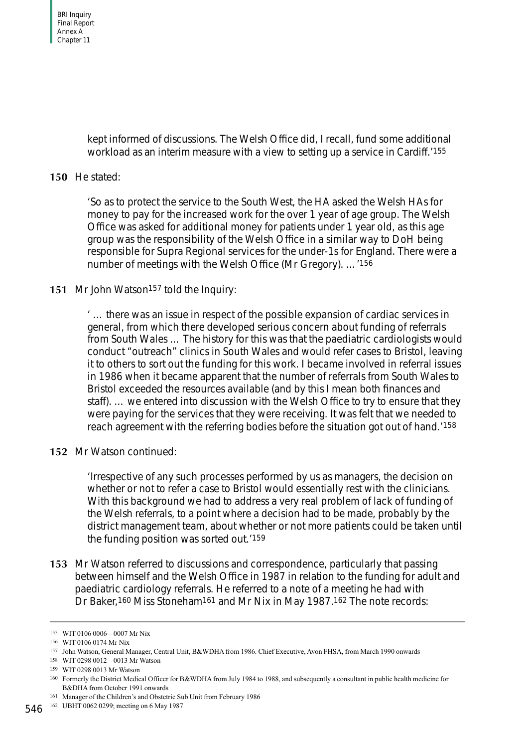kept informed of discussions. The Welsh Office did, I recall, fund some additional workload as an interim measure with a view to setting up a service in Cardiff.'155

#### **150** He stated:

'So as to protect the service to the South West, the HA asked the Welsh HAs for money to pay for the increased work for the over 1 year of age group. The Welsh Office was asked for additional money for patients under 1 year old, as this age group was the responsibility of the Welsh Office in a similar way to DoH being responsible for Supra Regional services for the under-1s for England. There were a number of meetings with the Welsh Office (Mr Gregory). …'156

#### 151 Mr John Watson<sup>157</sup> told the Inquiry:

' … there was an issue in respect of the possible expansion of cardiac services in general, from which there developed serious concern about funding of referrals from South Wales … The history for this was that the paediatric cardiologists would conduct "outreach" clinics in South Wales and would refer cases to Bristol, leaving it to others to sort out the funding for this work. I became involved in referral issues in 1986 when it became apparent that the number of referrals from South Wales to Bristol exceeded the resources available (and by this I mean both finances and staff). … we entered into discussion with the Welsh Office to try to ensure that they were paying for the services that they were receiving. It was felt that we needed to reach agreement with the referring bodies before the situation got out of hand.'158

**152** Mr Watson continued:

'Irrespective of any such processes performed by us as managers, the decision on whether or not to refer a case to Bristol would essentially rest with the clinicians. With this background we had to address a very real problem of lack of funding of the Welsh referrals, to a point where a decision had to be made, probably by the district management team, about whether or not more patients could be taken until the funding position was sorted out.'159

**153** Mr Watson referred to discussions and correspondence, particularly that passing between himself and the Welsh Office in 1987 in relation to the funding for adult and paediatric cardiology referrals. He referred to a note of a meeting he had with Dr Baker,<sup>160</sup> Miss Stoneham<sup>161</sup> and Mr Nix in May 1987.<sup>162</sup> The note records:

<sup>155</sup> WIT 0106 0006 – 0007 Mr Nix

<sup>156</sup> WIT 0106 0174 Mr Nix

<sup>157</sup> John Watson, General Manager, Central Unit, B&WDHA from 1986. Chief Executive, Avon FHSA, from March 1990 onwards

<sup>158</sup> WIT 0298 0012 – 0013 Mr Watson

<sup>159</sup> WIT 0298 0013 Mr Watson

<sup>160</sup> Formerly the District Medical Officer for B&WDHA from July 1984 to 1988, and subsequently a consultant in public health medicine for B&DHA from October 1991 onwards

<sup>161</sup> Manager of the Children's and Obstetric Sub Unit from February 1986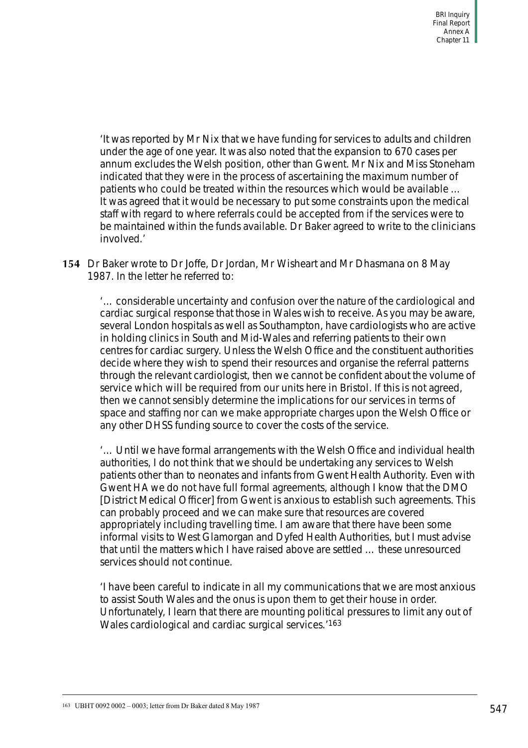'It was reported by Mr Nix that we have funding for services to adults and children under the age of one year. It was also noted that the expansion to 670 cases per annum excludes the Welsh position, other than Gwent. Mr Nix and Miss Stoneham indicated that they were in the process of ascertaining the maximum number of patients who could be treated within the resources which would be available … It was agreed that it would be necessary to put some constraints upon the medical staff with regard to where referrals could be accepted from if the services were to be maintained within the funds available. Dr Baker agreed to write to the clinicians involved.'

**154** Dr Baker wrote to Dr Joffe, Dr Jordan, Mr Wisheart and Mr Dhasmana on 8 May 1987. In the letter he referred to:

'… considerable uncertainty and confusion over the nature of the cardiological and cardiac surgical response that those in Wales wish to receive. As you may be aware, several London hospitals as well as Southampton, have cardiologists who are active in holding clinics in South and Mid-Wales and referring patients to their own centres for cardiac surgery. Unless the Welsh Office and the constituent authorities decide where they wish to spend their resources and organise the referral patterns through the relevant cardiologist, then we cannot be confident about the volume of service which will be required from our units here in Bristol. If this is not agreed, then we cannot sensibly determine the implications for our services in terms of space and staffing nor can we make appropriate charges upon the Welsh Office or any other DHSS funding source to cover the costs of the service.

'… Until we have formal arrangements with the Welsh Office and individual health authorities, I do not think that we should be undertaking any services to Welsh patients other than to neonates and infants from Gwent Health Authority. Even with Gwent HA we do not have full formal agreements, although I know that the DMO [District Medical Officer] from Gwent is anxious to establish such agreements. This can probably proceed and we can make sure that resources are covered appropriately including travelling time. I am aware that there have been some informal visits to West Glamorgan and Dyfed Health Authorities, but I must advise that until the matters which I have raised above are settled … these unresourced services should not continue.

'I have been careful to indicate in all my communications that we are most anxious to assist South Wales and the onus is upon them to get their house in order. Unfortunately, I learn that there are mounting political pressures to limit any out of Wales cardiological and cardiac surgical services.'163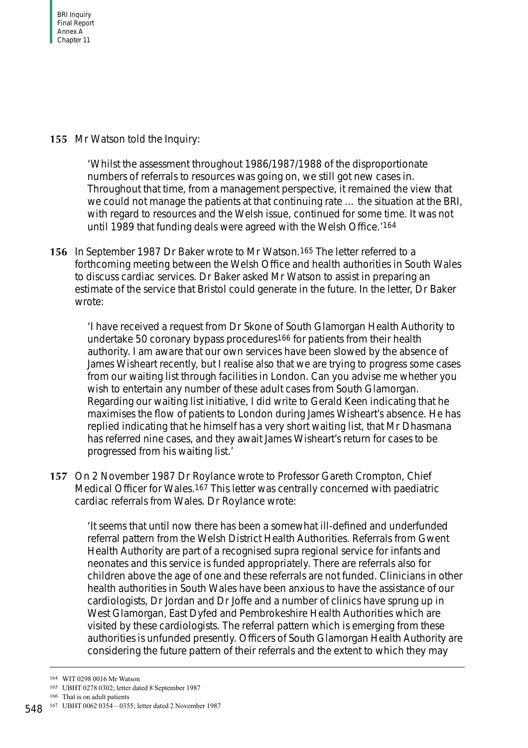**155** Mr Watson told the Inquiry:

'Whilst the assessment throughout 1986/1987/1988 of the disproportionate numbers of referrals to resources was going on, we still got new cases in. Throughout that time, from a management perspective, it remained the view that we could not manage the patients at that continuing rate … the situation at the BRI, with regard to resources and the Welsh issue, continued for some time. It was not until 1989 that funding deals were agreed with the Welsh Office.'164

**156** In September 1987 Dr Baker wrote to Mr Watson.165 The letter referred to a forthcoming meeting between the Welsh Office and health authorities in South Wales to discuss cardiac services. Dr Baker asked Mr Watson to assist in preparing an estimate of the service that Bristol could generate in the future. In the letter, Dr Baker wrote:

'I have received a request from Dr Skone of South Glamorgan Health Authority to undertake 50 coronary bypass procedures166 for patients from their health authority. I am aware that our own services have been slowed by the absence of James Wisheart recently, but I realise also that we are trying to progress some cases from our waiting list through facilities in London. Can you advise me whether you wish to entertain any number of these adult cases from South Glamorgan. Regarding our waiting list initiative, I did write to Gerald Keen indicating that he maximises the flow of patients to London during James Wisheart's absence. He has replied indicating that he himself has a very short waiting list, that Mr Dhasmana has referred nine cases, and they await James Wisheart's return for cases to be progressed from his waiting list.'

**157** On 2 November 1987 Dr Roylance wrote to Professor Gareth Crompton, Chief Medical Officer for Wales.<sup>167</sup> This letter was centrally concerned with paediatric cardiac referrals from Wales. Dr Roylance wrote:

'It seems that until now there has been a somewhat ill-defined and underfunded referral pattern from the Welsh District Health Authorities. Referrals from Gwent Health Authority are part of a recognised supra regional service for infants and neonates and this service is funded appropriately. There are referrals also for children above the age of one and these referrals are not funded. Clinicians in other health authorities in South Wales have been anxious to have the assistance of our cardiologists, Dr Jordan and Dr Joffe and a number of clinics have sprung up in West Glamorgan, East Dyfed and Pembrokeshire Health Authorities which are visited by these cardiologists. The referral pattern which is emerging from these authorities is unfunded presently. Officers of South Glamorgan Health Authority are considering the future pattern of their referrals and the extent to which they may

<sup>164</sup> WIT 0298 0016 Mr Watson

<sup>165</sup> UBHT 0278 0302; letter dated 8 September 1987

<sup>166</sup> That is on adult patients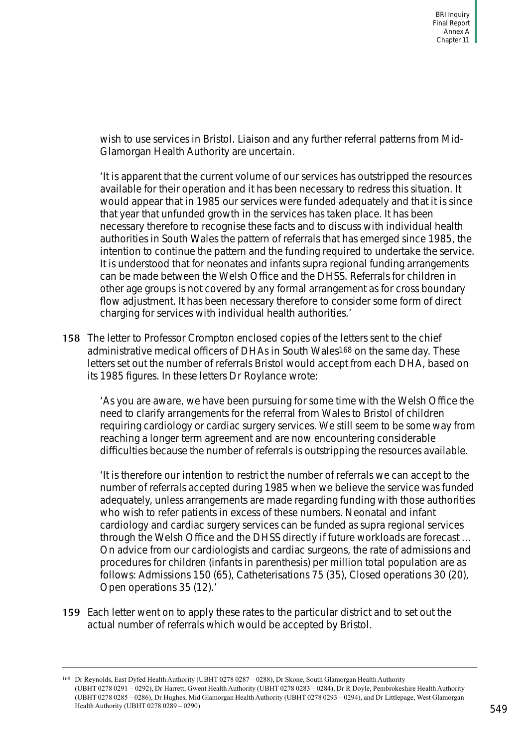wish to use services in Bristol. Liaison and any further referral patterns from Mid-Glamorgan Health Authority are uncertain.

'It is apparent that the current volume of our services has outstripped the resources available for their operation and it has been necessary to redress this situation. It would appear that in 1985 our services were funded adequately and that it is since that year that unfunded growth in the services has taken place. It has been necessary therefore to recognise these facts and to discuss with individual health authorities in South Wales the pattern of referrals that has emerged since 1985, the intention to continue the pattern and the funding required to undertake the service. It is understood that for neonates and infants supra regional funding arrangements can be made between the Welsh Office and the DHSS. Referrals for children in other age groups is not covered by any formal arrangement as for cross boundary flow adjustment. It has been necessary therefore to consider some form of direct charging for services with individual health authorities.'

**158** The letter to Professor Crompton enclosed copies of the letters sent to the chief administrative medical officers of DHAs in South Wales<sup>168</sup> on the same day. These letters set out the number of referrals Bristol would accept from each DHA, based on its 1985 figures. In these letters Dr Roylance wrote:

'As you are aware, we have been pursuing for some time with the Welsh Office the need to clarify arrangements for the referral from Wales to Bristol of children requiring cardiology or cardiac surgery services. We still seem to be some way from reaching a longer term agreement and are now encountering considerable difficulties because the number of referrals is outstripping the resources available.

'It is therefore our intention to restrict the number of referrals we can accept to the number of referrals accepted during 1985 when we believe the service was funded adequately, unless arrangements are made regarding funding with those authorities who wish to refer patients in excess of these numbers. Neonatal and infant cardiology and cardiac surgery services can be funded as supra regional services through the Welsh Office and the DHSS directly if future workloads are forecast … On advice from our cardiologists and cardiac surgeons, the rate of admissions and procedures for children (infants in parenthesis) per million total population are as follows: Admissions 150 (65), Catheterisations 75 (35), Closed operations 30 (20), Open operations 35 (12).'

**159** Each letter went on to apply these rates to the particular district and to set out the actual number of referrals which would be accepted by Bristol.

<sup>168</sup> Dr Reynolds, East Dyfed Health Authority (UBHT 0278 0287 – 0288), Dr Skone, South Glamorgan Health Authority (UBHT 0278 0291 – 0292), Dr Harrett, Gwent Health Authority (UBHT 0278 0283 – 0284), Dr R Doyle, Pembrokeshire Health Authority (UBHT 0278 0285 – 0286), Dr Hughes, Mid Glamorgan Health Authority (UBHT 0278 0293 – 0294), and Dr Littlepage, West Glamorgan Health Authority (UBHT 0278 0289 – 0290)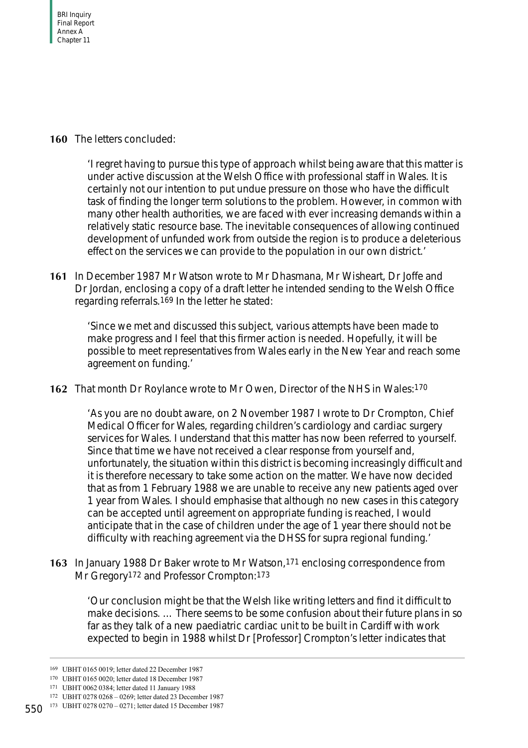#### **160** The letters concluded:

'I regret having to pursue this type of approach whilst being aware that this matter is under active discussion at the Welsh Office with professional staff in Wales. It is certainly not our intention to put undue pressure on those who have the difficult task of finding the longer term solutions to the problem. However, in common with many other health authorities, we are faced with ever increasing demands within a relatively static resource base. The inevitable consequences of allowing continued development of unfunded work from outside the region is to produce a deleterious effect on the services we can provide to the population in our own district.'

**161** In December 1987 Mr Watson wrote to Mr Dhasmana, Mr Wisheart, Dr Joffe and Dr Jordan, enclosing a copy of a draft letter he intended sending to the Welsh Office regarding referrals.169 In the letter he stated:

'Since we met and discussed this subject, various attempts have been made to make progress and I feel that this firmer action is needed. Hopefully, it will be possible to meet representatives from Wales early in the New Year and reach some agreement on funding.'

**162** That month Dr Roylance wrote to Mr Owen, Director of the NHS in Wales:170

'As you are no doubt aware, on 2 November 1987 I wrote to Dr Crompton, Chief Medical Officer for Wales, regarding children's cardiology and cardiac surgery services for Wales. I understand that this matter has now been referred to yourself. Since that time we have not received a clear response from yourself and, unfortunately, the situation within this district is becoming increasingly difficult and it is therefore necessary to take some action on the matter. We have now decided that as from 1 February 1988 we are unable to receive any new patients aged over 1 year from Wales. I should emphasise that although no new cases in this category can be accepted until agreement on appropriate funding is reached, I would anticipate that in the case of children under the age of 1 year there should not be difficulty with reaching agreement via the DHSS for supra regional funding.'

**163** In January 1988 Dr Baker wrote to Mr Watson,171 enclosing correspondence from Mr Gregory<sup>172</sup> and Professor Crompton: 173

'Our conclusion might be that the Welsh like writing letters and find it difficult to make decisions. … There seems to be some confusion about their future plans in so far as they talk of a new paediatric cardiac unit to be built in Cardiff with work expected to begin in 1988 whilst Dr [Professor] Crompton's letter indicates that

<sup>169</sup> UBHT 0165 0019; letter dated 22 December 1987

<sup>170</sup> UBHT 0165 0020; letter dated 18 December 1987

<sup>171</sup> UBHT 0062 0384; letter dated 11 January 1988

<sup>172</sup> UBHT 0278 0268 – 0269; letter dated 23 December 1987

<sup>550</sup> 173 UBHT 0278 0270 – 0271; letter dated 15 December 1987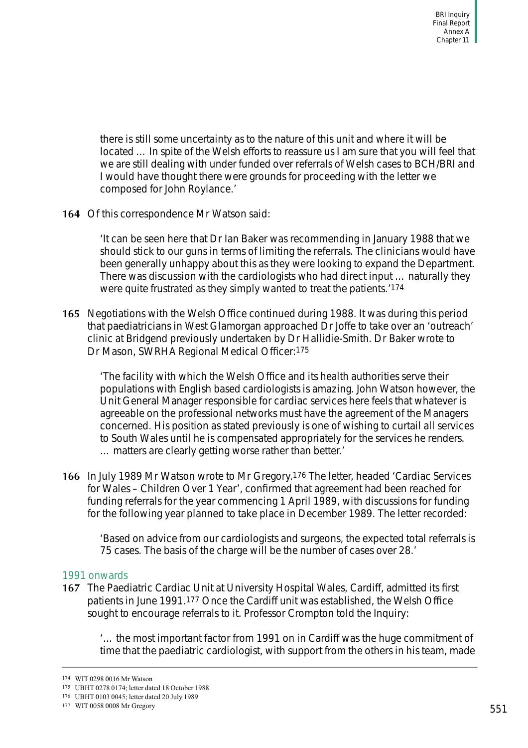there is still some uncertainty as to the nature of this unit and where it will be located … In spite of the Welsh efforts to reassure us I am sure that you will feel that we are still dealing with under funded over referrals of Welsh cases to BCH/BRI and I would have thought there were grounds for proceeding with the letter we composed for John Roylance.'

**164** Of this correspondence Mr Watson said:

'It can be seen here that Dr Ian Baker was recommending in January 1988 that we should stick to our guns in terms of limiting the referrals. The clinicians would have been generally unhappy about this as they were looking to expand the Department. There was discussion with the cardiologists who had direct input … naturally they were quite frustrated as they simply wanted to treat the patients.'174

**165** Negotiations with the Welsh Office continued during 1988. It was during this period that paediatricians in West Glamorgan approached Dr Joffe to take over an 'outreach' clinic at Bridgend previously undertaken by Dr Hallidie-Smith. Dr Baker wrote to Dr Mason, SWRHA Regional Medical Officer:175

'The facility with which the Welsh Office and its health authorities serve their populations with English based cardiologists is amazing. John Watson however, the Unit General Manager responsible for cardiac services here feels that whatever is agreeable on the professional networks must have the agreement of the Managers concerned. His position as stated previously is one of wishing to curtail all services to South Wales until he is compensated appropriately for the services he renders. … matters are clearly getting worse rather than better.'

**166** In July 1989 Mr Watson wrote to Mr Gregory.176 The letter, headed 'Cardiac Services for Wales – Children Over 1 Year', confirmed that agreement had been reached for funding referrals for the year commencing 1 April 1989, with discussions for funding for the following year planned to take place in December 1989. The letter recorded:

'Based on advice from our cardiologists and surgeons, the expected total referrals is 75 cases. The basis of the charge will be the number of cases over 28.'

#### 1991 onwards

**167** The Paediatric Cardiac Unit at University Hospital Wales, Cardiff, admitted its first patients in June 1991.177 Once the Cardiff unit was established, the Welsh Office sought to encourage referrals to it. Professor Crompton told the Inquiry:

'… the most important factor from 1991 on in Cardiff was the huge commitment of time that the paediatric cardiologist, with support from the others in his team, made

<sup>174</sup> WIT 0298 0016 Mr Watson

<sup>175</sup> UBHT 0278 0174; letter dated 18 October 1988

<sup>176</sup> UBHT 0103 0045; letter dated 20 July 1989

<sup>177</sup> WIT 0058 0008 Mr Gregory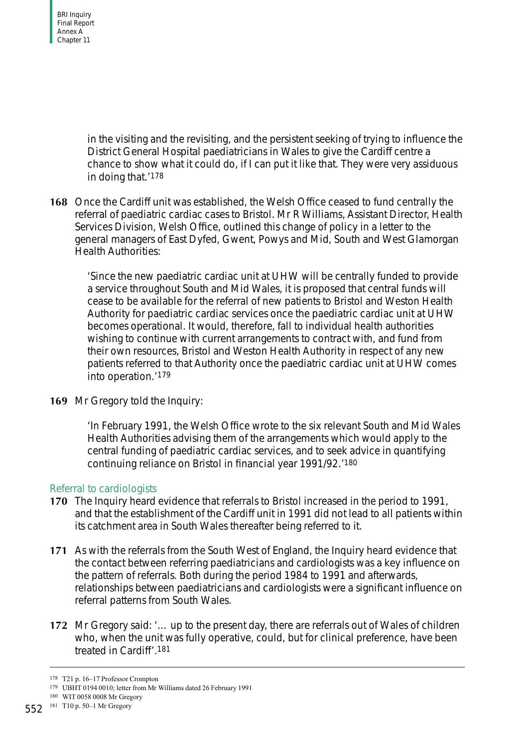in the visiting and the revisiting, and the persistent seeking of trying to influence the District General Hospital paediatricians in Wales to give the Cardiff centre a chance to show what it could do, if I can put it like that. They were very assiduous in doing that.'178

**168** Once the Cardiff unit was established, the Welsh Office ceased to fund centrally the referral of paediatric cardiac cases to Bristol. Mr R Williams, Assistant Director, Health Services Division, Welsh Office, outlined this change of policy in a letter to the general managers of East Dyfed, Gwent, Powys and Mid, South and West Glamorgan Health Authorities:

'Since the new paediatric cardiac unit at UHW will be centrally funded to provide a service throughout South and Mid Wales, it is proposed that central funds will cease to be available for the referral of new patients to Bristol and Weston Health Authority for paediatric cardiac services once the paediatric cardiac unit at UHW becomes operational. It would, therefore, fall to individual health authorities wishing to continue with current arrangements to contract with, and fund from their own resources, Bristol and Weston Health Authority in respect of any new patients referred to that Authority once the paediatric cardiac unit at UHW comes into operation.'179

**169** Mr Gregory told the Inquiry:

'In February 1991, the Welsh Office wrote to the six relevant South and Mid Wales Health Authorities advising them of the arrangements which would apply to the central funding of paediatric cardiac services, and to seek advice in quantifying continuing reliance on Bristol in financial year 1991/92.'180

#### Referral to cardiologists

- **170** The Inquiry heard evidence that referrals to Bristol increased in the period to 1991, and that the establishment of the Cardiff unit in 1991 did not lead to all patients within its catchment area in South Wales thereafter being referred to it.
- **171** As with the referrals from the South West of England, the Inquiry heard evidence that the contact between referring paediatricians and cardiologists was a key influence on the pattern of referrals. Both during the period 1984 to 1991 and afterwards, relationships between paediatricians and cardiologists were a significant influence on referral patterns from South Wales.
- **172** Mr Gregory said: '… up to the present day, there are referrals out of Wales of children who, when the unit was fully operative, could, but for clinical preference, have been treated in Cardiff'.181

<sup>178</sup> T21 p. 16–17 Professor Crompton

<sup>179</sup> UBHT 0194 0010; letter from Mr Williams dated 26 February 1991

<sup>180</sup> WIT 0058 0008 Mr Gregory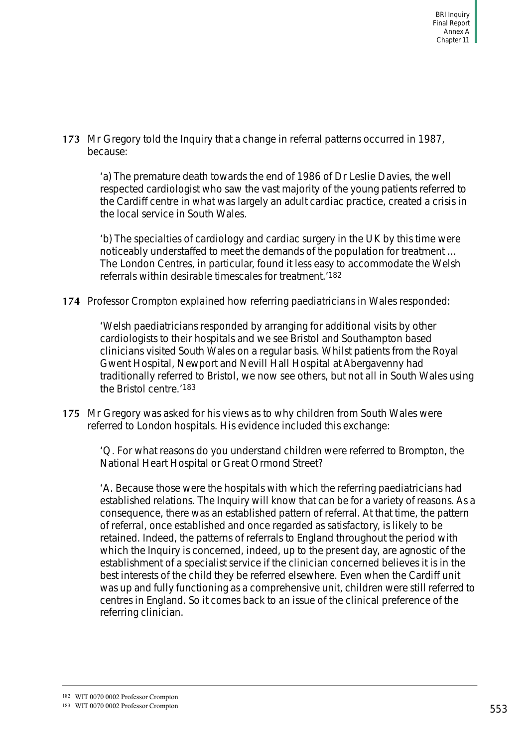**173** Mr Gregory told the Inquiry that a change in referral patterns occurred in 1987, because:

'a) The premature death towards the end of 1986 of Dr Leslie Davies, the well respected cardiologist who saw the vast majority of the young patients referred to the Cardiff centre in what was largely an adult cardiac practice, created a crisis in the local service in South Wales.

'b) The specialties of cardiology and cardiac surgery in the UK by this time were noticeably understaffed to meet the demands of the population for treatment … The London Centres, in particular, found it less easy to accommodate the Welsh referrals within desirable timescales for treatment.'182

**174** Professor Crompton explained how referring paediatricians in Wales responded:

'Welsh paediatricians responded by arranging for additional visits by other cardiologists to their hospitals and we see Bristol and Southampton based clinicians visited South Wales on a regular basis. Whilst patients from the Royal Gwent Hospital, Newport and Nevill Hall Hospital at Abergavenny had traditionally referred to Bristol, we now see others, but not all in South Wales using the Bristol centre.'183

**175** Mr Gregory was asked for his views as to why children from South Wales were referred to London hospitals. His evidence included this exchange:

> 'Q. For what reasons do you understand children were referred to Brompton, the National Heart Hospital or Great Ormond Street?

'A. Because those were the hospitals with which the referring paediatricians had established relations. The Inquiry will know that can be for a variety of reasons. As a consequence, there was an established pattern of referral. At that time, the pattern of referral, once established and once regarded as satisfactory, is likely to be retained. Indeed, the patterns of referrals to England throughout the period with which the Inquiry is concerned, indeed, up to the present day, are agnostic of the establishment of a specialist service if the clinician concerned believes it is in the best interests of the child they be referred elsewhere. Even when the Cardiff unit was up and fully functioning as a comprehensive unit, children were still referred to centres in England. So it comes back to an issue of the clinical preference of the referring clinician.

<sup>182</sup> WIT 0070 0002 Professor Crompton

<sup>183</sup> WIT 0070 0002 Professor Crompton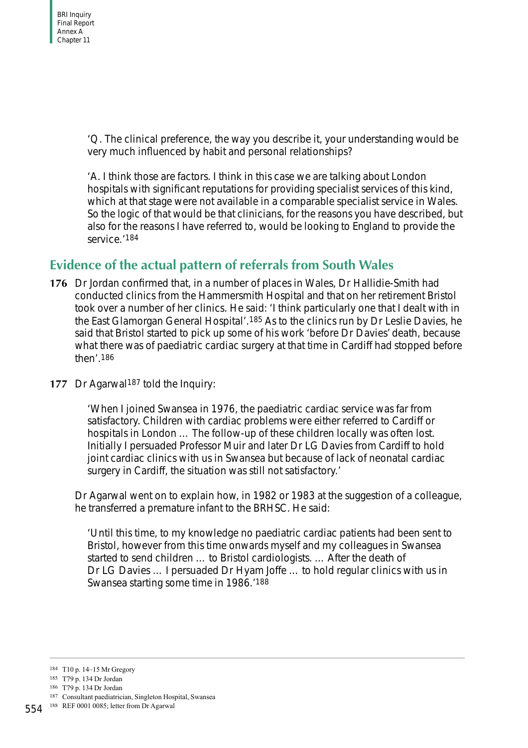'Q. The clinical preference, the way you describe it, your understanding would be very much influenced by habit and personal relationships?

'A. I think those are factors. I think in this case we are talking about London hospitals with significant reputations for providing specialist services of this kind, which at that stage were not available in a comparable specialist service in Wales. So the logic of that would be that clinicians, for the reasons you have described, but also for the reasons I have referred to, would be looking to England to provide the service.'184

# **Evidence of the actual pattern of referrals from South Wales**

- **176** Dr Jordan confirmed that, in a number of places in Wales, Dr Hallidie-Smith had conducted clinics from the Hammersmith Hospital and that on her retirement Bristol took over a number of her clinics. He said: 'I think particularly one that I dealt with in the East Glamorgan General Hospital'.185 As to the clinics run by Dr Leslie Davies, he said that Bristol started to pick up some of his work 'before Dr Davies' death, because what there was of paediatric cardiac surgery at that time in Cardiff had stopped before then'.186
- **177** Dr Agarwal187 told the Inquiry:

'When I joined Swansea in 1976, the paediatric cardiac service was far from satisfactory. Children with cardiac problems were either referred to Cardiff or hospitals in London … The follow-up of these children locally was often lost. Initially I persuaded Professor Muir and later Dr LG Davies from Cardiff to hold joint cardiac clinics with us in Swansea but because of lack of neonatal cardiac surgery in Cardiff, the situation was still not satisfactory.'

Dr Agarwal went on to explain how, in 1982 or 1983 at the suggestion of a colleague, he transferred a premature infant to the BRHSC. He said:

'Until this time, to my knowledge no paediatric cardiac patients had been sent to Bristol, however from this time onwards myself and my colleagues in Swansea started to send children … to Bristol cardiologists. … After the death of Dr LG Davies … I persuaded Dr Hyam Joffe … to hold regular clinics with us in Swansea starting some time in 1986.'188

<sup>184</sup> T10 p. 14–15 Mr Gregory

<sup>185</sup> T79 p. 134 Dr Jordan

<sup>186</sup> T79 p. 134 Dr Jordan

<sup>187</sup> Consultant paediatrician, Singleton Hospital, Swansea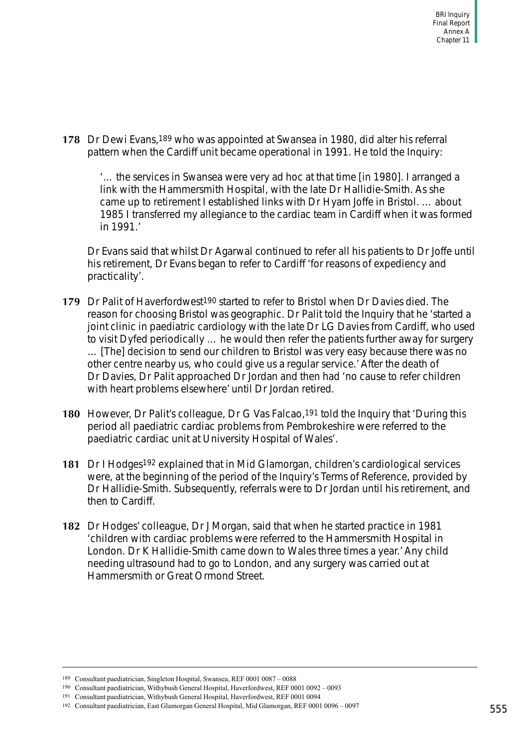**178** Dr Dewi Evans,189 who was appointed at Swansea in 1980, did alter his referral pattern when the Cardiff unit became operational in 1991. He told the Inquiry:

'… the services in Swansea were very ad hoc at that time [in 1980]. I arranged a link with the Hammersmith Hospital, with the late Dr Hallidie-Smith. As she came up to retirement I established links with Dr Hyam Joffe in Bristol. … about 1985 I transferred my allegiance to the cardiac team in Cardiff when it was formed in 1991.'

Dr Evans said that whilst Dr Agarwal continued to refer all his patients to Dr Joffe until his retirement, Dr Evans began to refer to Cardiff 'for reasons of expediency and practicality'.

- **179** Dr Palit of Haverfordwest190 started to refer to Bristol when Dr Davies died. The reason for choosing Bristol was geographic. Dr Palit told the Inquiry that he 'started a joint clinic in paediatric cardiology with the late Dr LG Davies from Cardiff, who used to visit Dyfed periodically … he would then refer the patients further away for surgery … [The] decision to send our children to Bristol was very easy because there was no other centre nearby us, who could give us a regular service.' After the death of Dr Davies, Dr Palit approached Dr Jordan and then had 'no cause to refer children with heart problems elsewhere' until Dr Jordan retired.
- **180** However, Dr Palit's colleague, Dr G Vas Falcao,191 told the Inquiry that 'During this period all paediatric cardiac problems from Pembrokeshire were referred to the paediatric cardiac unit at University Hospital of Wales'.
- **181** Dr I Hodges192 explained that in Mid Glamorgan, children's cardiological services were, at the beginning of the period of the Inquiry's Terms of Reference, provided by Dr Hallidie-Smith. Subsequently, referrals were to Dr Jordan until his retirement, and then to Cardiff.
- **182** Dr Hodges' colleague, Dr J Morgan, said that when he started practice in 1981 'children with cardiac problems were referred to the Hammersmith Hospital in London. Dr K Hallidie-Smith came down to Wales three times a year.' Any child needing ultrasound had to go to London, and any surgery was carried out at Hammersmith or Great Ormond Street.

<sup>189</sup> Consultant paediatrician, Singleton Hospital, Swansea, REF 0001 0087 – 0088

<sup>190</sup> Consultant paediatrician, Withybush General Hospital, Haverfordwest, REF 0001 0092 – 0093

<sup>191</sup> Consultant paediatrician, Withybush General Hospital, Haverfordwest, REF 0001 0094

<sup>192</sup> Consultant paediatrician, East Glamorgan General Hospital, Mid Glamorgan, REF 0001 0096 – 0097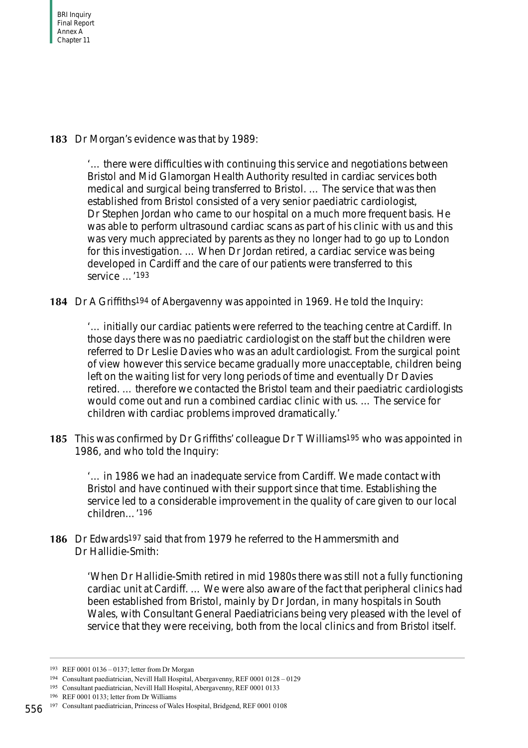**183** Dr Morgan's evidence was that by 1989:

'… there were difficulties with continuing this service and negotiations between Bristol and Mid Glamorgan Health Authority resulted in cardiac services both medical and surgical being transferred to Bristol. … The service that was then established from Bristol consisted of a very senior paediatric cardiologist, Dr Stephen Jordan who came to our hospital on a much more frequent basis. He was able to perform ultrasound cardiac scans as part of his clinic with us and this was very much appreciated by parents as they no longer had to go up to London for this investigation. … When Dr Jordan retired, a cardiac service was being developed in Cardiff and the care of our patients were transferred to this service …'193

**184** Dr A Griffiths194 of Abergavenny was appointed in 1969. He told the Inquiry:

'… initially our cardiac patients were referred to the teaching centre at Cardiff. In those days there was no paediatric cardiologist on the staff but the children were referred to Dr Leslie Davies who was an adult cardiologist. From the surgical point of view however this service became gradually more unacceptable, children being left on the waiting list for very long periods of time and eventually Dr Davies retired. … therefore we contacted the Bristol team and their paediatric cardiologists would come out and run a combined cardiac clinic with us. … The service for children with cardiac problems improved dramatically.'

**185** This was confirmed by Dr Griffiths' colleague Dr T Williams<sup>195</sup> who was appointed in 1986, and who told the Inquiry:

'… in 1986 we had an inadequate service from Cardiff. We made contact with Bristol and have continued with their support since that time. Establishing the service led to a considerable improvement in the quality of care given to our local children…'196

**186** Dr Edwards197 said that from 1979 he referred to the Hammersmith and Dr Hallidie-Smith:

> 'When Dr Hallidie-Smith retired in mid 1980s there was still not a fully functioning cardiac unit at Cardiff. … We were also aware of the fact that peripheral clinics had been established from Bristol, mainly by Dr Jordan, in many hospitals in South Wales, with Consultant General Paediatricians being very pleased with the level of service that they were receiving, both from the local clinics and from Bristol itself.

<sup>193</sup> REF 0001 0136 – 0137; letter from Dr Morgan

<sup>194</sup> Consultant paediatrician, Nevill Hall Hospital, Abergavenny, REF 0001 0128 – 0129

<sup>195</sup> Consultant paediatrician, Nevill Hall Hospital, Abergavenny, REF 0001 0133

<sup>196</sup> REF 0001 0133; letter from Dr Williams

<sup>197</sup> Consultant paediatrician, Princess of Wales Hospital, Bridgend, REF 0001 0108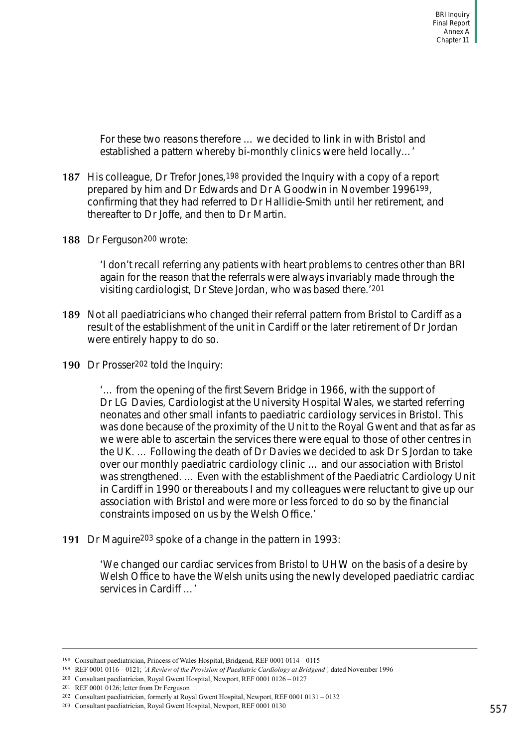For these two reasons therefore … we decided to link in with Bristol and established a pattern whereby bi-monthly clinics were held locally…'

- **187** His colleague, Dr Trefor Jones, <sup>198</sup> provided the Inquiry with a copy of a report prepared by him and Dr Edwards and Dr A Goodwin in November 1996199, confirming that they had referred to Dr Hallidie-Smith until her retirement, and thereafter to Dr Joffe, and then to Dr Martin.
- **188** Dr Ferguson200 wrote:

'I don't recall referring any patients with heart problems to centres other than BRI again for the reason that the referrals were always invariably made through the visiting cardiologist, Dr Steve Jordan, who was based there.'201

- **189** Not all paediatricians who changed their referral pattern from Bristol to Cardiff as a result of the establishment of the unit in Cardiff or the later retirement of Dr Jordan were entirely happy to do so.
- 190 Dr Prosser<sup>202</sup> told the Inquiry:

'… from the opening of the first Severn Bridge in 1966, with the support of Dr LG Davies, Cardiologist at the University Hospital Wales, we started referring neonates and other small infants to paediatric cardiology services in Bristol. This was done because of the proximity of the Unit to the Royal Gwent and that as far as we were able to ascertain the services there were equal to those of other centres in the UK. … Following the death of Dr Davies we decided to ask Dr S Jordan to take over our monthly paediatric cardiology clinic … and our association with Bristol was strengthened. … Even with the establishment of the Paediatric Cardiology Unit in Cardiff in 1990 or thereabouts I and my colleagues were reluctant to give up our association with Bristol and were more or less forced to do so by the financial constraints imposed on us by the Welsh Office.'

**191** Dr Maguire203 spoke of a change in the pattern in 1993:

'We changed our cardiac services from Bristol to UHW on the basis of a desire by Welsh Office to have the Welsh units using the newly developed paediatric cardiac services in Cardiff …'

<sup>198</sup> Consultant paediatrician, Princess of Wales Hospital, Bridgend, REF 0001 0114 – 0115

<sup>199</sup> REF 0001 0116 – 0121; *'A Review of the Provision of Paediatric Cardiology at Bridgend',* dated November 1996

<sup>200</sup> Consultant paediatrician, Royal Gwent Hospital, Newport, REF 0001 0126 – 0127

<sup>201</sup> REF 0001 0126; letter from Dr Ferguson

<sup>202</sup> Consultant paediatrician, formerly at Royal Gwent Hospital, Newport, REF 0001 0131 – 0132

<sup>203</sup> Consultant paediatrician, Royal Gwent Hospital, Newport, REF 0001 0130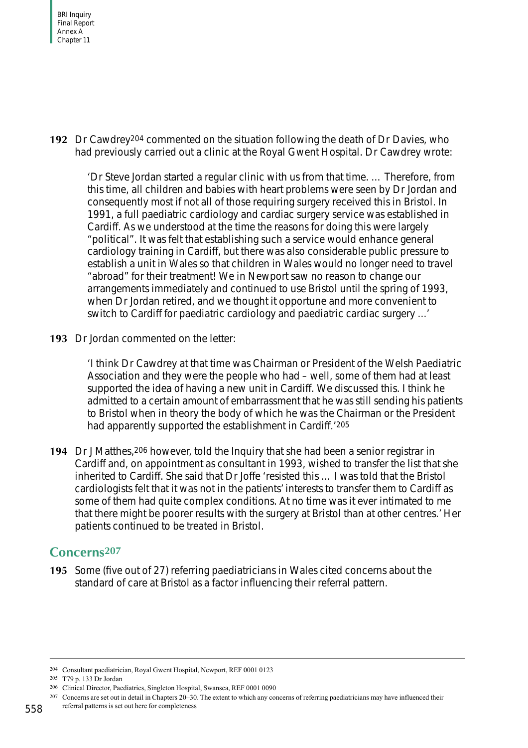**192** Dr Cawdrey204 commented on the situation following the death of Dr Davies, who had previously carried out a clinic at the Royal Gwent Hospital. Dr Cawdrey wrote:

'Dr Steve Jordan started a regular clinic with us from that time. … Therefore, from this time, all children and babies with heart problems were seen by Dr Jordan and consequently most if not all of those requiring surgery received this in Bristol. In 1991, a full paediatric cardiology and cardiac surgery service was established in Cardiff. As we understood at the time the reasons for doing this were largely "political". It was felt that establishing such a service would enhance general cardiology training in Cardiff, but there was also considerable public pressure to establish a unit in Wales so that children in Wales would no longer need to travel "abroad" for their treatment! We in Newport saw no reason to change our arrangements immediately and continued to use Bristol until the spring of 1993, when Dr Jordan retired, and we thought it opportune and more convenient to switch to Cardiff for paediatric cardiology and paediatric cardiac surgery ...'

**193** Dr Jordan commented on the letter:

'I think Dr Cawdrey at that time was Chairman or President of the Welsh Paediatric Association and they were the people who had – well, some of them had at least supported the idea of having a new unit in Cardiff. We discussed this. I think he admitted to a certain amount of embarrassment that he was still sending his patients to Bristol when in theory the body of which he was the Chairman or the President had apparently supported the establishment in Cardiff.'205

**194** Dr J Matthes,206 however, told the Inquiry that she had been a senior registrar in Cardiff and, on appointment as consultant in 1993, wished to transfer the list that she inherited to Cardiff. She said that Dr Joffe 'resisted this … I was told that the Bristol cardiologists felt that it was not in the patients' interests to transfer them to Cardiff as some of them had quite complex conditions. At no time was it ever intimated to me that there might be poorer results with the surgery at Bristol than at other centres.' Her patients continued to be treated in Bristol.

## **Concerns207**

**195** Some (five out of 27) referring paediatricians in Wales cited concerns about the standard of care at Bristol as a factor influencing their referral pattern.

<sup>204</sup> Consultant paediatrician, Royal Gwent Hospital, Newport, REF 0001 0123

<sup>205</sup> T79 p. 133 Dr Jordan

<sup>206</sup> Clinical Director, Paediatrics, Singleton Hospital, Swansea, REF 0001 0090

<sup>207</sup> Concerns are set out in detail in Chapters 20–30. The extent to which any concerns of referring paediatricians may have influenced their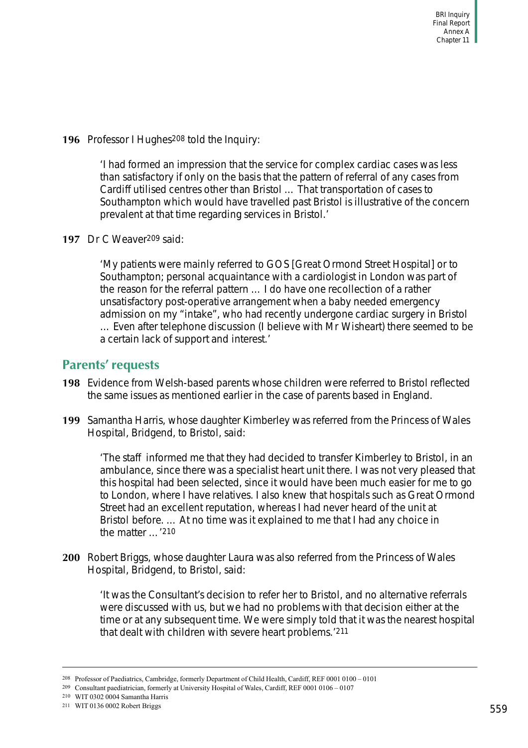**196** Professor I Hughes208 told the Inquiry:

'I had formed an impression that the service for complex cardiac cases was less than satisfactory if only on the basis that the pattern of referral of any cases from Cardiff utilised centres other than Bristol … That transportation of cases to Southampton which would have travelled past Bristol is illustrative of the concern prevalent at that time regarding services in Bristol.'

**197** Dr C Weaver209 said:

'My patients were mainly referred to GOS [Great Ormond Street Hospital] or to Southampton; personal acquaintance with a cardiologist in London was part of the reason for the referral pattern … I do have one recollection of a rather unsatisfactory post-operative arrangement when a baby needed emergency admission on my "intake", who had recently undergone cardiac surgery in Bristol … Even after telephone discussion (I believe with Mr Wisheart) there seemed to be a certain lack of support and interest.'

## **Parents' requests**

- **198** Evidence from Welsh-based parents whose children were referred to Bristol reflected the same issues as mentioned earlier in the case of parents based in England.
- **199** Samantha Harris, whose daughter Kimberley was referred from the Princess of Wales Hospital, Bridgend, to Bristol, said:

'The staff informed me that they had decided to transfer Kimberley to Bristol, in an ambulance, since there was a specialist heart unit there. I was not very pleased that this hospital had been selected, since it would have been much easier for me to go to London, where I have relatives. I also knew that hospitals such as Great Ormond Street had an excellent reputation, whereas I had never heard of the unit at Bristol before. … At no time was it explained to me that I had any choice in the matter …'210

**200** Robert Briggs, whose daughter Laura was also referred from the Princess of Wales Hospital, Bridgend, to Bristol, said:

'It was the Consultant's decision to refer her to Bristol, and no alternative referrals were discussed with us, but we had no problems with that decision either at the time or at any subsequent time. We were simply told that it was the nearest hospital that dealt with children with severe heart problems.'211

<sup>208</sup> Professor of Paediatrics, Cambridge, formerly Department of Child Health, Cardiff, REF 0001 0100 – 0101

<sup>209</sup> Consultant paediatrician, formerly at University Hospital of Wales, Cardiff, REF 0001 0106 – 0107

<sup>210</sup> WIT 0302 0004 Samantha Harris

<sup>211</sup> WIT 0136 0002 Robert Briggs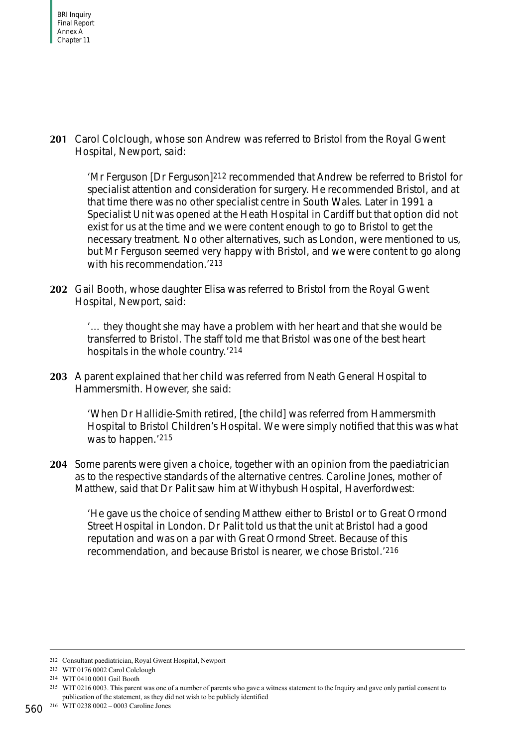**201** Carol Colclough, whose son Andrew was referred to Bristol from the Royal Gwent Hospital, Newport, said:

'Mr Ferguson [Dr Ferguson]212 recommended that Andrew be referred to Bristol for specialist attention and consideration for surgery. He recommended Bristol, and at that time there was no other specialist centre in South Wales. Later in 1991 a Specialist Unit was opened at the Heath Hospital in Cardiff but that option did not exist for us at the time and we were content enough to go to Bristol to get the necessary treatment. No other alternatives, such as London, were mentioned to us, but Mr Ferguson seemed very happy with Bristol, and we were content to go along with his recommendation.<sup>'213</sup>

**202** Gail Booth, whose daughter Elisa was referred to Bristol from the Royal Gwent Hospital, Newport, said:

'… they thought she may have a problem with her heart and that she would be transferred to Bristol. The staff told me that Bristol was one of the best heart hospitals in the whole country.'214

**203** A parent explained that her child was referred from Neath General Hospital to Hammersmith. However, she said:

'When Dr Hallidie-Smith retired, [the child] was referred from Hammersmith Hospital to Bristol Children's Hospital. We were simply notified that this was what was to happen.'215

**204** Some parents were given a choice, together with an opinion from the paediatrician as to the respective standards of the alternative centres. Caroline Jones, mother of Matthew, said that Dr Palit saw him at Withybush Hospital, Haverfordwest:

'He gave us the choice of sending Matthew either to Bristol or to Great Ormond Street Hospital in London. Dr Palit told us that the unit at Bristol had a good reputation and was on a par with Great Ormond Street. Because of this recommendation, and because Bristol is nearer, we chose Bristol.'216

<sup>212</sup> Consultant paediatrician, Royal Gwent Hospital, Newport

<sup>213</sup> WIT 0176 0002 Carol Colclough

<sup>214</sup> WIT 0410 0001 Gail Booth

<sup>215</sup> WIT 0216 0003. This parent was one of a number of parents who gave a witness statement to the Inquiry and gave only partial consent to publication of the statement, as they did not wish to be publicly identified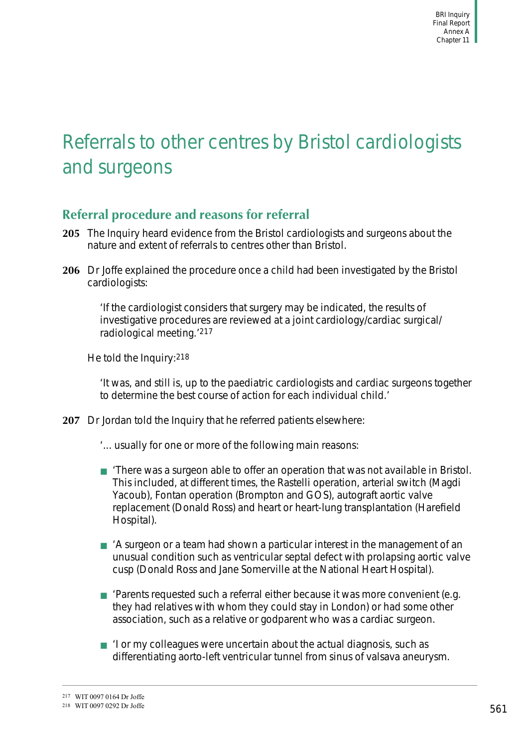# Referrals to other centres by Bristol cardiologists and surgeons

# **Referral procedure and reasons for referral**

- **205** The Inquiry heard evidence from the Bristol cardiologists and surgeons about the nature and extent of referrals to centres other than Bristol.
- **206** Dr Joffe explained the procedure once a child had been investigated by the Bristol cardiologists:

'If the cardiologist considers that surgery may be indicated, the results of investigative procedures are reviewed at a joint cardiology/cardiac surgical/ radiological meeting.'217

He told the Inquiry:218

'It was, and still is, up to the paediatric cardiologists and cardiac surgeons together to determine the best course of action for each individual child.'

- **207** Dr Jordan told the Inquiry that he referred patients elsewhere:
	- '... usually for one or more of the following main reasons:
	- 'There was a surgeon able to offer an operation that was not available in Bristol. This included, at different times, the Rastelli operation, arterial switch (Magdi Yacoub), Fontan operation (Brompton and GOS), autograft aortic valve replacement (Donald Ross) and heart or heart-lung transplantation (Harefield Hospital).
	- A surgeon or a team had shown a particular interest in the management of an unusual condition such as ventricular septal defect with prolapsing aortic valve cusp (Donald Ross and Jane Somerville at the National Heart Hospital).
	- 'Parents requested such a referral either because it was more convenient (e.g. they had relatives with whom they could stay in London) or had some other association, such as a relative or godparent who was a cardiac surgeon.
	- 'I or my colleagues were uncertain about the actual diagnosis, such as differentiating aorto-left ventricular tunnel from sinus of valsava aneurysm.

<sup>217</sup> WIT 0097 0164 Dr Joffe

<sup>218</sup> WIT 0097 0292 Dr Joffe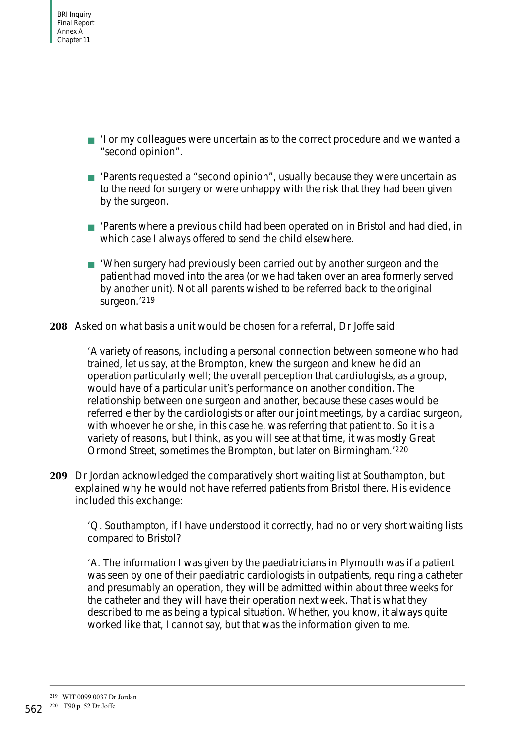- 'I or my colleagues were uncertain as to the correct procedure and we wanted a "second opinion".
- 'Parents requested a "second opinion", usually because they were uncertain as to the need for surgery or were unhappy with the risk that they had been given by the surgeon.
- 'Parents where a previous child had been operated on in Bristol and had died, in which case I always offered to send the child elsewhere.
- 'When surgery had previously been carried out by another surgeon and the patient had moved into the area (or we had taken over an area formerly served by another unit). Not all parents wished to be referred back to the original surgeon.'219
- **208** Asked on what basis a unit would be chosen for a referral, Dr Joffe said:

'A variety of reasons, including a personal connection between someone who had trained, let us say, at the Brompton, knew the surgeon and knew he did an operation particularly well; the overall perception that cardiologists, as a group, would have of a particular unit's performance on another condition. The relationship between one surgeon and another, because these cases would be referred either by the cardiologists or after our joint meetings, by a cardiac surgeon, with whoever he or she, in this case he, was referring that patient to. So it is a variety of reasons, but I think, as you will see at that time, it was mostly Great Ormond Street, sometimes the Brompton, but later on Birmingham.'220

**209** Dr Jordan acknowledged the comparatively short waiting list at Southampton, but explained why he would not have referred patients from Bristol there. His evidence included this exchange:

'Q. Southampton, if I have understood it correctly, had no or very short waiting lists compared to Bristol?

'A. The information I was given by the paediatricians in Plymouth was if a patient was seen by one of their paediatric cardiologists in outpatients, requiring a catheter and presumably an operation, they will be admitted within about three weeks for the catheter and they will have their operation next week. That is what they described to me as being a typical situation. Whether, you know, it always quite worked like that, I cannot say, but that was the information given to me.

<sup>219</sup> WIT 0099 0037 Dr Jordan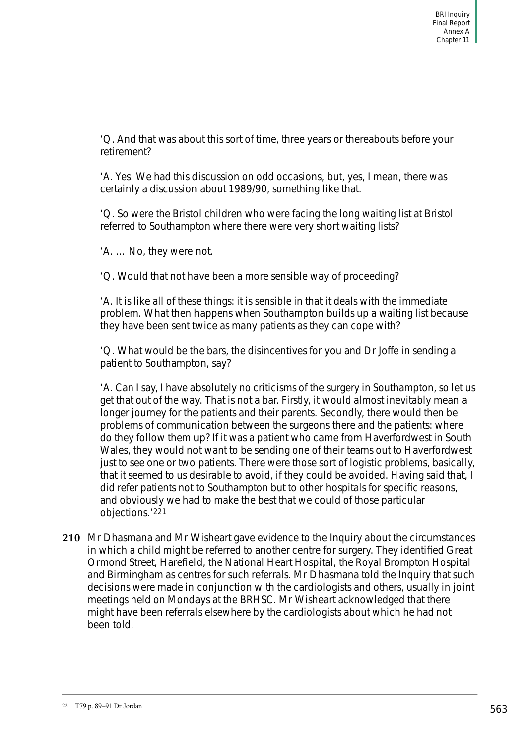'Q. And that was about this sort of time, three years or thereabouts before your retirement?

'A. Yes. We had this discussion on odd occasions, but, yes, I mean, there was certainly a discussion about 1989/90, something like that.

'Q. So were the Bristol children who were facing the long waiting list at Bristol referred to Southampton where there were very short waiting lists?

'A. … No, they were not.

'Q. Would that not have been a more sensible way of proceeding?

'A. It is like all of these things: it is sensible in that it deals with the immediate problem. What then happens when Southampton builds up a waiting list because they have been sent twice as many patients as they can cope with?

'Q. What would be the bars, the disincentives for you and Dr Joffe in sending a patient to Southampton, say?

'A. Can I say, I have absolutely no criticisms of the surgery in Southampton, so let us get that out of the way. That is not a bar. Firstly, it would almost inevitably mean a longer journey for the patients and their parents. Secondly, there would then be problems of communication between the surgeons there and the patients: where do they follow them up? If it was a patient who came from Haverfordwest in South Wales, they would not want to be sending one of their teams out to Haverfordwest just to see one or two patients. There were those sort of logistic problems, basically, that it seemed to us desirable to avoid, if they could be avoided. Having said that, I did refer patients not to Southampton but to other hospitals for specific reasons, and obviously we had to make the best that we could of those particular objections.'221

**210** Mr Dhasmana and Mr Wisheart gave evidence to the Inquiry about the circumstances in which a child might be referred to another centre for surgery. They identified Great Ormond Street, Harefield, the National Heart Hospital, the Royal Brompton Hospital and Birmingham as centres for such referrals. Mr Dhasmana told the Inquiry that such decisions were made in conjunction with the cardiologists and others, usually in joint meetings held on Mondays at the BRHSC. Mr Wisheart acknowledged that there might have been referrals elsewhere by the cardiologists about which he had not been told.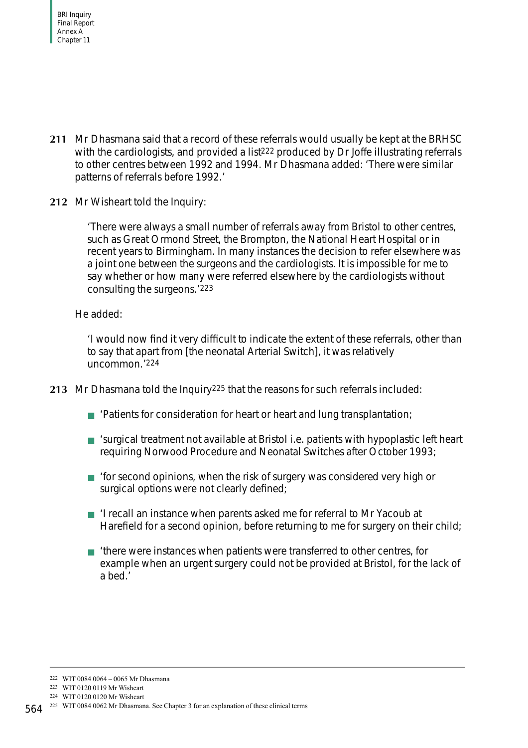- **211** Mr Dhasmana said that a record of these referrals would usually be kept at the BRHSC with the cardiologists, and provided a list<sup>222</sup> produced by Dr Joffe illustrating referrals to other centres between 1992 and 1994. Mr Dhasmana added: 'There were similar patterns of referrals before 1992.'
- **212** Mr Wisheart told the Inquiry:

'There were always a small number of referrals away from Bristol to other centres, such as Great Ormond Street, the Brompton, the National Heart Hospital or in recent years to Birmingham. In many instances the decision to refer elsewhere was a joint one between the surgeons and the cardiologists. It is impossible for me to say whether or how many were referred elsewhere by the cardiologists without consulting the surgeons.'223

#### He added:

'I would now find it very difficult to indicate the extent of these referrals, other than to say that apart from [the neonatal Arterial Switch], it was relatively uncommon.'224

- **213** Mr Dhasmana told the Inquiry225 that the reasons for such referrals included:
	- 'Patients for consideration for heart or heart and lung transplantation;
	- 'surgical treatment not available at Bristol i.e. patients with hypoplastic left heart requiring Norwood Procedure and Neonatal Switches after October 1993;
	- 'for second opinions, when the risk of surgery was considered very high or surgical options were not clearly defined;
	- 'I recall an instance when parents asked me for referral to Mr Yacoub at Harefield for a second opinion, before returning to me for surgery on their child;
	- 'there were instances when patients were transferred to other centres, for example when an urgent surgery could not be provided at Bristol, for the lack of a bed.'

<sup>222</sup> WIT 0084 0064 – 0065 Mr Dhasmana

<sup>223</sup> WIT 0120 0119 Mr Wisheart

<sup>224</sup> WIT 0120 0120 Mr Wisheart

<sup>564&</sup>lt;sup>225</sup> WIT 0084 0062 Mr Dhasmana. See Chapter 3 for an explanation of these clinical terms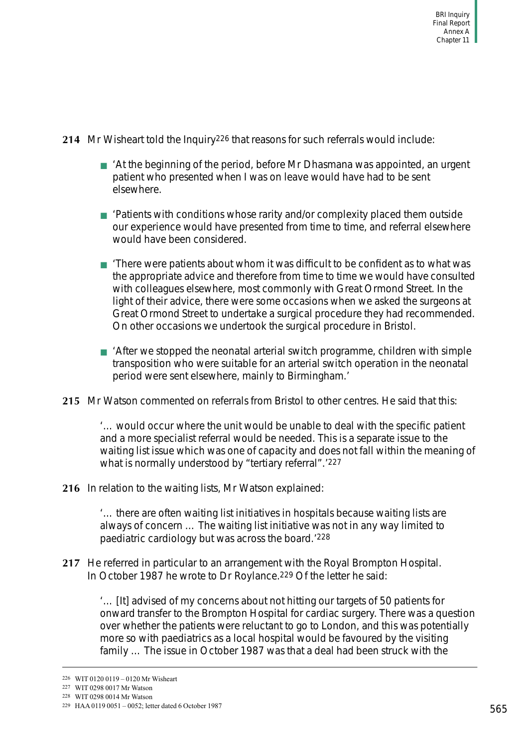- **214** Mr Wisheart told the Inquiry226 that reasons for such referrals would include:
	- At the beginning of the period, before Mr Dhasmana was appointed, an urgent patient who presented when I was on leave would have had to be sent elsewhere.
	- 'Patients with conditions whose rarity and/or complexity placed them outside our experience would have presented from time to time, and referral elsewhere would have been considered.
	- 'There were patients about whom it was difficult to be confident as to what was the appropriate advice and therefore from time to time we would have consulted with colleagues elsewhere, most commonly with Great Ormond Street. In the light of their advice, there were some occasions when we asked the surgeons at Great Ormond Street to undertake a surgical procedure they had recommended. On other occasions we undertook the surgical procedure in Bristol.
	- After we stopped the neonatal arterial switch programme, children with simple transposition who were suitable for an arterial switch operation in the neonatal period were sent elsewhere, mainly to Birmingham.'
- **215** Mr Watson commented on referrals from Bristol to other centres. He said that this:

'… would occur where the unit would be unable to deal with the specific patient and a more specialist referral would be needed. This is a separate issue to the waiting list issue which was one of capacity and does not fall within the meaning of what is normally understood by "tertiary referral".'227

**216** In relation to the waiting lists, Mr Watson explained:

'… there are often waiting list initiatives in hospitals because waiting lists are always of concern … The waiting list initiative was not in any way limited to paediatric cardiology but was across the board.'228

**217** He referred in particular to an arrangement with the Royal Brompton Hospital. In October 1987 he wrote to Dr Roylance.<sup>229</sup> Of the letter he said:

'… [It] advised of my concerns about not hitting our targets of 50 patients for onward transfer to the Brompton Hospital for cardiac surgery. There was a question over whether the patients were reluctant to go to London, and this was potentially more so with paediatrics as a local hospital would be favoured by the visiting family … The issue in October 1987 was that a deal had been struck with the

<sup>226</sup> WIT 0120 0119 – 0120 Mr Wisheart

<sup>227</sup> WIT 0298 0017 Mr Watson

<sup>228</sup> WIT 0298 0014 Mr Watson

<sup>229</sup> HAA 0119 0051 – 0052; letter dated 6 October 1987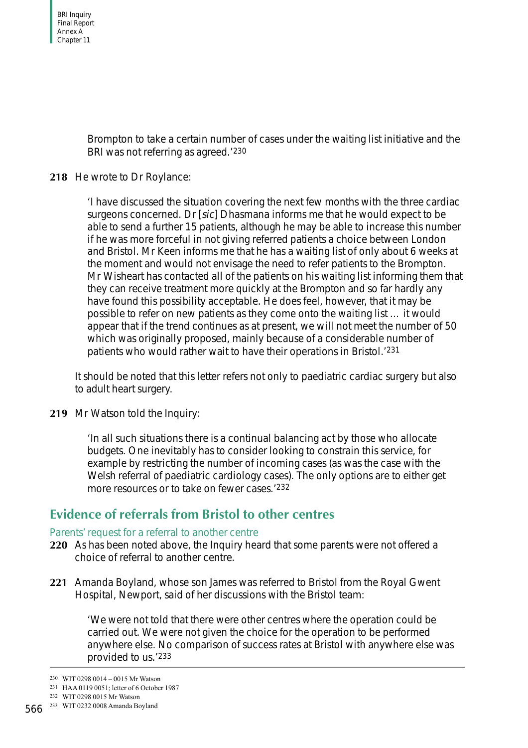Brompton to take a certain number of cases under the waiting list initiative and the BRI was not referring as agreed.'230

## **218** He wrote to Dr Roylance:

'I have discussed the situation covering the next few months with the three cardiac surgeons concerned. Dr [sic] Dhasmana informs me that he would expect to be able to send a further 15 patients, although he may be able to increase this number if he was more forceful in not giving referred patients a choice between London and Bristol. Mr Keen informs me that he has a waiting list of only about 6 weeks at the moment and would not envisage the need to refer patients to the Brompton. Mr Wisheart has contacted all of the patients on his waiting list informing them that they can receive treatment more quickly at the Brompton and so far hardly any have found this possibility acceptable. He does feel, however, that it may be possible to refer on new patients as they come onto the waiting list … it would appear that if the trend continues as at present, we will not meet the number of 50 which was originally proposed, mainly because of a considerable number of patients who would rather wait to have their operations in Bristol.'231

It should be noted that this letter refers not only to paediatric cardiac surgery but also to adult heart surgery.

**219** Mr Watson told the Inquiry:

'In all such situations there is a continual balancing act by those who allocate budgets. One inevitably has to consider looking to constrain this service, for example by restricting the number of incoming cases (as was the case with the Welsh referral of paediatric cardiology cases). The only options are to either get more resources or to take on fewer cases.'232

# **Evidence of referrals from Bristol to other centres**

#### Parents' request for a referral to another centre

- **220** As has been noted above, the Inquiry heard that some parents were not offered a choice of referral to another centre.
- **221** Amanda Boyland, whose son James was referred to Bristol from the Royal Gwent Hospital, Newport, said of her discussions with the Bristol team:

'We were not told that there were other centres where the operation could be carried out. We were not given the choice for the operation to be performed anywhere else. No comparison of success rates at Bristol with anywhere else was provided to us.'233

<sup>230</sup> WIT 0298 0014 – 0015 Mr Watson

<sup>231</sup> HAA 0119 0051; letter of 6 October 1987

<sup>232</sup> WIT 0298 0015 Mr Watson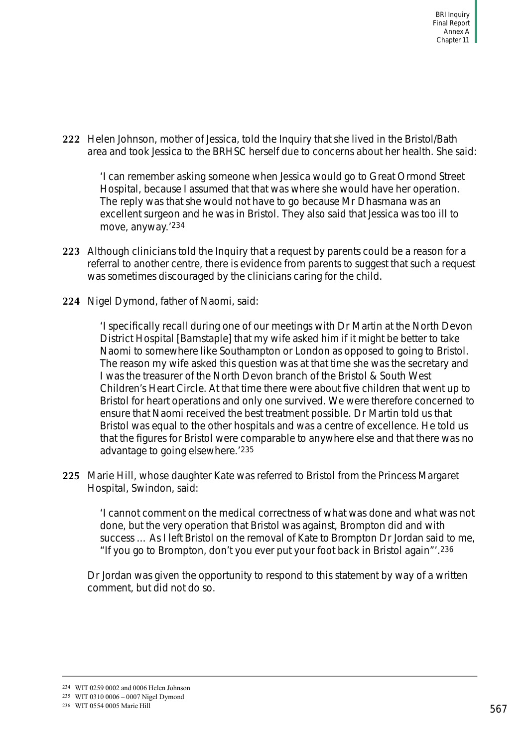**222** Helen Johnson, mother of Jessica, told the Inquiry that she lived in the Bristol/Bath area and took Jessica to the BRHSC herself due to concerns about her health. She said:

'I can remember asking someone when Jessica would go to Great Ormond Street Hospital, because I assumed that that was where she would have her operation. The reply was that she would not have to go because Mr Dhasmana was an excellent surgeon and he was in Bristol. They also said that Jessica was too ill to move, anyway.'234

- **223** Although clinicians told the Inquiry that a request by parents could be a reason for a referral to another centre, there is evidence from parents to suggest that such a request was sometimes discouraged by the clinicians caring for the child.
- **224** Nigel Dymond, father of Naomi, said:

'I specifically recall during one of our meetings with Dr Martin at the North Devon District Hospital [Barnstaple] that my wife asked him if it might be better to take Naomi to somewhere like Southampton or London as opposed to going to Bristol. The reason my wife asked this question was at that time she was the secretary and I was the treasurer of the North Devon branch of the Bristol & South West Children's Heart Circle. At that time there were about five children that went up to Bristol for heart operations and only one survived. We were therefore concerned to ensure that Naomi received the best treatment possible. Dr Martin told us that Bristol was equal to the other hospitals and was a centre of excellence. He told us that the figures for Bristol were comparable to anywhere else and that there was no advantage to going elsewhere.'235

**225** Marie Hill, whose daughter Kate was referred to Bristol from the Princess Margaret Hospital, Swindon, said:

'I cannot comment on the medical correctness of what was done and what was not done, but the very operation that Bristol was against, Brompton did and with success … As I left Bristol on the removal of Kate to Brompton Dr Jordan said to me, "If you go to Brompton, don't you ever put your foot back in Bristol again"'.236

Dr Jordan was given the opportunity to respond to this statement by way of a written comment, but did not do so.

<sup>234</sup> WIT 0259 0002 and 0006 Helen Johnson

<sup>235</sup> WIT 0310 0006 – 0007 Nigel Dymond

<sup>236</sup> WIT 0554 0005 Marie Hill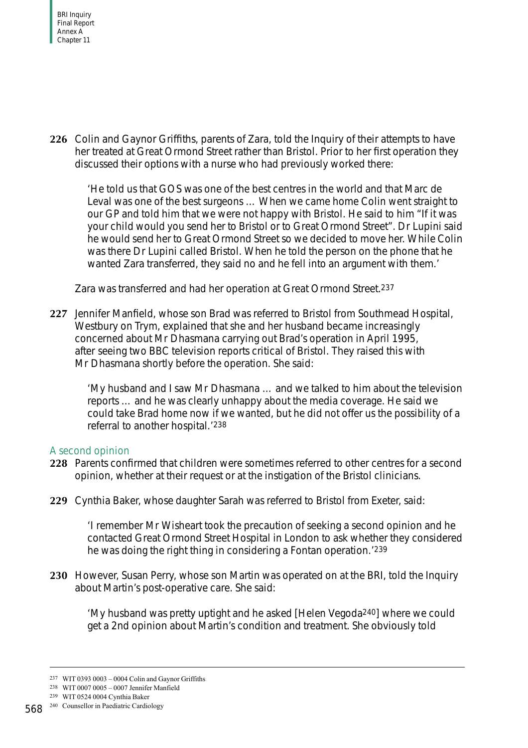

**226** Colin and Gaynor Griffiths, parents of Zara, told the Inquiry of their attempts to have her treated at Great Ormond Street rather than Bristol. Prior to her first operation they discussed their options with a nurse who had previously worked there:

'He told us that GOS was one of the best centres in the world and that Marc de Leval was one of the best surgeons … When we came home Colin went straight to our GP and told him that we were not happy with Bristol. He said to him "If it was your child would you send her to Bristol or to Great Ormond Street". Dr Lupini said he would send her to Great Ormond Street so we decided to move her. While Colin was there Dr Lupini called Bristol. When he told the person on the phone that he wanted Zara transferred, they said no and he fell into an argument with them.'

Zara was transferred and had her operation at Great Ormond Street.237

**227** Jennifer Manfield, whose son Brad was referred to Bristol from Southmead Hospital, Westbury on Trym, explained that she and her husband became increasingly concerned about Mr Dhasmana carrying out Brad's operation in April 1995, after seeing two BBC television reports critical of Bristol. They raised this with Mr Dhasmana shortly before the operation. She said:

'My husband and I saw Mr Dhasmana … and we talked to him about the television reports … and he was clearly unhappy about the media coverage. He said we could take Brad home now if we wanted, but he did not offer us the possibility of a referral to another hospital.'238

# A second opinion

- **228** Parents confirmed that children were sometimes referred to other centres for a second opinion, whether at their request or at the instigation of the Bristol clinicians.
- **229** Cynthia Baker, whose daughter Sarah was referred to Bristol from Exeter, said:

'I remember Mr Wisheart took the precaution of seeking a second opinion and he contacted Great Ormond Street Hospital in London to ask whether they considered he was doing the right thing in considering a Fontan operation.'239

**230** However, Susan Perry, whose son Martin was operated on at the BRI, told the Inquiry about Martin's post-operative care. She said:

'My husband was pretty uptight and he asked [Helen Vegoda240] where we could get a 2nd opinion about Martin's condition and treatment. She obviously told

<sup>237</sup> WIT 0393 0003 – 0004 Colin and Gaynor Griffiths

<sup>238</sup> WIT 0007 0005 – 0007 Jennifer Manfield

<sup>239</sup> WIT 0524 0004 Cynthia Baker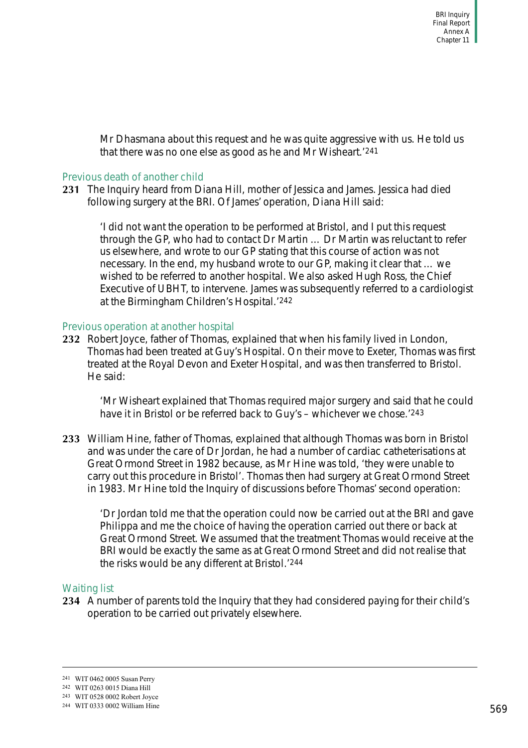Mr Dhasmana about this request and he was quite aggressive with us. He told us that there was no one else as good as he and Mr Wisheart.'241

#### Previous death of another child

**231** The Inquiry heard from Diana Hill, mother of Jessica and James. Jessica had died following surgery at the BRI. Of James' operation, Diana Hill said:

'I did not want the operation to be performed at Bristol, and I put this request through the GP, who had to contact Dr Martin … Dr Martin was reluctant to refer us elsewhere, and wrote to our GP stating that this course of action was not necessary. In the end, my husband wrote to our GP, making it clear that … we wished to be referred to another hospital. We also asked Hugh Ross, the Chief Executive of UBHT, to intervene. James was subsequently referred to a cardiologist at the Birmingham Children's Hospital.'242

#### Previous operation at another hospital

**232** Robert Joyce, father of Thomas, explained that when his family lived in London, Thomas had been treated at Guy's Hospital. On their move to Exeter, Thomas was first treated at the Royal Devon and Exeter Hospital, and was then transferred to Bristol. He said:

'Mr Wisheart explained that Thomas required major surgery and said that he could have it in Bristol or be referred back to Guy's – whichever we chose.'243

**233** William Hine, father of Thomas, explained that although Thomas was born in Bristol and was under the care of Dr Jordan, he had a number of cardiac catheterisations at Great Ormond Street in 1982 because, as Mr Hine was told, 'they were unable to carry out this procedure in Bristol'. Thomas then had surgery at Great Ormond Street in 1983. Mr Hine told the Inquiry of discussions before Thomas' second operation:

'Dr Jordan told me that the operation could now be carried out at the BRI and gave Philippa and me the choice of having the operation carried out there or back at Great Ormond Street. We assumed that the treatment Thomas would receive at the BRI would be exactly the same as at Great Ormond Street and did not realise that the risks would be any different at Bristol.'244

# Waiting list

**234** A number of parents told the Inquiry that they had considered paying for their child's operation to be carried out privately elsewhere.

<sup>241</sup> WIT 0462 0005 Susan Perry

<sup>242</sup> WIT 0263 0015 Diana Hill

<sup>243</sup> WIT 0528 0002 Robert Joyce

<sup>244</sup> WIT 0333 0002 William Hine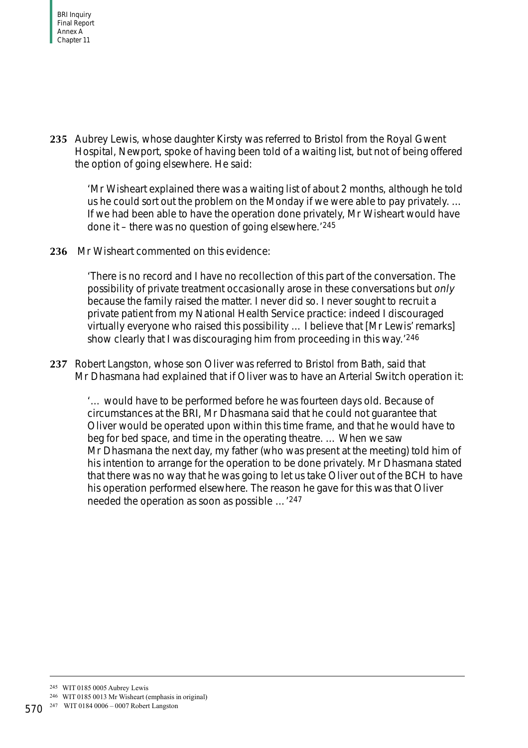**235** Aubrey Lewis, whose daughter Kirsty was referred to Bristol from the Royal Gwent Hospital, Newport, spoke of having been told of a waiting list, but not of being offered the option of going elsewhere. He said:

'Mr Wisheart explained there was a waiting list of about 2 months, although he told us he could sort out the problem on the Monday if we were able to pay privately. … If we had been able to have the operation done privately, Mr Wisheart would have done it – there was no question of going elsewhere.'245

**236** Mr Wisheart commented on this evidence:

'There is no record and I have no recollection of this part of the conversation. The possibility of private treatment occasionally arose in these conversations but only because the family raised the matter. I never did so. I never sought to recruit a private patient from my National Health Service practice: indeed I discouraged virtually everyone who raised this possibility … I believe that [Mr Lewis' remarks] show clearly that I was discouraging him from proceeding in this way.'246

**237** Robert Langston, whose son Oliver was referred to Bristol from Bath, said that Mr Dhasmana had explained that if Oliver was to have an Arterial Switch operation it:

'… would have to be performed before he was fourteen days old. Because of circumstances at the BRI, Mr Dhasmana said that he could not guarantee that Oliver would be operated upon within this time frame, and that he would have to beg for bed space, and time in the operating theatre. … When we saw Mr Dhasmana the next day, my father (who was present at the meeting) told him of his intention to arrange for the operation to be done privately. Mr Dhasmana stated that there was no way that he was going to let us take Oliver out of the BCH to have his operation performed elsewhere. The reason he gave for this was that Oliver needed the operation as soon as possible …'247

246 WIT 0185 0013 Mr Wisheart (emphasis in original)

<sup>245</sup> WIT 0185 0005 Aubrey Lewis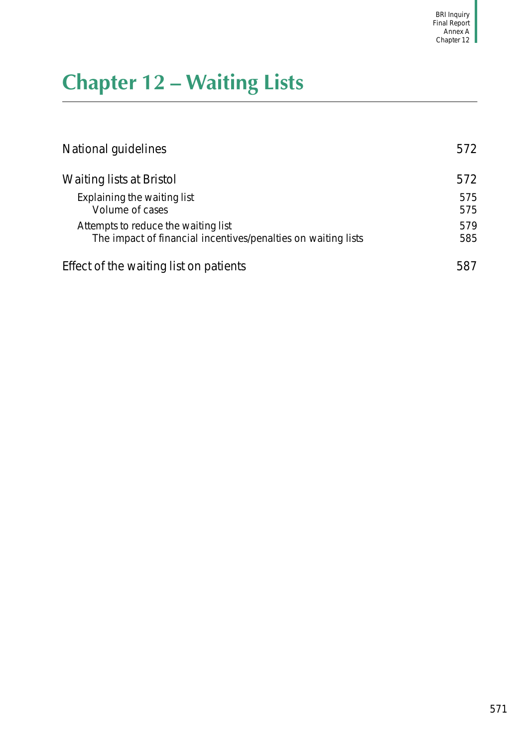# **Chapter 12 – Waiting Lists**

| National guidelines                                                                                  | 572        |
|------------------------------------------------------------------------------------------------------|------------|
| Waiting lists at Bristol                                                                             | 572        |
| Explaining the waiting list<br>Volume of cases                                                       | 575<br>575 |
| Attempts to reduce the waiting list<br>The impact of financial incentives/penalties on waiting lists | 579<br>585 |
| Effect of the waiting list on patients                                                               | 587        |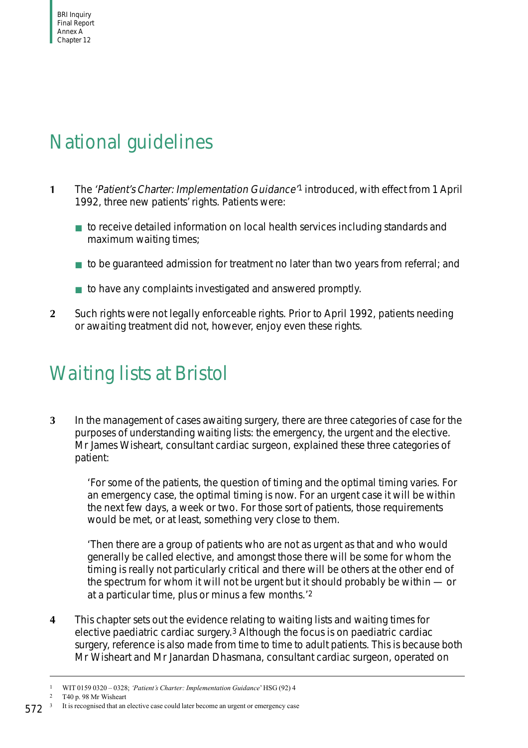

# <span id="page-77-0"></span>National guidelines

- **1** The 'Patient's Charter: Implementation Guidance'1 introduced, with effect from 1 April 1992, three new patients' rights. Patients were:
	- to receive detailed information on local health services including standards and maximum waiting times;
	- to be quaranteed admission for treatment no later than two years from referral; and
	- to have any complaints investigated and answered promptly.
- **2** Such rights were not legally enforceable rights. Prior to April 1992, patients needing or awaiting treatment did not, however, enjoy even these rights.

# <span id="page-77-1"></span>Waiting lists at Bristol

**3** In the management of cases awaiting surgery, there are three categories of case for the purposes of understanding waiting lists: the emergency, the urgent and the elective. Mr James Wisheart, consultant cardiac surgeon, explained these three categories of patient:

'For some of the patients, the question of timing and the optimal timing varies. For an emergency case, the optimal timing is now. For an urgent case it will be within the next few days, a week or two. For those sort of patients, those requirements would be met, or at least, something very close to them.

'Then there are a group of patients who are not as urgent as that and who would generally be called elective, and amongst those there will be some for whom the timing is really not particularly critical and there will be others at the other end of the spectrum for whom it will not be urgent but it should probably be within — or at a particular time, plus or minus a few months.'2

**4** This chapter sets out the evidence relating to waiting lists and waiting times for elective paediatric cardiac surgery.3 Although the focus is on paediatric cardiac surgery, reference is also made from time to time to adult patients. This is because both Mr Wisheart and Mr Janardan Dhasmana, consultant cardiac surgeon, operated on

2 T40 p. 98 Mr Wisheart

<sup>1</sup> WIT 0159 0320 – 0328; *'Patient's Charter: Implementation Guidance*' HSG (92) 4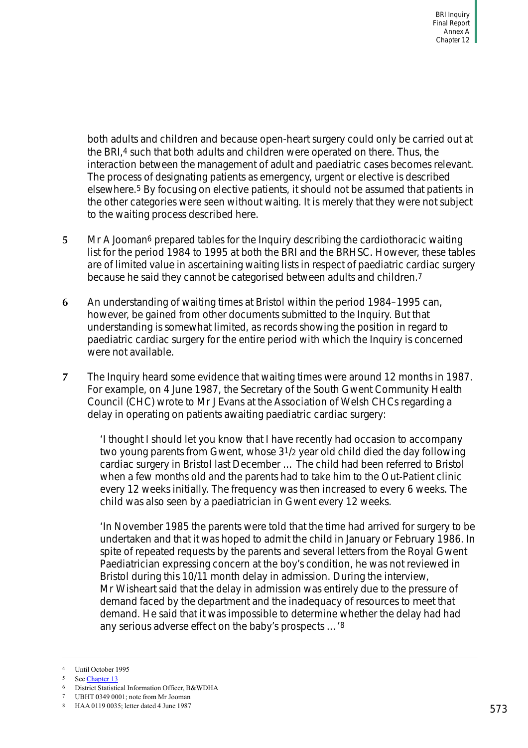both adults and children and because open-heart surgery could only be carried out at the BRI,<sup>4</sup> such that both adults and children were operated on there. Thus, the interaction between the management of adult and paediatric cases becomes relevant. The process of designating patients as emergency, urgent or elective is described elsewhere.5 By focusing on elective patients, it should not be assumed that patients in the other categories were seen without waiting. It is merely that they were not subject to the waiting process described here.

- **5** Mr A Jooman<sup>6</sup> prepared tables for the Inquiry describing the cardiothoracic waiting list for the period 1984 to 1995 at both the BRI and the BRHSC. However, these tables are of limited value in ascertaining waiting lists in respect of paediatric cardiac surgery because he said they cannot be categorised between adults and children.7
- **6** An understanding of waiting times at Bristol within the period 1984–1995 can, however, be gained from other documents submitted to the Inquiry. But that understanding is somewhat limited, as records showing the position in regard to paediatric cardiac surgery for the entire period with which the Inquiry is concerned were not available.
- **7** The Inquiry heard some evidence that waiting times were around 12 months in 1987. For example, on 4 June 1987, the Secretary of the South Gwent Community Health Council (CHC) wrote to Mr J Evans at the Association of Welsh CHCs regarding a delay in operating on patients awaiting paediatric cardiac surgery:

'I thought I should let you know that I have recently had occasion to accompany two young parents from Gwent, whose 31/2 year old child died the day following cardiac surgery in Bristol last December … The child had been referred to Bristol when a few months old and the parents had to take him to the Out-Patient clinic every 12 weeks initially. The frequency was then increased to every 6 weeks. The child was also seen by a paediatrician in Gwent every 12 weeks.

'In November 1985 the parents were told that the time had arrived for surgery to be undertaken and that it was hoped to admit the child in January or February 1986. In spite of repeated requests by the parents and several letters from the Royal Gwent Paediatrician expressing concern at the boy's condition, he was not reviewed in Bristol during this 10/11 month delay in admission. During the interview, Mr Wisheart said that the delay in admission was entirely due to the pressure of demand faced by the department and the inadequacy of resources to meet that demand. He said that it was impossible to determine whether the delay had had any serious adverse effect on the baby's prospects …'8

<sup>4</sup> Until October 1995

<sup>5</sup> See Chapter 13

<sup>6</sup> District Statistical Information Officer, B&WDHA

<sup>7</sup> UBHT 0349 0001; note from Mr Jooman

<sup>8</sup> HAA 0119 0035; letter dated 4 June 1987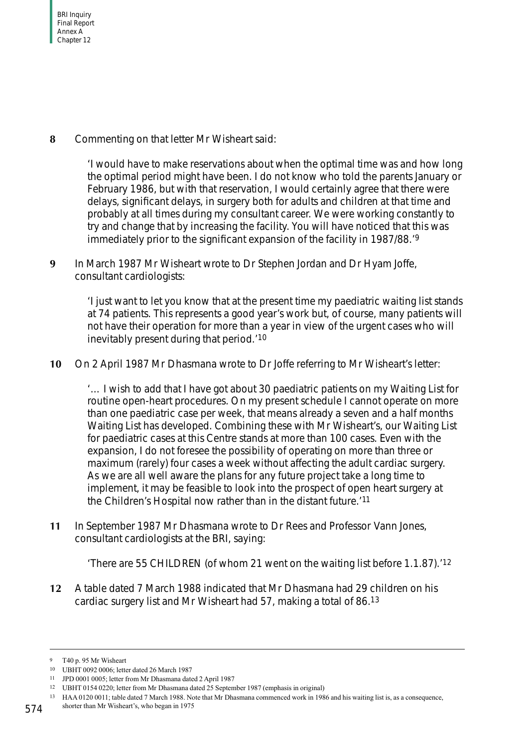**8** Commenting on that letter Mr Wisheart said:

'I would have to make reservations about when the optimal time was and how long the optimal period might have been. I do not know who told the parents January or February 1986, but with that reservation, I would certainly agree that there were delays, significant delays, in surgery both for adults and children at that time and probably at all times during my consultant career. We were working constantly to try and change that by increasing the facility. You will have noticed that this was immediately prior to the significant expansion of the facility in 1987/88.'9

**9** In March 1987 Mr Wisheart wrote to Dr Stephen Jordan and Dr Hyam Joffe, consultant cardiologists:

> 'I just want to let you know that at the present time my paediatric waiting list stands at 74 patients. This represents a good year's work but, of course, many patients will not have their operation for more than a year in view of the urgent cases who will inevitably present during that period.'10

**10** On 2 April 1987 Mr Dhasmana wrote to Dr Joffe referring to Mr Wisheart's letter:

'… I wish to add that I have got about 30 paediatric patients on my Waiting List for routine open-heart procedures. On my present schedule I cannot operate on more than one paediatric case per week, that means already a seven and a half months Waiting List has developed. Combining these with Mr Wisheart's, our Waiting List for paediatric cases at this Centre stands at more than 100 cases. Even with the expansion, I do not foresee the possibility of operating on more than three or maximum (rarely) four cases a week without affecting the adult cardiac surgery. As we are all well aware the plans for any future project take a long time to implement, it may be feasible to look into the prospect of open heart surgery at the Children's Hospital now rather than in the distant future.'11

**11** In September 1987 Mr Dhasmana wrote to Dr Rees and Professor Vann Jones, consultant cardiologists at the BRI, saying:

'There are 55 CHILDREN (of whom 21 went on the waiting list before 1.1.87).'12

**12** A table dated 7 March 1988 indicated that Mr Dhasmana had 29 children on his cardiac surgery list and Mr Wisheart had 57, making a total of 86.13

<sup>9</sup> T40 p. 95 Mr Wisheart

<sup>10</sup> UBHT 0092 0006; letter dated 26 March 1987

<sup>11</sup> JPD 0001 0005; letter from Mr Dhasmana dated 2 April 1987

<sup>12</sup> UBHT 0154 0220; letter from Mr Dhasmana dated 25 September 1987 (emphasis in original)

<sup>13</sup> HAA 0120 0011; table dated 7 March 1988. Note that Mr Dhasmana commenced work in 1986 and his waiting list is, as a consequence,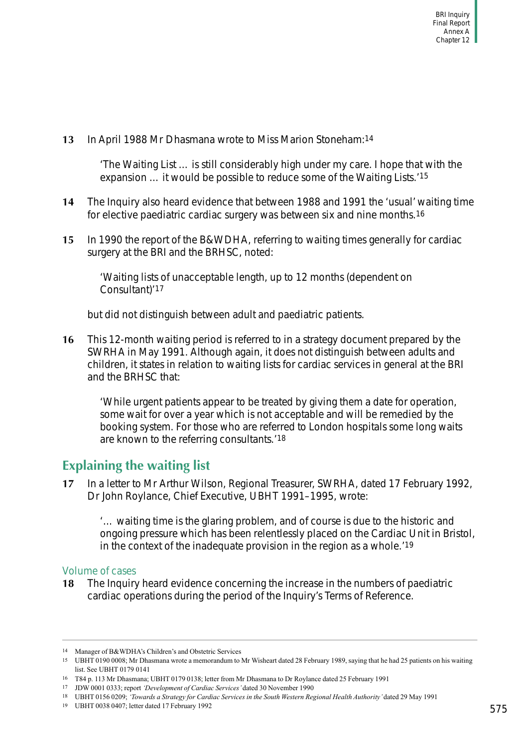**13** In April 1988 Mr Dhasmana wrote to Miss Marion Stoneham:14

'The Waiting List … is still considerably high under my care. I hope that with the expansion … it would be possible to reduce some of the Waiting Lists.'15

- **14** The Inquiry also heard evidence that between 1988 and 1991 the 'usual' waiting time for elective paediatric cardiac surgery was between six and nine months.16
- **15** In 1990 the report of the B&WDHA, referring to waiting times generally for cardiac surgery at the BRI and the BRHSC, noted:

'Waiting lists of unacceptable length, up to 12 months (dependent on Consultant)'17

but did not distinguish between adult and paediatric patients.

**16** This 12-month waiting period is referred to in a strategy document prepared by the SWRHA in May 1991. Although again, it does not distinguish between adults and children, it states in relation to waiting lists for cardiac services in general at the BRI and the BRHSC that:

'While urgent patients appear to be treated by giving them a date for operation, some wait for over a year which is not acceptable and will be remedied by the booking system. For those who are referred to London hospitals some long waits are known to the referring consultants.'18

# **Explaining the waiting list**

**17** In a letter to Mr Arthur Wilson, Regional Treasurer, SWRHA, dated 17 February 1992, Dr John Roylance, Chief Executive, UBHT 1991–1995, wrote:

'… waiting time is the glaring problem, and of course is due to the historic and ongoing pressure which has been relentlessly placed on the Cardiac Unit in Bristol, in the context of the inadequate provision in the region as a whole.'19

# Volume of cases

**18** The Inquiry heard evidence concerning the increase in the numbers of paediatric cardiac operations during the period of the Inquiry's Terms of Reference.

<sup>14</sup> Manager of B&WDHA's Children's and Obstetric Services

<sup>15</sup> UBHT 0190 0008; Mr Dhasmana wrote a memorandum to Mr Wisheart dated 28 February 1989, saying that he had 25 patients on his waiting list. See UBHT 0179 0141

<sup>16</sup> T84 p. 113 Mr Dhasmana; UBHT 0179 0138; letter from Mr Dhasmana to Dr Roylance dated 25 February 1991

<sup>17</sup> JDW 0001 0333; report *'Development of Cardiac Services'* dated 30 November 1990

<sup>18</sup> UBHT 0156 0209; *'Towards a Strategy for Cardiac Services in the South Western Regional Health Authority'* dated 29 May 1991

<sup>19</sup> UBHT 0038 0407; letter dated 17 February 1992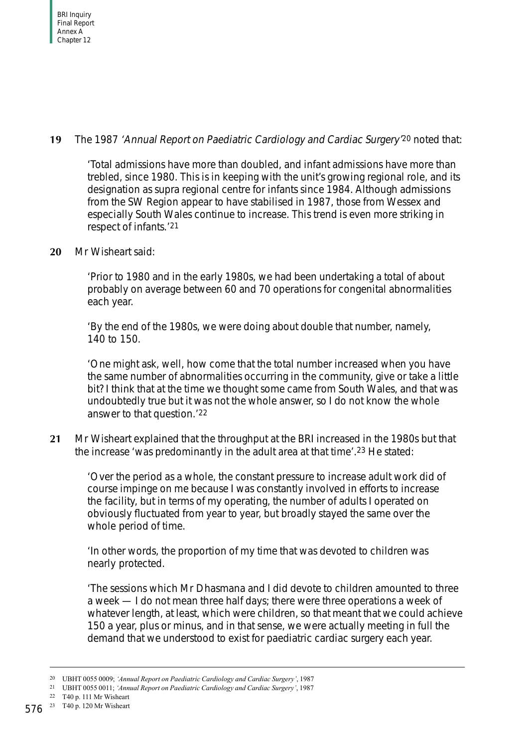# **19** The 1987 'Annual Report on Paediatric Cardiology and Cardiac Surgery'20 noted that:

'Total admissions have more than doubled, and infant admissions have more than trebled, since 1980. This is in keeping with the unit's growing regional role, and its designation as supra regional centre for infants since 1984. Although admissions from the SW Region appear to have stabilised in 1987, those from Wessex and especially South Wales continue to increase. This trend is even more striking in respect of infants.'21

# **20** Mr Wisheart said:

'Prior to 1980 and in the early 1980s, we had been undertaking a total of about probably on average between 60 and 70 operations for congenital abnormalities each year.

'By the end of the 1980s, we were doing about double that number, namely, 140 to 150.

'One might ask, well, how come that the total number increased when you have the same number of abnormalities occurring in the community, give or take a little bit? I think that at the time we thought some came from South Wales, and that was undoubtedly true but it was not the whole answer, so I do not know the whole answer to that question.'22

**21** Mr Wisheart explained that the throughput at the BRI increased in the 1980s but that the increase 'was predominantly in the adult area at that time'.23 He stated:

'Over the period as a whole, the constant pressure to increase adult work did of course impinge on me because I was constantly involved in efforts to increase the facility, but in terms of my operating, the number of adults I operated on obviously fluctuated from year to year, but broadly stayed the same over the whole period of time.

'In other words, the proportion of my time that was devoted to children was nearly protected.

'The sessions which Mr Dhasmana and I did devote to children amounted to three a week — I do not mean three half days; there were three operations a week of whatever length, at least, which were children, so that meant that we could achieve 150 a year, plus or minus, and in that sense, we were actually meeting in full the demand that we understood to exist for paediatric cardiac surgery each year.

<sup>20</sup> UBHT 0055 0009; *'Annual Report on Paediatric Cardiology and Cardiac Surgery'*, 1987

<sup>21</sup> UBHT 0055 0011; *'Annual Report on Paediatric Cardiology and Cardiac Surgery'*, 1987

<sup>22</sup> T40 p. 111 Mr Wisheart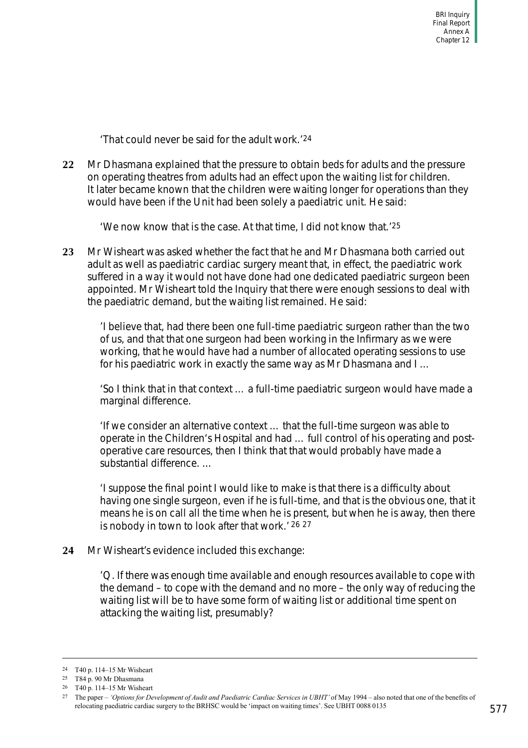'That could never be said for the adult work.'24

**22** Mr Dhasmana explained that the pressure to obtain beds for adults and the pressure on operating theatres from adults had an effect upon the waiting list for children. It later became known that the children were waiting longer for operations than they would have been if the Unit had been solely a paediatric unit. He said:

'We now know that is the case. At that time, I did not know that.'25

**23** Mr Wisheart was asked whether the fact that he and Mr Dhasmana both carried out adult as well as paediatric cardiac surgery meant that, in effect, the paediatric work suffered in a way it would not have done had one dedicated paediatric surgeon been appointed. Mr Wisheart told the Inquiry that there were enough sessions to deal with the paediatric demand, but the waiting list remained. He said:

'I believe that, had there been one full-time paediatric surgeon rather than the two of us, and that that one surgeon had been working in the Infirmary as we were working, that he would have had a number of allocated operating sessions to use for his paediatric work in exactly the same way as Mr Dhasmana and I …

'So I think that in that context … a full-time paediatric surgeon would have made a marginal difference.

'If we consider an alternative context … that the full-time surgeon was able to operate in the Children's Hospital and had … full control of his operating and postoperative care resources, then I think that that would probably have made a substantial difference

'I suppose the final point I would like to make is that there is a difficulty about having one single surgeon, even if he is full-time, and that is the obvious one, that it means he is on call all the time when he is present, but when he is away, then there is nobody in town to look after that work.' 26 27

**24** Mr Wisheart's evidence included this exchange:

'Q. If there was enough time available and enough resources available to cope with the demand – to cope with the demand and no more – the only way of reducing the waiting list will be to have some form of waiting list or additional time spent on attacking the waiting list, presumably?

<sup>24</sup> T40 p. 114–15 Mr Wisheart

<sup>25</sup> T84 p. 90 Mr Dhasmana

<sup>26</sup> T40 p. 114–15 Mr Wisheart

<sup>27</sup> The paper – *'Options for Development of Audit and Paediatric Cardiac Services in UBHT'* of May 1994 – also noted that one of the benefits of relocating paediatric cardiac surgery to the BRHSC would be 'impact on waiting times'. See UBHT 0088 0135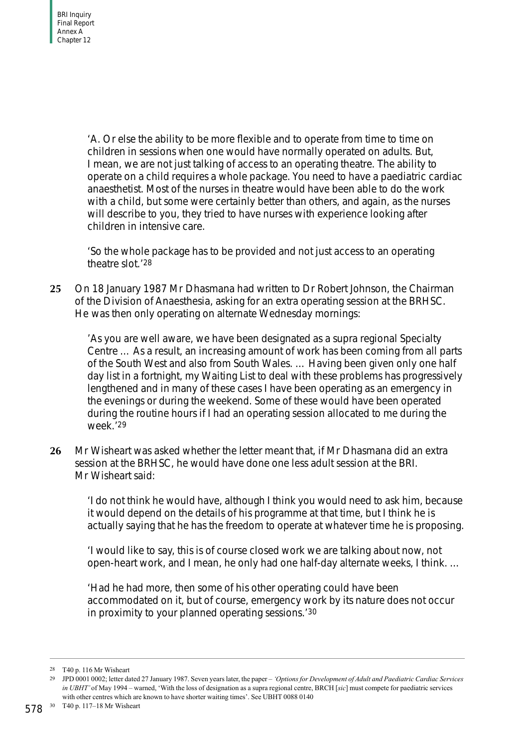'A. Or else the ability to be more flexible and to operate from time to time on children in sessions when one would have normally operated on adults. But, I mean, we are not just talking of access to an operating theatre. The ability to operate on a child requires a whole package. You need to have a paediatric cardiac anaesthetist. Most of the nurses in theatre would have been able to do the work with a child, but some were certainly better than others, and again, as the nurses will describe to you, they tried to have nurses with experience looking after children in intensive care.

'So the whole package has to be provided and not just access to an operating theatre slot.'28

**25** On 18 January 1987 Mr Dhasmana had written to Dr Robert Johnson, the Chairman of the Division of Anaesthesia, asking for an extra operating session at the BRHSC. He was then only operating on alternate Wednesday mornings:

'As you are well aware, we have been designated as a supra regional Specialty Centre … As a result, an increasing amount of work has been coming from all parts of the South West and also from South Wales. … Having been given only one half day list in a fortnight, my Waiting List to deal with these problems has progressively lengthened and in many of these cases I have been operating as an emergency in the evenings or during the weekend. Some of these would have been operated during the routine hours if I had an operating session allocated to me during the week.'29

**26** Mr Wisheart was asked whether the letter meant that, if Mr Dhasmana did an extra session at the BRHSC, he would have done one less adult session at the BRI. Mr Wisheart said:

'I do not think he would have, although I think you would need to ask him, because it would depend on the details of his programme at that time, but I think he is actually saying that he has the freedom to operate at whatever time he is proposing.

'I would like to say, this is of course closed work we are talking about now, not open-heart work, and I mean, he only had one half-day alternate weeks, I think. …

'Had he had more, then some of his other operating could have been accommodated on it, but of course, emergency work by its nature does not occur in proximity to your planned operating sessions.'30

<sup>28</sup> T40 p. 116 Mr Wisheart

<sup>29</sup> JPD 0001 0002; letter dated 27 January 1987. Seven years later, the paper – *'Options for Development of Adult and Paediatric Cardiac Services in UBHT'* of May 1994 – warned, 'With the loss of designation as a supra regional centre, BRCH [*sic*] must compete for paediatric services with other centres which are known to have shorter waiting times'. See UBHT 0088 0140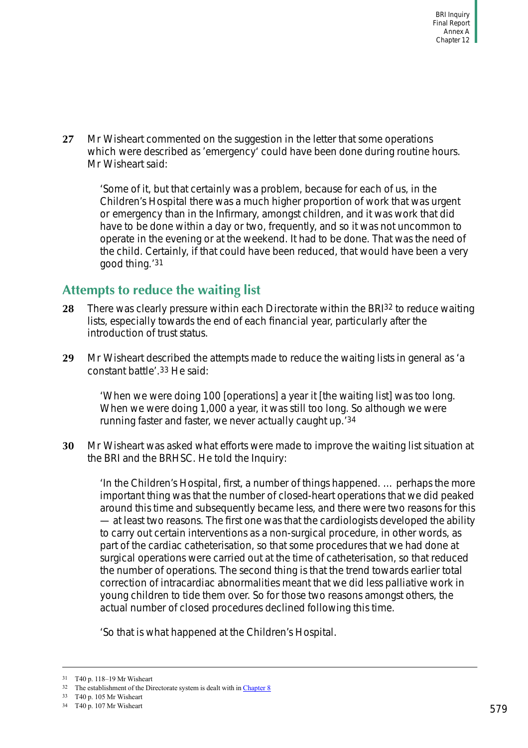**27** Mr Wisheart commented on the suggestion in the letter that some operations which were described as 'emergency' could have been done during routine hours. Mr Wisheart said:

'Some of it, but that certainly was a problem, because for each of us, in the Children's Hospital there was a much higher proportion of work that was urgent or emergency than in the Infirmary, amongst children, and it was work that did have to be done within a day or two, frequently, and so it was not uncommon to operate in the evening or at the weekend. It had to be done. That was the need of the child. Certainly, if that could have been reduced, that would have been a very good thing.'31

# <span id="page-84-0"></span>**Attempts to reduce the waiting list**

- **28** There was clearly pressure within each Directorate within the BRI32 to reduce waiting lists, especially towards the end of each financial year, particularly after the introduction of trust status.
- **29** Mr Wisheart described the attempts made to reduce the waiting lists in general as 'a constant battle'.33 He said:

'When we were doing 100 [operations] a year it [the waiting list] was too long. When we were doing 1,000 a year, it was still too long. So although we were running faster and faster, we never actually caught up.'34

**30** Mr Wisheart was asked what efforts were made to improve the waiting list situation at the BRI and the BRHSC. He told the Inquiry:

'In the Children's Hospital, first, a number of things happened. … perhaps the more important thing was that the number of closed-heart operations that we did peaked around this time and subsequently became less, and there were two reasons for this — at least two reasons. The first one was that the cardiologists developed the ability to carry out certain interventions as a non-surgical procedure, in other words, as part of the cardiac catheterisation, so that some procedures that we had done at surgical operations were carried out at the time of catheterisation, so that reduced the number of operations. The second thing is that the trend towards earlier total correction of intracardiac abnormalities meant that we did less palliative work in young children to tide them over. So for those two reasons amongst others, the actual number of closed procedures declined following this time.

'So that is what happened at the Children's Hospital.

<sup>31</sup> T40 p. 118–19 Mr Wisheart

 $32$  The establishment of the Directorate system is dealt with in Chapter 8

<sup>33</sup> T40 p. 105 Mr Wisheart

<sup>34</sup> T40 p. 107 Mr Wisheart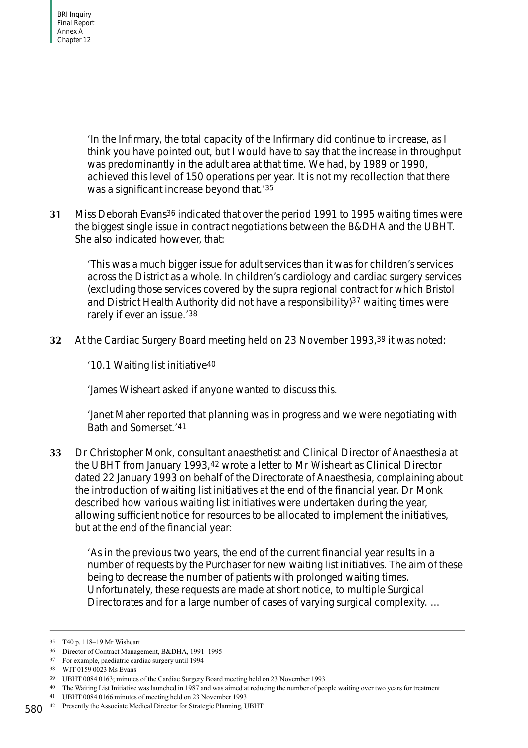'In the Infirmary, the total capacity of the Infirmary did continue to increase, as I think you have pointed out, but I would have to say that the increase in throughput was predominantly in the adult area at that time. We had, by 1989 or 1990, achieved this level of 150 operations per year. It is not my recollection that there was a significant increase beyond that.'35

**31** Miss Deborah Evans36 indicated that over the period 1991 to 1995 waiting times were the biggest single issue in contract negotiations between the B&DHA and the UBHT. She also indicated however, that:

'This was a much bigger issue for adult services than it was for children's services across the District as a whole. In children's cardiology and cardiac surgery services (excluding those services covered by the supra regional contract for which Bristol and District Health Authority did not have a responsibility)<sup>37</sup> waiting times were rarely if ever an issue.'38

**32** At the Cardiac Surgery Board meeting held on 23 November 1993,39 it was noted:

'10.1 Waiting list initiative40

'James Wisheart asked if anyone wanted to discuss this.

'Janet Maher reported that planning was in progress and we were negotiating with Bath and Somerset.'41

**33** Dr Christopher Monk, consultant anaesthetist and Clinical Director of Anaesthesia at the UBHT from January 1993,42 wrote a letter to Mr Wisheart as Clinical Director dated 22 January 1993 on behalf of the Directorate of Anaesthesia, complaining about the introduction of waiting list initiatives at the end of the financial year. Dr Monk described how various waiting list initiatives were undertaken during the year, allowing sufficient notice for resources to be allocated to implement the initiatives, but at the end of the financial year:

'As in the previous two years, the end of the current financial year results in a number of requests by the Purchaser for new waiting list initiatives. The aim of these being to decrease the number of patients with prolonged waiting times. Unfortunately, these requests are made at short notice, to multiple Surgical Directorates and for a large number of cases of varying surgical complexity. …

<sup>35</sup> T40 p. 118–19 Mr Wisheart

<sup>36</sup> Director of Contract Management, B&DHA, 1991–1995

<sup>37</sup> For example, paediatric cardiac surgery until 1994

<sup>38</sup> WIT 0159 0023 Ms Evans

<sup>39</sup> UBHT 0084 0163; minutes of the Cardiac Surgery Board meeting held on 23 November 1993

<sup>40</sup> The Waiting List Initiative was launched in 1987 and was aimed at reducing the number of people waiting over two years for treatment

<sup>41</sup> UBHT 0084 0166 minutes of meeting held on 23 November 1993

<sup>580</sup> 42 Presently the Associate Medical Director for Strategic Planning, UBHT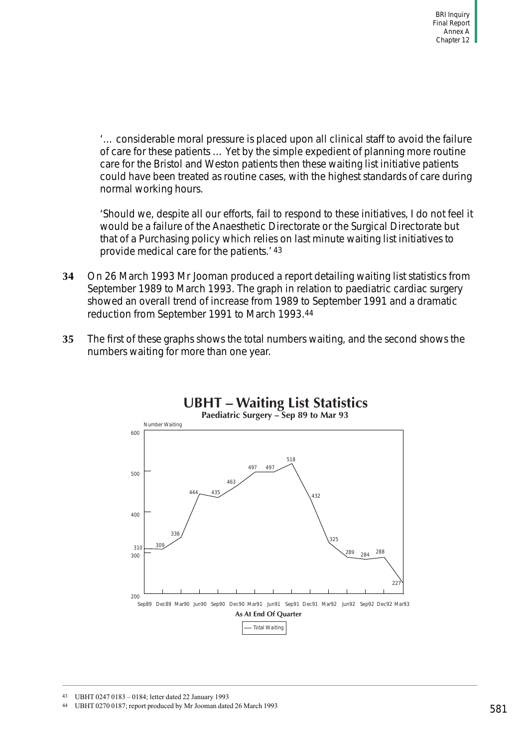'… considerable moral pressure is placed upon all clinical staff to avoid the failure of care for these patients … Yet by the simple expedient of planning more routine care for the Bristol and Weston patients then these waiting list initiative patients could have been treated as routine cases, with the highest standards of care during normal working hours.

'Should we, despite all our efforts, fail to respond to these initiatives, I do not feel it would be a failure of the Anaesthetic Directorate or the Surgical Directorate but that of a Purchasing policy which relies on last minute waiting list initiatives to provide medical care for the patients.' 43

- **34** On 26 March 1993 Mr Jooman produced a report detailing waiting list statistics from September 1989 to March 1993. The graph in relation to paediatric cardiac surgery showed an overall trend of increase from 1989 to September 1991 and a dramatic reduction from September 1991 to March 1993.44
- **35** The first of these graphs shows the total numbers waiting, and the second shows the numbers waiting for more than one year.



43 UBHT 0247 0183 – 0184; letter dated 22 January 1993

44 UBHT 0270 0187; report produced by Mr Jooman dated 26 March 1993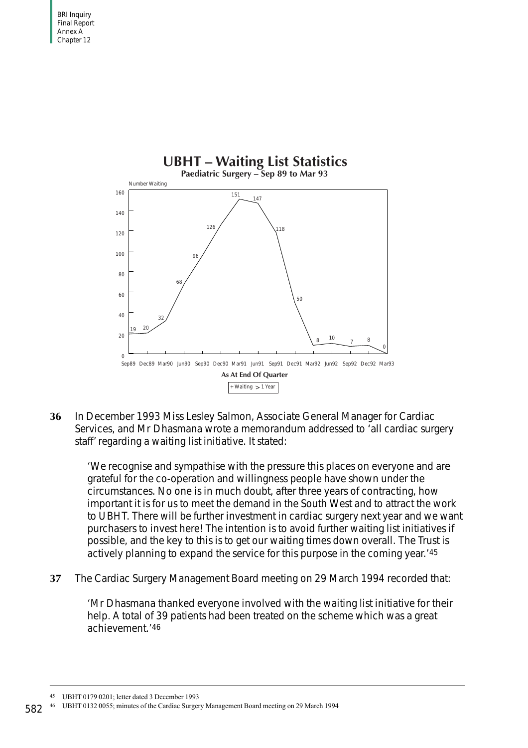

**36** In December 1993 Miss Lesley Salmon, Associate General Manager for Cardiac Services, and Mr Dhasmana wrote a memorandum addressed to 'all cardiac surgery staff' regarding a waiting list initiative. It stated:

'We recognise and sympathise with the pressure this places on everyone and are grateful for the co-operation and willingness people have shown under the circumstances. No one is in much doubt, after three years of contracting, how important it is for us to meet the demand in the South West and to attract the work to UBHT. There will be further investment in cardiac surgery next year and we want purchasers to invest here! The intention is to avoid further waiting list initiatives if possible, and the key to this is to get our waiting times down overall. The Trust is actively planning to expand the service for this purpose in the coming year.'45

**37** The Cardiac Surgery Management Board meeting on 29 March 1994 recorded that:

'Mr Dhasmana thanked everyone involved with the waiting list initiative for their help. A total of 39 patients had been treated on the scheme which was a great achievement.'46

<sup>45</sup> UBHT 0179 0201; letter dated 3 December 1993

<sup>46</sup> UBHT 0132 0055; minutes of the Cardiac Surgery Management Board meeting on 29 March 1994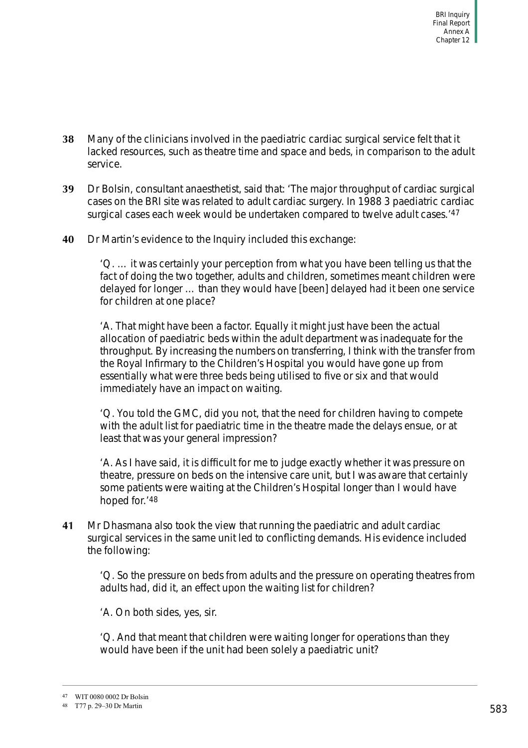- **38** Many of the clinicians involved in the paediatric cardiac surgical service felt that it lacked resources, such as theatre time and space and beds, in comparison to the adult service.
- **39** Dr Bolsin, consultant anaesthetist, said that: 'The major throughput of cardiac surgical cases on the BRI site was related to adult cardiac surgery. In 1988 3 paediatric cardiac surgical cases each week would be undertaken compared to twelve adult cases.<sup>'47</sup>
- **40** Dr Martin's evidence to the Inquiry included this exchange:

'Q. … it was certainly your perception from what you have been telling us that the fact of doing the two together, adults and children, sometimes meant children were delayed for longer … than they would have [been] delayed had it been one service for children at one place?

'A. That might have been a factor. Equally it might just have been the actual allocation of paediatric beds within the adult department was inadequate for the throughput. By increasing the numbers on transferring, I think with the transfer from the Royal Infirmary to the Children's Hospital you would have gone up from essentially what were three beds being utilised to five or six and that would immediately have an impact on waiting.

'Q. You told the GMC, did you not, that the need for children having to compete with the adult list for paediatric time in the theatre made the delays ensue, or at least that was your general impression?

'A. As I have said, it is difficult for me to judge exactly whether it was pressure on theatre, pressure on beds on the intensive care unit, but I was aware that certainly some patients were waiting at the Children's Hospital longer than I would have hoped for.'48

**41** Mr Dhasmana also took the view that running the paediatric and adult cardiac surgical services in the same unit led to conflicting demands. His evidence included the following:

'Q. So the pressure on beds from adults and the pressure on operating theatres from adults had, did it, an effect upon the waiting list for children?

'A. On both sides, yes, sir.

'Q. And that meant that children were waiting longer for operations than they would have been if the unit had been solely a paediatric unit?

<sup>47</sup> WIT 0080 0002 Dr Bolsin

<sup>48</sup> T77 p. 29–30 Dr Martin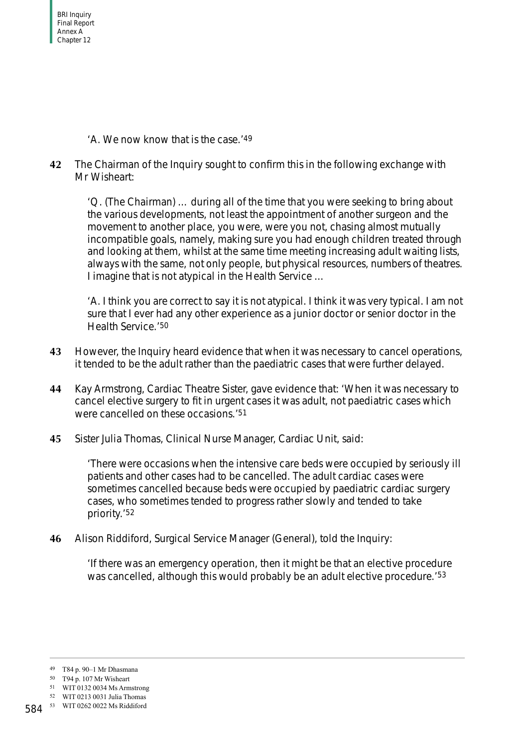BRI Inquiry Final Report Annex A Chapter 12

'A. We now know that is the case.'49

**42** The Chairman of the Inquiry sought to confirm this in the following exchange with Mr Wisheart:

'Q. (The Chairman) … during all of the time that you were seeking to bring about the various developments, not least the appointment of another surgeon and the movement to another place, you were, were you not, chasing almost mutually incompatible goals, namely, making sure you had enough children treated through and looking at them, whilst at the same time meeting increasing adult waiting lists, always with the same, not only people, but physical resources, numbers of theatres. I imagine that is not atypical in the Health Service …

'A. I think you are correct to say it is not atypical. I think it was very typical. I am not sure that I ever had any other experience as a junior doctor or senior doctor in the Health Service.'50

- **43** However, the Inquiry heard evidence that when it was necessary to cancel operations, it tended to be the adult rather than the paediatric cases that were further delayed.
- **44** Kay Armstrong, Cardiac Theatre Sister, gave evidence that: 'When it was necessary to cancel elective surgery to fit in urgent cases it was adult, not paediatric cases which were cancelled on these occasions.'51
- **45** Sister Julia Thomas, Clinical Nurse Manager, Cardiac Unit, said:

'There were occasions when the intensive care beds were occupied by seriously ill patients and other cases had to be cancelled. The adult cardiac cases were sometimes cancelled because beds were occupied by paediatric cardiac surgery cases, who sometimes tended to progress rather slowly and tended to take priority.'52

**46** Alison Riddiford, Surgical Service Manager (General), told the Inquiry:

'If there was an emergency operation, then it might be that an elective procedure was cancelled, although this would probably be an adult elective procedure.<sup>'53</sup>

<sup>49</sup> T84 p. 90–1 Mr Dhasmana

<sup>50</sup> T94 p. 107 Mr Wisheart

<sup>51</sup> WIT 0132 0034 Ms Armstrong

<sup>52</sup> WIT 0213 0031 Julia Thomas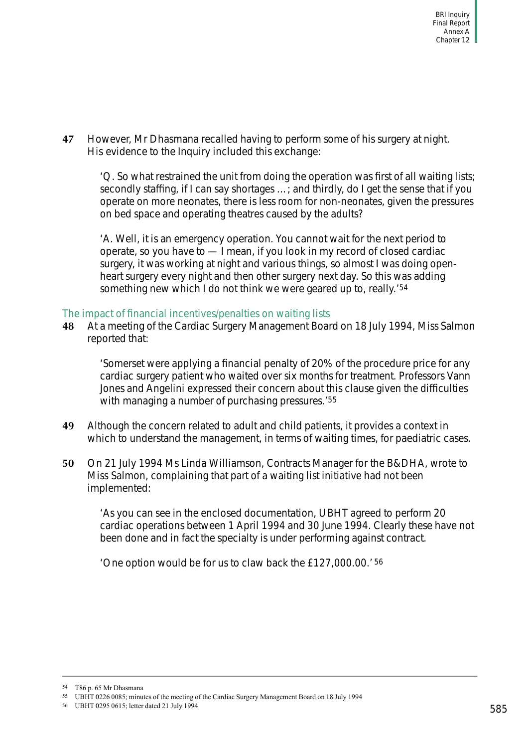**47** However, Mr Dhasmana recalled having to perform some of his surgery at night. His evidence to the Inquiry included this exchange:

'Q. So what restrained the unit from doing the operation was first of all waiting lists; secondly staffing, if I can say shortages …; and thirdly, do I get the sense that if you operate on more neonates, there is less room for non-neonates, given the pressures on bed space and operating theatres caused by the adults?

'A. Well, it is an emergency operation. You cannot wait for the next period to operate, so you have to — I mean, if you look in my record of closed cardiac surgery, it was working at night and various things, so almost I was doing openheart surgery every night and then other surgery next day. So this was adding something new which I do not think we were geared up to, really.'54

# <span id="page-90-0"></span>The impact of financial incentives/penalties on waiting lists

**48** At a meeting of the Cardiac Surgery Management Board on 18 July 1994, Miss Salmon reported that:

'Somerset were applying a financial penalty of 20% of the procedure price for any cardiac surgery patient who waited over six months for treatment. Professors Vann Jones and Angelini expressed their concern about this clause given the difficulties with managing a number of purchasing pressures.<sup>'55</sup>

- **49** Although the concern related to adult and child patients, it provides a context in which to understand the management, in terms of waiting times, for paediatric cases.
- **50** On 21 July 1994 Ms Linda Williamson, Contracts Manager for the B&DHA, wrote to Miss Salmon, complaining that part of a waiting list initiative had not been implemented:

'As you can see in the enclosed documentation, UBHT agreed to perform 20 cardiac operations between 1 April 1994 and 30 June 1994. Clearly these have not been done and in fact the specialty is under performing against contract.

'One option would be for us to claw back the £127,000.00.' 56

<sup>54</sup> T86 p. 65 Mr Dhasmana

<sup>55</sup> UBHT 0226 0085; minutes of the meeting of the Cardiac Surgery Management Board on 18 July 1994

<sup>56</sup> UBHT 0295 0615; letter dated 21 July 1994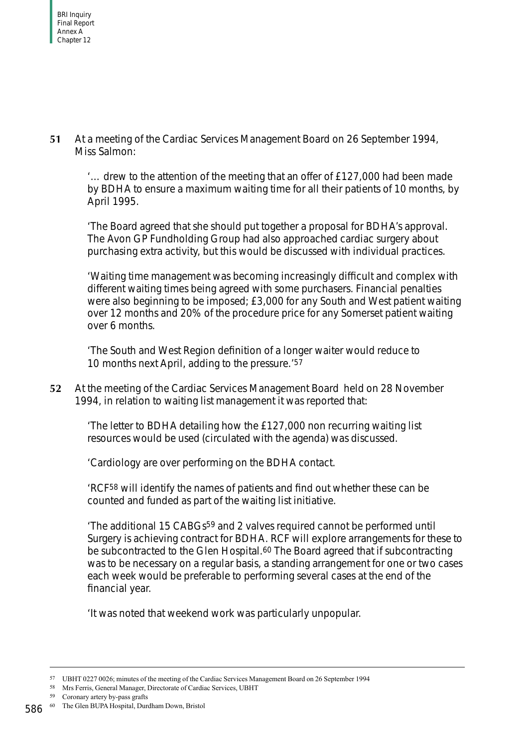**51** At a meeting of the Cardiac Services Management Board on 26 September 1994, Miss Salmon:

'… drew to the attention of the meeting that an offer of £127,000 had been made by BDHA to ensure a maximum waiting time for all their patients of 10 months, by April 1995.

'The Board agreed that she should put together a proposal for BDHA's approval. The Avon GP Fundholding Group had also approached cardiac surgery about purchasing extra activity, but this would be discussed with individual practices.

'Waiting time management was becoming increasingly difficult and complex with different waiting times being agreed with some purchasers. Financial penalties were also beginning to be imposed; £3,000 for any South and West patient waiting over 12 months and 20% of the procedure price for any Somerset patient waiting over 6 months.

'The South and West Region definition of a longer waiter would reduce to 10 months next April, adding to the pressure.'<sup>57</sup>

**52** At the meeting of the Cardiac Services Management Board held on 28 November 1994, in relation to waiting list management it was reported that:

'The letter to BDHA detailing how the £127,000 non recurring waiting list resources would be used (circulated with the agenda) was discussed.

'Cardiology are over performing on the BDHA contact.

'RCF58 will identify the names of patients and find out whether these can be counted and funded as part of the waiting list initiative.

'The additional 15 CABGs59 and 2 valves required cannot be performed until Surgery is achieving contract for BDHA. RCF will explore arrangements for these to be subcontracted to the Glen Hospital.<sup>60</sup> The Board agreed that if subcontracting was to be necessary on a regular basis, a standing arrangement for one or two cases each week would be preferable to performing several cases at the end of the financial year.

'It was noted that weekend work was particularly unpopular.

<sup>57</sup> UBHT 0227 0026; minutes of the meeting of the Cardiac Services Management Board on 26 September 1994

<sup>58</sup> Mrs Ferris, General Manager, Directorate of Cardiac Services, UBHT

<sup>59</sup> Coronary artery by-pass grafts

<sup>586 &</sup>lt;sup>60</sup> The Glen BUPA Hospital, Durdham Down, Bristol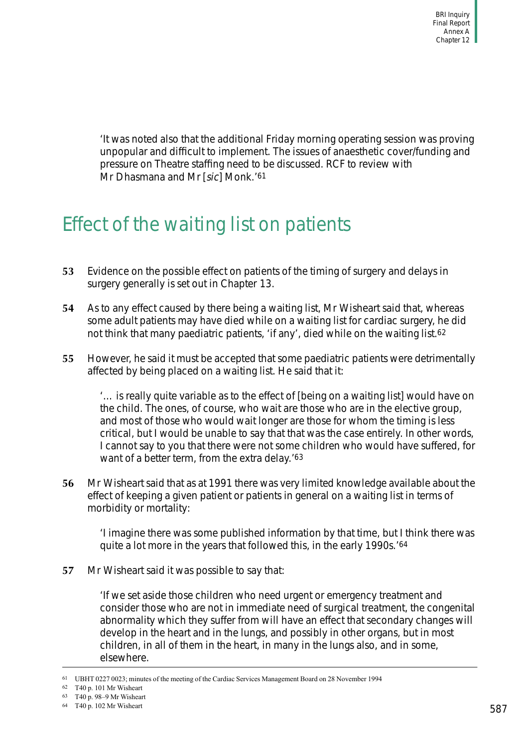'It was noted also that the additional Friday morning operating session was proving unpopular and difficult to implement. The issues of anaesthetic cover/funding and pressure on Theatre staffing need to be discussed. RCF to review with Mr Dhasmana and Mr [sic] Monk.<sup>'61</sup>

# Effect of the waiting list on patients

- **53** Evidence on the possible effect on patients of the timing of surgery and delays in surgery generally is set out in Chapter 13.
- **54** As to any effect caused by there being a waiting list, Mr Wisheart said that, whereas some adult patients may have died while on a waiting list for cardiac surgery, he did not think that many paediatric patients, 'if any', died while on the waiting list.<sup>62</sup>
- **55** However, he said it must be accepted that some paediatric patients were detrimentally affected by being placed on a waiting list. He said that it:

'… is really quite variable as to the effect of [being on a waiting list] would have on the child. The ones, of course, who wait are those who are in the elective group, and most of those who would wait longer are those for whom the timing is less critical, but I would be unable to say that that was the case entirely. In other words, I cannot say to you that there were not some children who would have suffered, for want of a better term, from the extra delay.'63

**56** Mr Wisheart said that as at 1991 there was very limited knowledge available about the effect of keeping a given patient or patients in general on a waiting list in terms of morbidity or mortality:

'I imagine there was some published information by that time, but I think there was quite a lot more in the years that followed this, in the early 1990s.'64

**57** Mr Wisheart said it was possible to say that:

'If we set aside those children who need urgent or emergency treatment and consider those who are not in immediate need of surgical treatment, the congenital abnormality which they suffer from will have an effect that secondary changes will develop in the heart and in the lungs, and possibly in other organs, but in most children, in all of them in the heart, in many in the lungs also, and in some, elsewhere.

<sup>61</sup> UBHT 0227 0023; minutes of the meeting of the Cardiac Services Management Board on 28 November 1994

<sup>62</sup> T40 p. 101 Mr Wisheart

<sup>63</sup> T40 p. 98–9 Mr Wisheart

<sup>64</sup> T40 p. 102 Mr Wisheart